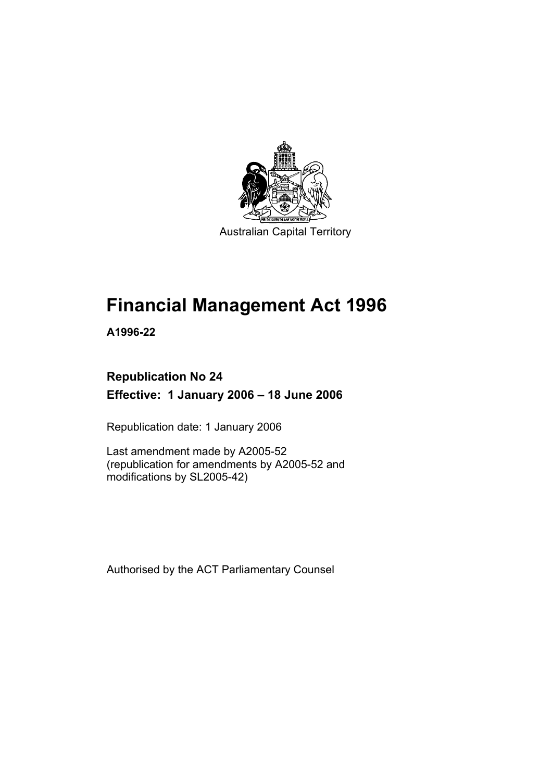

# **Financial Management Act 1996**

**A1996-22** 

### **Republication No 24 Effective: 1 January 2006 – 18 June 2006**

Republication date: 1 January 2006

Last amendment made by A2005-52 (republication for amendments by A2005-52 and modifications by SL2005-42)

Authorised by the ACT Parliamentary Counsel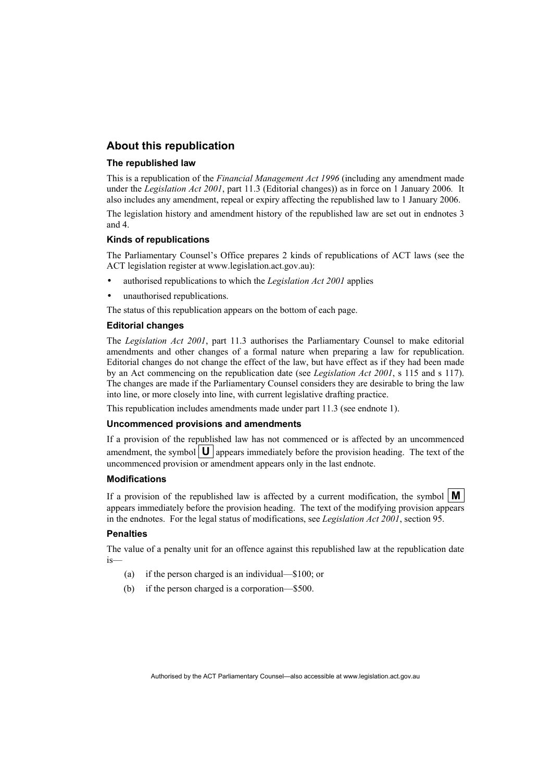#### **About this republication**

#### **The republished law**

This is a republication of the *Financial Management Act 1996* (including any amendment made under the *Legislation Act 2001*, part 11.3 (Editorial changes)) as in force on 1 January 2006*.* It also includes any amendment, repeal or expiry affecting the republished law to 1 January 2006.

The legislation history and amendment history of the republished law are set out in endnotes 3 and 4.

#### **Kinds of republications**

The Parliamentary Counsel's Office prepares 2 kinds of republications of ACT laws (see the ACT legislation register at www.legislation.act.gov.au):

- authorised republications to which the *Legislation Act 2001* applies
- unauthorised republications.

The status of this republication appears on the bottom of each page.

#### **Editorial changes**

The *Legislation Act 2001*, part 11.3 authorises the Parliamentary Counsel to make editorial amendments and other changes of a formal nature when preparing a law for republication. Editorial changes do not change the effect of the law, but have effect as if they had been made by an Act commencing on the republication date (see *Legislation Act 2001*, s 115 and s 117). The changes are made if the Parliamentary Counsel considers they are desirable to bring the law into line, or more closely into line, with current legislative drafting practice.

This republication includes amendments made under part 11.3 (see endnote 1).

#### **Uncommenced provisions and amendments**

If a provision of the republished law has not commenced or is affected by an uncommenced amendment, the symbol  $\mathbf{U}$  appears immediately before the provision heading. The text of the uncommenced provision or amendment appears only in the last endnote.

#### **Modifications**

If a provision of the republished law is affected by a current modification, the symbol  $\mathbf{M}$ appears immediately before the provision heading. The text of the modifying provision appears in the endnotes. For the legal status of modifications, see *Legislation Act 2001*, section 95.

#### **Penalties**

The value of a penalty unit for an offence against this republished law at the republication date is—

- (a) if the person charged is an individual—\$100; or
- (b) if the person charged is a corporation—\$500.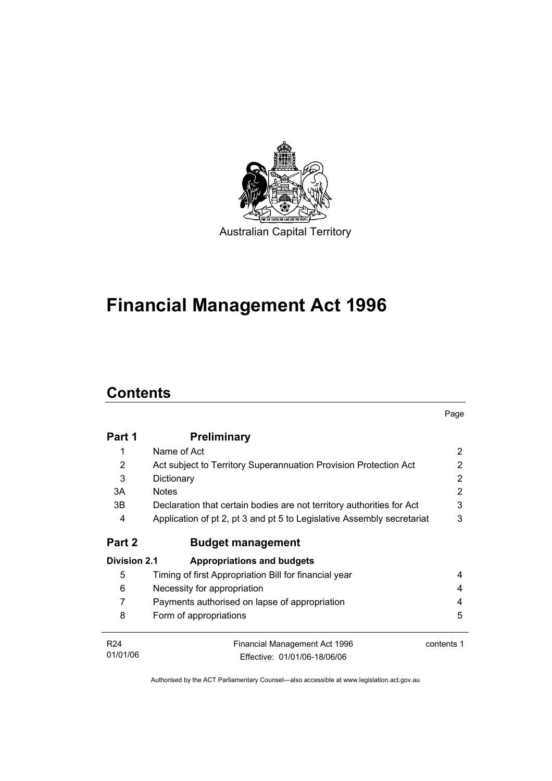

# **Financial Management Act 1996**

# **Contents**

|                     |                                                                        | Page       |
|---------------------|------------------------------------------------------------------------|------------|
| Part 1              | <b>Preliminary</b>                                                     |            |
|                     | Name of Act                                                            | 2          |
| 2                   | Act subject to Territory Superannuation Provision Protection Act       | 2          |
| 3                   | Dictionary                                                             | 2          |
| 3A                  | <b>Notes</b>                                                           | 2          |
| 3B.                 | Declaration that certain bodies are not territory authorities for Act  | 3          |
| 4                   | Application of pt 2, pt 3 and pt 5 to Legislative Assembly secretariat | 3          |
| Part 2              | <b>Budget management</b>                                               |            |
| <b>Division 2.1</b> | Appropriations and budgets                                             |            |
| 5                   | Timing of first Appropriation Bill for financial year                  | 4          |
| 6                   | Necessity for appropriation                                            | 4          |
| 7                   | Payments authorised on lapse of appropriation                          | 4          |
| 8                   | Form of appropriations                                                 | 5          |
| R <sub>24</sub>     | Financial Management Act 1996                                          | contents 1 |
| 01/01/06            | Effective: 01/01/06-18/06/06                                           |            |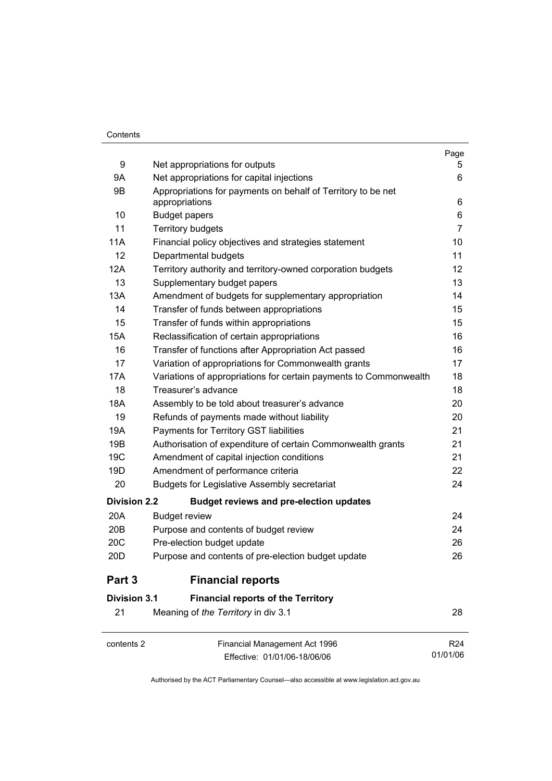#### **Contents**

|                     |                                                                                | Page            |
|---------------------|--------------------------------------------------------------------------------|-----------------|
| 9                   | Net appropriations for outputs                                                 | 5               |
| 9Α                  | Net appropriations for capital injections                                      | 6               |
| 9B                  | Appropriations for payments on behalf of Territory to be net<br>appropriations | 6               |
| 10                  | <b>Budget papers</b>                                                           | 6               |
| 11                  | <b>Territory budgets</b>                                                       | $\overline{7}$  |
| 11A                 | Financial policy objectives and strategies statement                           | 10              |
| 12                  | Departmental budgets                                                           | 11              |
| 12A                 | Territory authority and territory-owned corporation budgets                    | 12              |
| 13                  | Supplementary budget papers                                                    | 13              |
| 13A                 | Amendment of budgets for supplementary appropriation                           | 14              |
| 14                  | Transfer of funds between appropriations                                       | 15              |
| 15                  | Transfer of funds within appropriations                                        | 15              |
| 15A                 | Reclassification of certain appropriations                                     | 16              |
| 16                  | Transfer of functions after Appropriation Act passed                           | 16              |
| 17                  | Variation of appropriations for Commonwealth grants                            | 17              |
| 17A                 | Variations of appropriations for certain payments to Commonwealth              | 18              |
| 18                  | Treasurer's advance                                                            | 18              |
| 18A                 | Assembly to be told about treasurer's advance                                  | 20              |
| 19                  | Refunds of payments made without liability                                     | 20              |
| 19A                 | Payments for Territory GST liabilities                                         | 21              |
| 19B                 | Authorisation of expenditure of certain Commonwealth grants                    | 21              |
| 19 <sub>C</sub>     | Amendment of capital injection conditions                                      | 21              |
| 19D                 | Amendment of performance criteria                                              | 22              |
| 20                  | <b>Budgets for Legislative Assembly secretariat</b>                            | 24              |
| <b>Division 2.2</b> | <b>Budget reviews and pre-election updates</b>                                 |                 |
| 20A                 | <b>Budget review</b>                                                           | 24              |
| 20 <sub>B</sub>     | Purpose and contents of budget review                                          | 24              |
| 20C                 | Pre-election budget update                                                     | 26              |
| 20 <sub>D</sub>     | Purpose and contents of pre-election budget update                             | 26              |
| Part 3              | <b>Financial reports</b>                                                       |                 |
| <b>Division 3.1</b> | <b>Financial reports of the Territory</b>                                      |                 |
| 21                  | Meaning of the Territory in div 3.1                                            | 28              |
| contents 2          | Financial Management Act 1996                                                  | R <sub>24</sub> |
|                     | Effective: 01/01/06-18/06/06                                                   | 01/01/06        |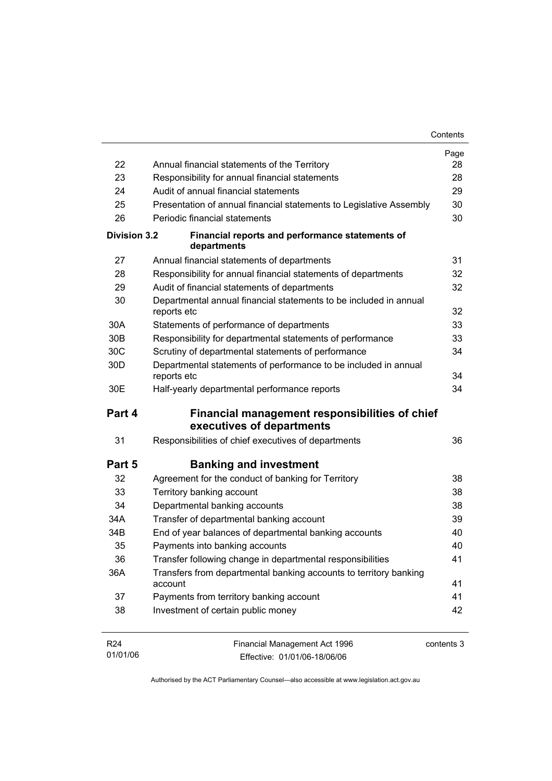|                 |                                                                                  | Contents   |
|-----------------|----------------------------------------------------------------------------------|------------|
|                 |                                                                                  | Page       |
| 22              | Annual financial statements of the Territory                                     | 28         |
| 23              | Responsibility for annual financial statements                                   | 28         |
| 24              | Audit of annual financial statements                                             | 29         |
| 25              | Presentation of annual financial statements to Legislative Assembly              | 30         |
| 26              | Periodic financial statements                                                    | 30         |
| Division 3.2    | Financial reports and performance statements of<br>departments                   |            |
| 27              | Annual financial statements of departments                                       | 31         |
| 28              | Responsibility for annual financial statements of departments                    | 32         |
| 29              | Audit of financial statements of departments                                     | 32         |
| 30              | Departmental annual financial statements to be included in annual<br>reports etc | 32         |
| 30A             | Statements of performance of departments                                         | 33         |
| 30 <sub>B</sub> | Responsibility for departmental statements of performance                        | 33         |
| 30C             | Scrutiny of departmental statements of performance                               | 34         |
| 30 <sub>D</sub> | Departmental statements of performance to be included in annual<br>reports etc   | 34         |
| 30E             | Half-yearly departmental performance reports                                     | 34         |
| Part 4          | Financial management responsibilities of chief                                   |            |
|                 | executives of departments                                                        |            |
| 31              | Responsibilities of chief executives of departments                              | 36         |
| Part 5          | <b>Banking and investment</b>                                                    |            |
| 32              | Agreement for the conduct of banking for Territory                               | 38         |
| 33              | Territory banking account                                                        | 38         |
| 34              | Departmental banking accounts                                                    | 38         |
| 34A             | Transfer of departmental banking account                                         | 39         |
| 34B             | End of year balances of departmental banking accounts                            | 40         |
| 35              | Payments into banking accounts                                                   | 40         |
| 36              | Transfer following change in departmental responsibilities                       | 41         |
| 36A             | Transfers from departmental banking accounts to territory banking<br>account     | 41         |
| 37              | Payments from territory banking account                                          | 41         |
| 38              | Investment of certain public money                                               | 42         |
| R <sub>24</sub> | Financial Management Act 1996                                                    | contents 3 |

01/01/06 Effective: 01/01/06-18/06/06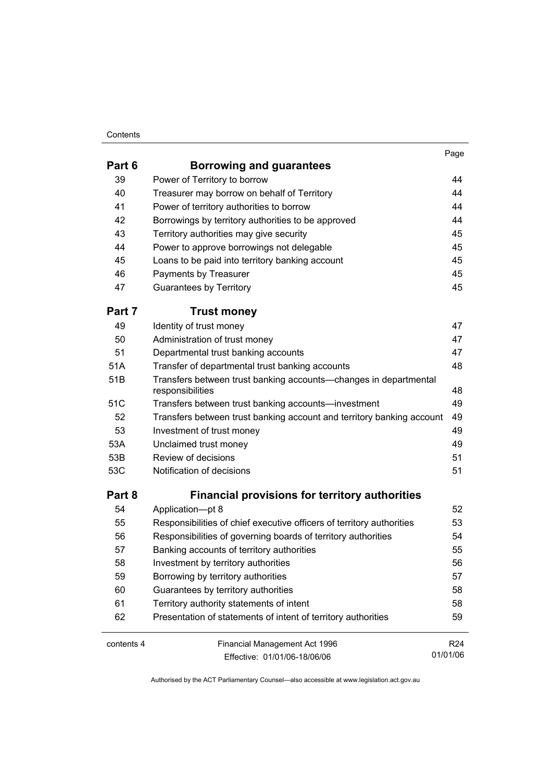#### **Contents**

| . .<br>۰.<br>×<br>× |
|---------------------|
|                     |

| Part 6     | <b>Borrowing and guarantees</b>                                                      |                 |
|------------|--------------------------------------------------------------------------------------|-----------------|
| 39         | Power of Territory to borrow                                                         | 44              |
| 40         | Treasurer may borrow on behalf of Territory                                          | 44              |
| 41         | Power of territory authorities to borrow                                             | 44              |
| 42         | Borrowings by territory authorities to be approved                                   | 44              |
| 43         | Territory authorities may give security                                              | 45              |
| 44         | Power to approve borrowings not delegable                                            | 45              |
| 45         | Loans to be paid into territory banking account                                      | 45              |
| 46         | Payments by Treasurer                                                                | 45              |
| 47         | <b>Guarantees by Territory</b>                                                       | 45              |
| Part 7     | <b>Trust money</b>                                                                   |                 |
| 49         | Identity of trust money                                                              | 47              |
| 50         | Administration of trust money                                                        | 47              |
| 51         | Departmental trust banking accounts                                                  | 47              |
| 51A        | Transfer of departmental trust banking accounts                                      | 48              |
| 51B        | Transfers between trust banking accounts-changes in departmental<br>responsibilities | 48              |
| 51C        | Transfers between trust banking accounts-investment                                  | 49              |
| 52         | Transfers between trust banking account and territory banking account                | 49              |
| 53         | Investment of trust money                                                            | 49              |
| 53A        | Unclaimed trust money                                                                | 49              |
| 53B        | Review of decisions                                                                  | 51              |
| 53C        | Notification of decisions                                                            | 51              |
| Part 8     | <b>Financial provisions for territory authorities</b>                                |                 |
| 54         | Application-pt 8                                                                     | 52              |
| 55         | Responsibilities of chief executive officers of territory authorities                | 53              |
| 56         | Responsibilities of governing boards of territory authorities                        | 54              |
| 57         | Banking accounts of territory authorities                                            | 55              |
| 58         | Investment by territory authorities                                                  | 56              |
| 59         | Borrowing by territory authorities                                                   | 57              |
| 60         | Guarantees by territory authorities                                                  | 58              |
| 61         | Territory authority statements of intent                                             | 58              |
| 62         | Presentation of statements of intent of territory authorities                        | 59              |
| contents 4 | Financial Management Act 1996                                                        | R <sub>24</sub> |
|            | Effective: 01/01/06-18/06/06                                                         | 01/01/06        |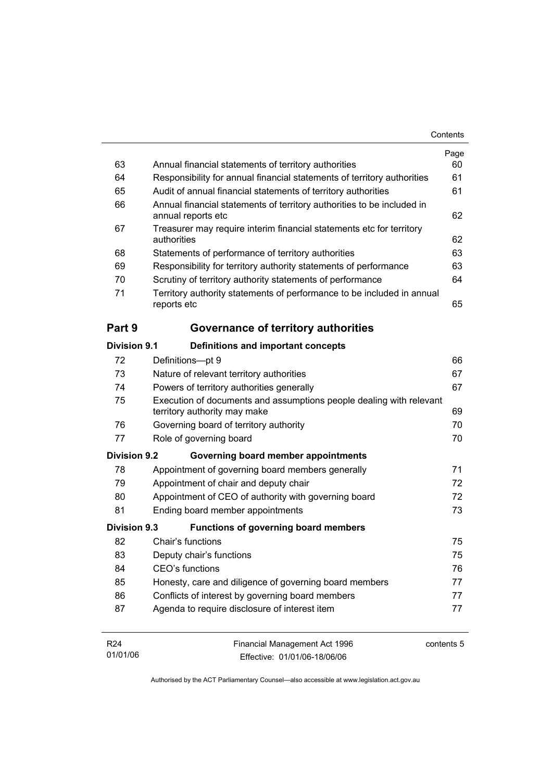|                     |                                                                                                     | Contents |
|---------------------|-----------------------------------------------------------------------------------------------------|----------|
|                     |                                                                                                     | Page     |
| 63                  | Annual financial statements of territory authorities                                                | 60       |
| 64                  | Responsibility for annual financial statements of territory authorities                             | 61       |
| 65                  | Audit of annual financial statements of territory authorities                                       | 61       |
| 66                  | Annual financial statements of territory authorities to be included in<br>annual reports etc        | 62       |
| 67                  | Treasurer may require interim financial statements etc for territory<br>authorities                 | 62       |
| 68                  | Statements of performance of territory authorities                                                  | 63       |
| 69                  | Responsibility for territory authority statements of performance                                    | 63       |
| 70                  | Scrutiny of territory authority statements of performance                                           | 64       |
| 71                  | Territory authority statements of performance to be included in annual<br>reports etc               | 65       |
| Part 9              | Governance of territory authorities                                                                 |          |
| Division 9.1        | Definitions and important concepts                                                                  |          |
| 72                  | Definitions-pt 9                                                                                    | 66       |
| 73                  | Nature of relevant territory authorities                                                            | 67       |
| 74                  | Powers of territory authorities generally                                                           | 67       |
| 75                  | Execution of documents and assumptions people dealing with relevant<br>territory authority may make | 69       |
| 76                  | Governing board of territory authority                                                              | 70       |
| 77                  | Role of governing board                                                                             | 70       |
| <b>Division 9.2</b> |                                                                                                     |          |
|                     | Governing board member appointments                                                                 |          |
| 78                  | Appointment of governing board members generally                                                    | 71       |
| 79                  | Appointment of chair and deputy chair                                                               | 72       |
| 80                  | Appointment of CEO of authority with governing board                                                | 72       |
| 81                  | Ending board member appointments                                                                    | 73       |
| Division 9.3        | <b>Functions of governing board members</b>                                                         |          |
| 82                  | Chair's functions                                                                                   | 75       |
| 83                  | Deputy chair's functions                                                                            | 75       |
| 84                  | CEO's functions                                                                                     | 76       |
| 85                  | Honesty, care and diligence of governing board members                                              | 77       |
| 86                  | Conflicts of interest by governing board members                                                    | 77       |

| R24      | Financial Management Act 1996 | contents 5 |
|----------|-------------------------------|------------|
| 01/01/06 | Effective: 01/01/06-18/06/06  |            |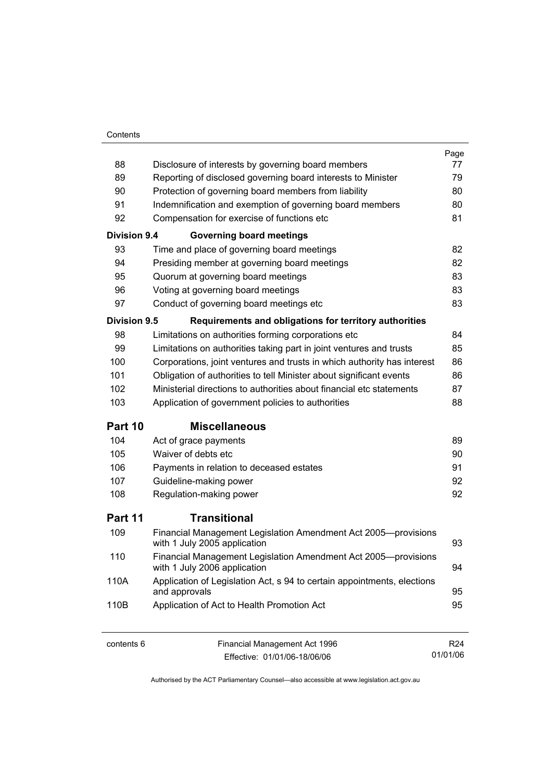#### **Contents**

|                     |                                                                                                | Page |
|---------------------|------------------------------------------------------------------------------------------------|------|
| 88                  | Disclosure of interests by governing board members                                             | 77   |
| 89                  | Reporting of disclosed governing board interests to Minister                                   | 79   |
| 90                  | Protection of governing board members from liability                                           | 80   |
| 91                  | Indemnification and exemption of governing board members                                       | 80   |
| 92                  | Compensation for exercise of functions etc                                                     | 81   |
| <b>Division 9.4</b> | <b>Governing board meetings</b>                                                                |      |
| 93                  | Time and place of governing board meetings                                                     | 82   |
| 94                  | Presiding member at governing board meetings                                                   | 82   |
| 95                  | Quorum at governing board meetings                                                             | 83   |
| 96                  | Voting at governing board meetings                                                             | 83   |
| 97                  | Conduct of governing board meetings etc                                                        | 83   |
| Division 9.5        | Requirements and obligations for territory authorities                                         |      |
| 98                  | Limitations on authorities forming corporations etc                                            | 84   |
| 99                  | Limitations on authorities taking part in joint ventures and trusts                            | 85   |
| 100                 | Corporations, joint ventures and trusts in which authority has interest                        | 86   |
| 101                 | Obligation of authorities to tell Minister about significant events                            | 86   |
| 102                 | Ministerial directions to authorities about financial etc statements                           | 87   |
| 103                 | Application of government policies to authorities                                              | 88   |
| Part 10             | <b>Miscellaneous</b>                                                                           |      |
| 104                 | Act of grace payments                                                                          | 89   |
| 105                 | Waiver of debts etc                                                                            | 90   |
| 106                 | Payments in relation to deceased estates                                                       | 91   |
| 107                 | Guideline-making power                                                                         | 92   |
| 108                 | Regulation-making power                                                                        | 92   |
| Part 11             | Transitional                                                                                   |      |
| 109                 | Financial Management Legislation Amendment Act 2005-provisions<br>with 1 July 2005 application | 93   |
| 110                 | Financial Management Legislation Amendment Act 2005-provisions<br>with 1 July 2006 application | 94   |
| 110A                | Application of Legislation Act, s 94 to certain appointments, elections<br>and approvals       | 95   |
| 110B                | Application of Act to Health Promotion Act                                                     | 95   |
|                     |                                                                                                |      |

contents 6 Financial Management Act 1996 Effective: 01/01/06-18/06/06

R24 01/01/06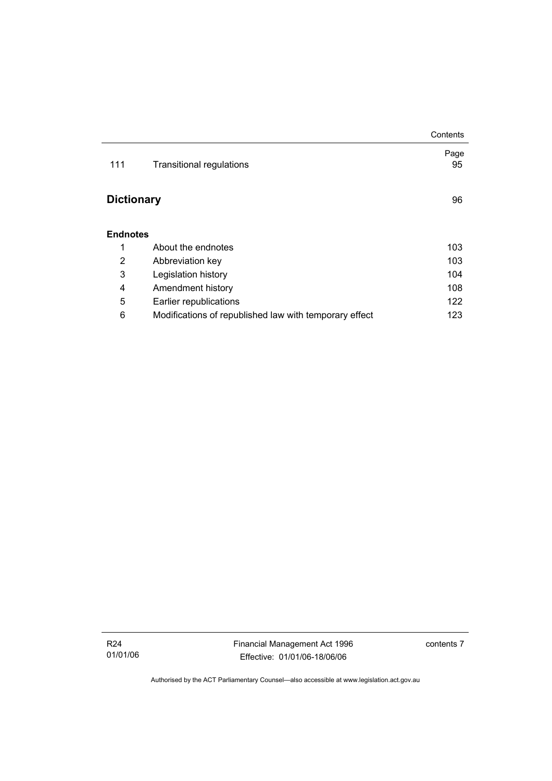|                   |                                                        | Contents   |
|-------------------|--------------------------------------------------------|------------|
| 111               | <b>Transitional regulations</b>                        | Page<br>95 |
| <b>Dictionary</b> |                                                        |            |
| <b>Endnotes</b>   |                                                        |            |
| 1                 | About the endnotes                                     | 103        |
| 2                 | Abbreviation key                                       | 103        |
| 3                 | Legislation history                                    | 104        |
| 4                 | Amendment history                                      | 108        |
| 5                 | Earlier republications                                 | 122        |
| 6                 | Modifications of republished law with temporary effect | 123        |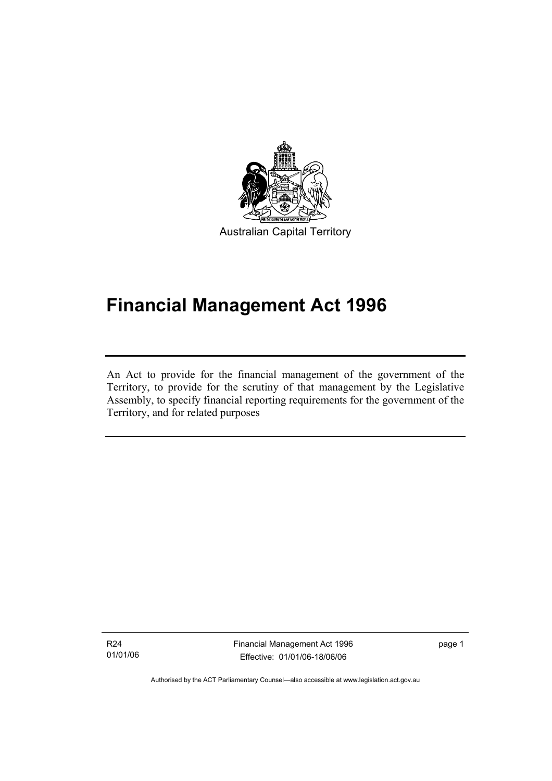

# **Financial Management Act 1996**

An Act to provide for the financial management of the government of the Territory, to provide for the scrutiny of that management by the Legislative Assembly, to specify financial reporting requirements for the government of the Territory, and for related purposes

R24 01/01/06

I

Financial Management Act 1996 Effective: 01/01/06-18/06/06

page 1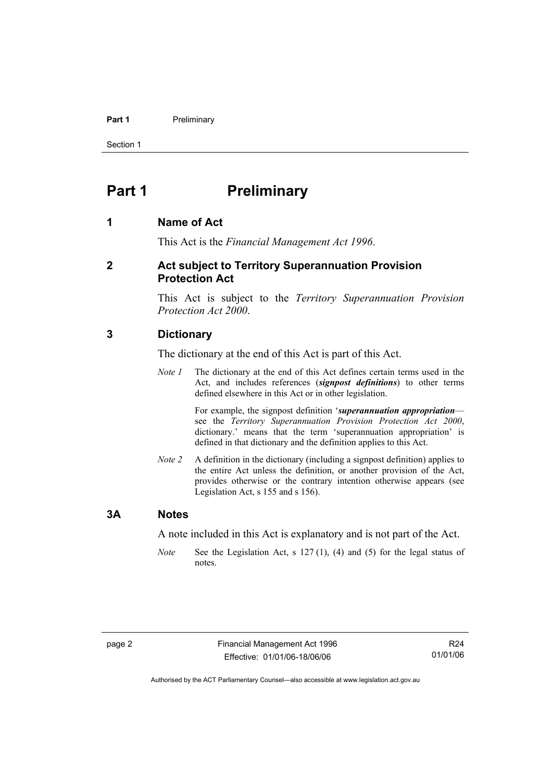#### **Part 1** Preliminary

Section 1

### **Part 1** Preliminary

#### **1 Name of Act**

This Act is the *Financial Management Act 1996*.

#### **2 Act subject to Territory Superannuation Provision Protection Act**

This Act is subject to the *Territory Superannuation Provision Protection Act 2000*.

#### **3 Dictionary**

The dictionary at the end of this Act is part of this Act.

*Note 1* The dictionary at the end of this Act defines certain terms used in the Act, and includes references (*signpost definitions*) to other terms defined elsewhere in this Act or in other legislation.

> For example, the signpost definition '*superannuation appropriation* see the *Territory Superannuation Provision Protection Act 2000*, dictionary.' means that the term 'superannuation appropriation' is defined in that dictionary and the definition applies to this Act.

*Note 2* A definition in the dictionary (including a signpost definition) applies to the entire Act unless the definition, or another provision of the Act, provides otherwise or the contrary intention otherwise appears (see Legislation Act, s 155 and s 156).

#### **3A Notes**

A note included in this Act is explanatory and is not part of the Act.

*Note* See the Legislation Act, s 127 (1), (4) and (5) for the legal status of notes.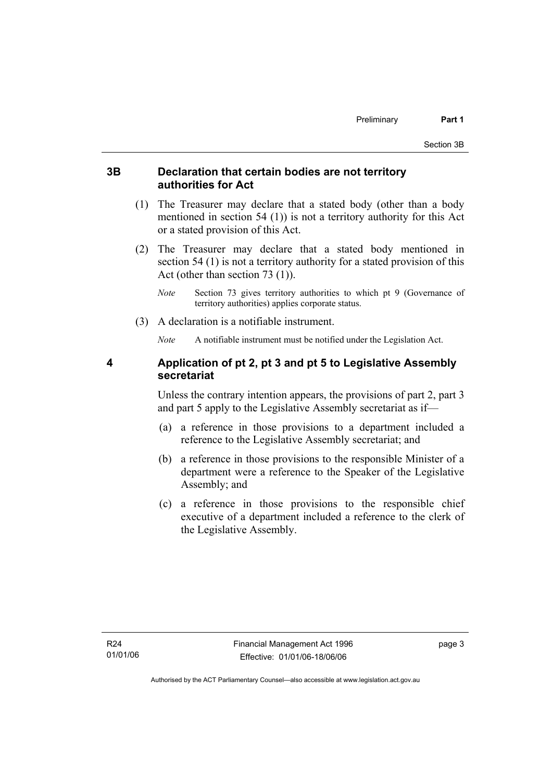#### **3B Declaration that certain bodies are not territory authorities for Act**

- (1) The Treasurer may declare that a stated body (other than a body mentioned in section 54 (1)) is not a territory authority for this Act or a stated provision of this Act.
- (2) The Treasurer may declare that a stated body mentioned in section 54 (1) is not a territory authority for a stated provision of this Act (other than section 73 (1)).
	- *Note* Section 73 gives territory authorities to which pt 9 (Governance of territory authorities) applies corporate status.
- (3) A declaration is a notifiable instrument.

*Note* A notifiable instrument must be notified under the Legislation Act.

#### **4 Application of pt 2, pt 3 and pt 5 to Legislative Assembly secretariat**

Unless the contrary intention appears, the provisions of part 2, part 3 and part 5 apply to the Legislative Assembly secretariat as if—

- (a) a reference in those provisions to a department included a reference to the Legislative Assembly secretariat; and
- (b) a reference in those provisions to the responsible Minister of a department were a reference to the Speaker of the Legislative Assembly; and
- (c) a reference in those provisions to the responsible chief executive of a department included a reference to the clerk of the Legislative Assembly.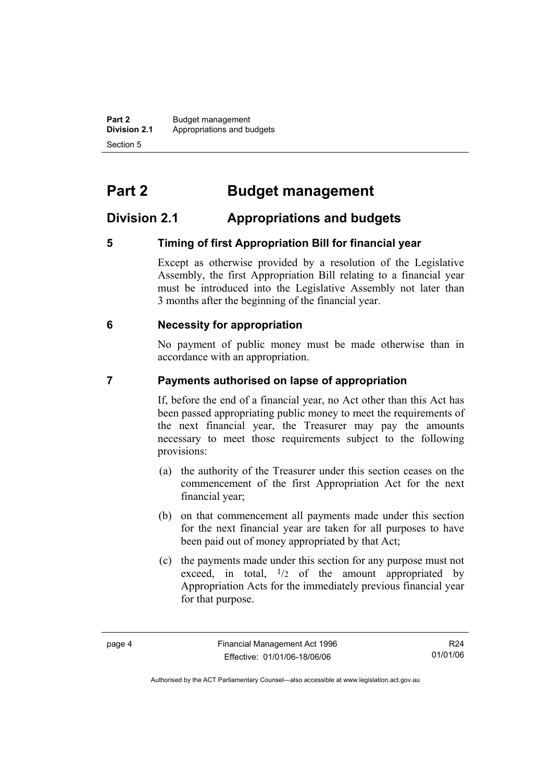**Part 2** Budget management<br>**Division 2.1** Appropriations and by **Division 2.1** Appropriations and budgets Section 5

# **Part 2 Budget management**

### **Division 2.1 Appropriations and budgets**

#### **5 Timing of first Appropriation Bill for financial year**

Except as otherwise provided by a resolution of the Legislative Assembly, the first Appropriation Bill relating to a financial year must be introduced into the Legislative Assembly not later than 3 months after the beginning of the financial year.

#### **6 Necessity for appropriation**

No payment of public money must be made otherwise than in accordance with an appropriation.

#### **7 Payments authorised on lapse of appropriation**

If, before the end of a financial year, no Act other than this Act has been passed appropriating public money to meet the requirements of the next financial year, the Treasurer may pay the amounts necessary to meet those requirements subject to the following provisions:

- (a) the authority of the Treasurer under this section ceases on the commencement of the first Appropriation Act for the next financial year;
- (b) on that commencement all payments made under this section for the next financial year are taken for all purposes to have been paid out of money appropriated by that Act;
- (c) the payments made under this section for any purpose must not exceed, in total,  $\frac{1}{2}$  of the amount appropriated by Appropriation Acts for the immediately previous financial year for that purpose.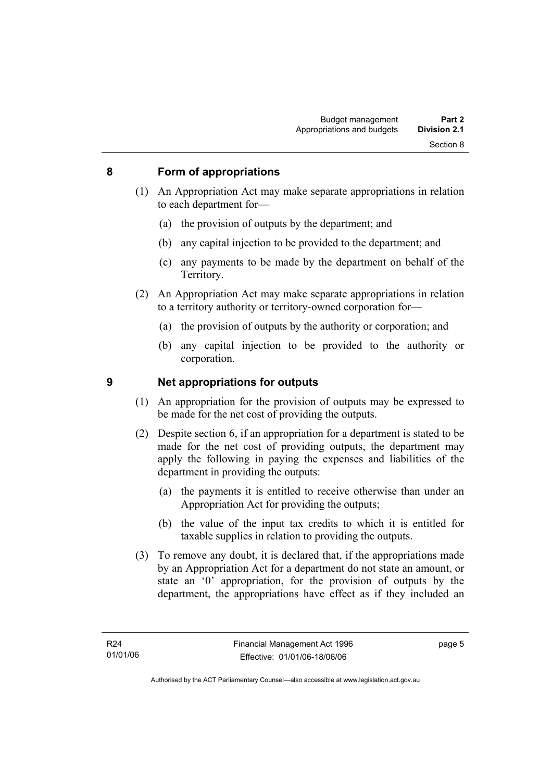#### **8 Form of appropriations**

- (1) An Appropriation Act may make separate appropriations in relation to each department for—
	- (a) the provision of outputs by the department; and
	- (b) any capital injection to be provided to the department; and
	- (c) any payments to be made by the department on behalf of the Territory.
- (2) An Appropriation Act may make separate appropriations in relation to a territory authority or territory-owned corporation for—
	- (a) the provision of outputs by the authority or corporation; and
	- (b) any capital injection to be provided to the authority or corporation.

#### **9 Net appropriations for outputs**

- (1) An appropriation for the provision of outputs may be expressed to be made for the net cost of providing the outputs.
- (2) Despite section 6, if an appropriation for a department is stated to be made for the net cost of providing outputs, the department may apply the following in paying the expenses and liabilities of the department in providing the outputs:
	- (a) the payments it is entitled to receive otherwise than under an Appropriation Act for providing the outputs;
	- (b) the value of the input tax credits to which it is entitled for taxable supplies in relation to providing the outputs.
- (3) To remove any doubt, it is declared that, if the appropriations made by an Appropriation Act for a department do not state an amount, or state an '0' appropriation, for the provision of outputs by the department, the appropriations have effect as if they included an

page 5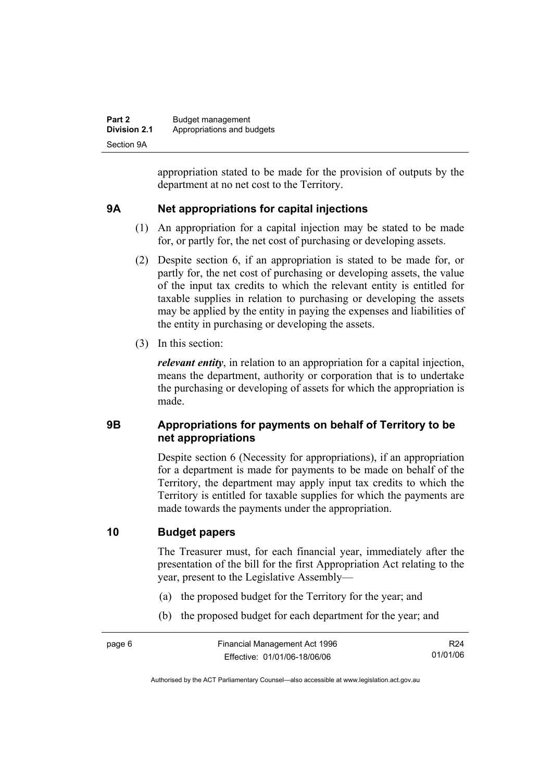| Part 2              | Budget management          |
|---------------------|----------------------------|
| <b>Division 2.1</b> | Appropriations and budgets |
| Section 9A          |                            |

appropriation stated to be made for the provision of outputs by the department at no net cost to the Territory.

#### **9A Net appropriations for capital injections**

- (1) An appropriation for a capital injection may be stated to be made for, or partly for, the net cost of purchasing or developing assets.
- (2) Despite section 6, if an appropriation is stated to be made for, or partly for, the net cost of purchasing or developing assets, the value of the input tax credits to which the relevant entity is entitled for taxable supplies in relation to purchasing or developing the assets may be applied by the entity in paying the expenses and liabilities of the entity in purchasing or developing the assets.
- (3) In this section:

*relevant entity*, in relation to an appropriation for a capital injection, means the department, authority or corporation that is to undertake the purchasing or developing of assets for which the appropriation is made.

#### **9B Appropriations for payments on behalf of Territory to be net appropriations**

Despite section 6 (Necessity for appropriations), if an appropriation for a department is made for payments to be made on behalf of the Territory, the department may apply input tax credits to which the Territory is entitled for taxable supplies for which the payments are made towards the payments under the appropriation.

#### **10 Budget papers**

The Treasurer must, for each financial year, immediately after the presentation of the bill for the first Appropriation Act relating to the year, present to the Legislative Assembly—

- (a) the proposed budget for the Territory for the year; and
- (b) the proposed budget for each department for the year; and

R24 01/01/06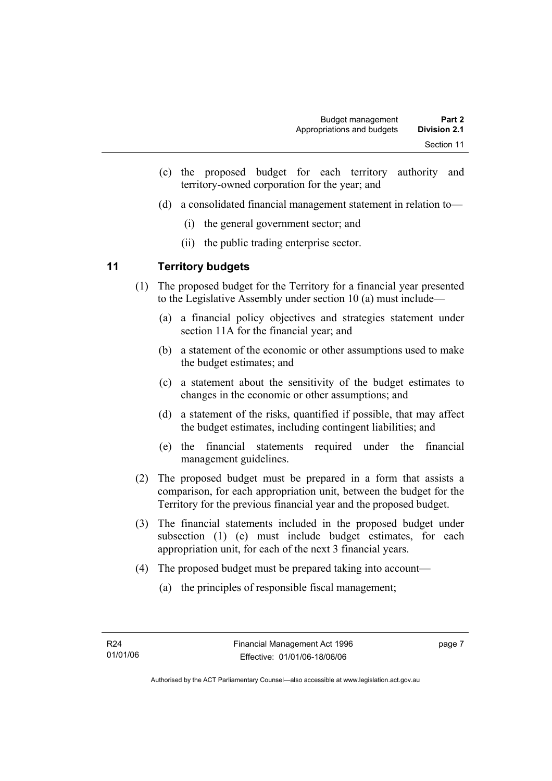- (c) the proposed budget for each territory authority and territory-owned corporation for the year; and
- (d) a consolidated financial management statement in relation to—
	- (i) the general government sector; and
	- (ii) the public trading enterprise sector.

#### **11 Territory budgets**

- (1) The proposed budget for the Territory for a financial year presented to the Legislative Assembly under section 10 (a) must include—
	- (a) a financial policy objectives and strategies statement under section 11A for the financial year; and
	- (b) a statement of the economic or other assumptions used to make the budget estimates; and
	- (c) a statement about the sensitivity of the budget estimates to changes in the economic or other assumptions; and
	- (d) a statement of the risks, quantified if possible, that may affect the budget estimates, including contingent liabilities; and
	- (e) the financial statements required under the financial management guidelines.
- (2) The proposed budget must be prepared in a form that assists a comparison, for each appropriation unit, between the budget for the Territory for the previous financial year and the proposed budget.
- (3) The financial statements included in the proposed budget under subsection (1) (e) must include budget estimates, for each appropriation unit, for each of the next 3 financial years.
- (4) The proposed budget must be prepared taking into account—
	- (a) the principles of responsible fiscal management;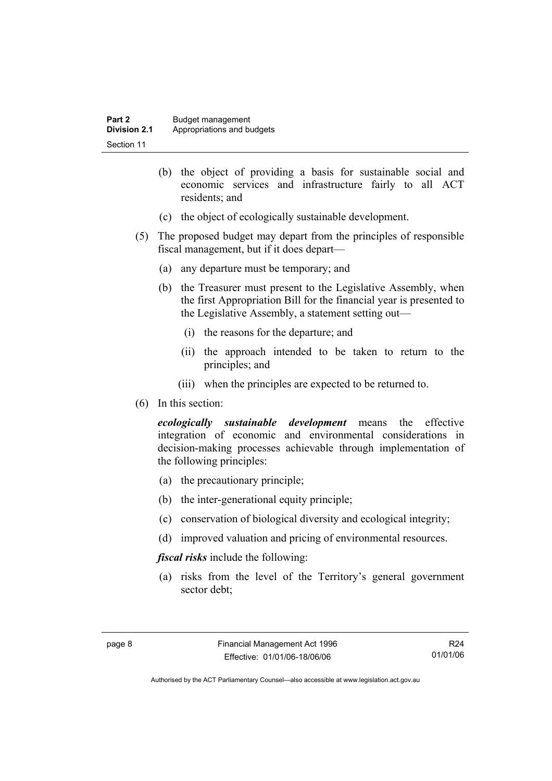| Part 2       | Budget management          |
|--------------|----------------------------|
| Division 2.1 | Appropriations and budgets |
| Section 11   |                            |

- (b) the object of providing a basis for sustainable social and economic services and infrastructure fairly to all ACT residents; and
- (c) the object of ecologically sustainable development.
- (5) The proposed budget may depart from the principles of responsible fiscal management, but if it does depart—
	- (a) any departure must be temporary; and
	- (b) the Treasurer must present to the Legislative Assembly, when the first Appropriation Bill for the financial year is presented to the Legislative Assembly, a statement setting out—
		- (i) the reasons for the departure; and
		- (ii) the approach intended to be taken to return to the principles; and
		- (iii) when the principles are expected to be returned to.
- (6) In this section:

*ecologically sustainable development* means the effective integration of economic and environmental considerations in decision-making processes achievable through implementation of the following principles:

- (a) the precautionary principle;
- (b) the inter-generational equity principle;
- (c) conservation of biological diversity and ecological integrity;
- (d) improved valuation and pricing of environmental resources.

*fiscal risks* include the following:

 (a) risks from the level of the Territory's general government sector debt;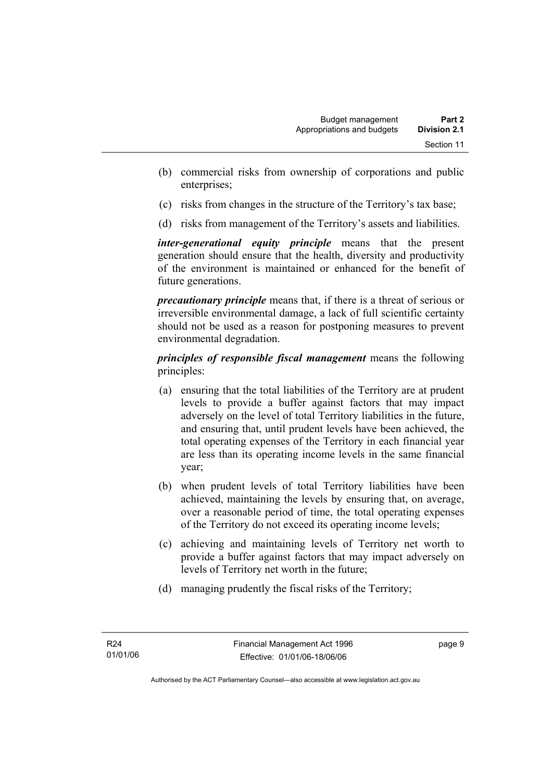- (b) commercial risks from ownership of corporations and public enterprises;
- (c) risks from changes in the structure of the Territory's tax base;
- (d) risks from management of the Territory's assets and liabilities.

*inter-generational equity principle* means that the present generation should ensure that the health, diversity and productivity of the environment is maintained or enhanced for the benefit of future generations.

*precautionary principle* means that, if there is a threat of serious or irreversible environmental damage, a lack of full scientific certainty should not be used as a reason for postponing measures to prevent environmental degradation.

*principles of responsible fiscal management* means the following principles:

- (a) ensuring that the total liabilities of the Territory are at prudent levels to provide a buffer against factors that may impact adversely on the level of total Territory liabilities in the future, and ensuring that, until prudent levels have been achieved, the total operating expenses of the Territory in each financial year are less than its operating income levels in the same financial year;
- (b) when prudent levels of total Territory liabilities have been achieved, maintaining the levels by ensuring that, on average, over a reasonable period of time, the total operating expenses of the Territory do not exceed its operating income levels;
- (c) achieving and maintaining levels of Territory net worth to provide a buffer against factors that may impact adversely on levels of Territory net worth in the future;
- (d) managing prudently the fiscal risks of the Territory;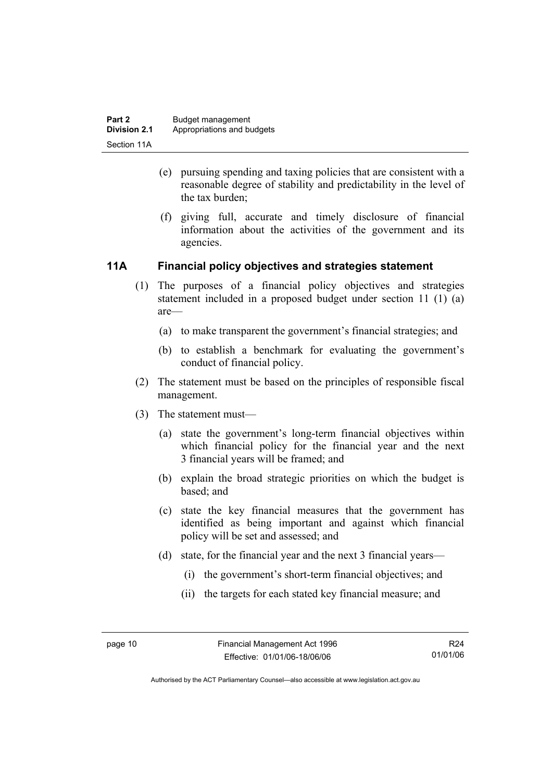- (e) pursuing spending and taxing policies that are consistent with a reasonable degree of stability and predictability in the level of the tax burden;
- (f) giving full, accurate and timely disclosure of financial information about the activities of the government and its agencies.

#### **11A Financial policy objectives and strategies statement**

- (1) The purposes of a financial policy objectives and strategies statement included in a proposed budget under section 11 (1) (a) are—
	- (a) to make transparent the government's financial strategies; and
	- (b) to establish a benchmark for evaluating the government's conduct of financial policy.
- (2) The statement must be based on the principles of responsible fiscal management.
- (3) The statement must—
	- (a) state the government's long-term financial objectives within which financial policy for the financial year and the next 3 financial years will be framed; and
	- (b) explain the broad strategic priorities on which the budget is based; and
	- (c) state the key financial measures that the government has identified as being important and against which financial policy will be set and assessed; and
	- (d) state, for the financial year and the next 3 financial years—
		- (i) the government's short-term financial objectives; and
		- (ii) the targets for each stated key financial measure; and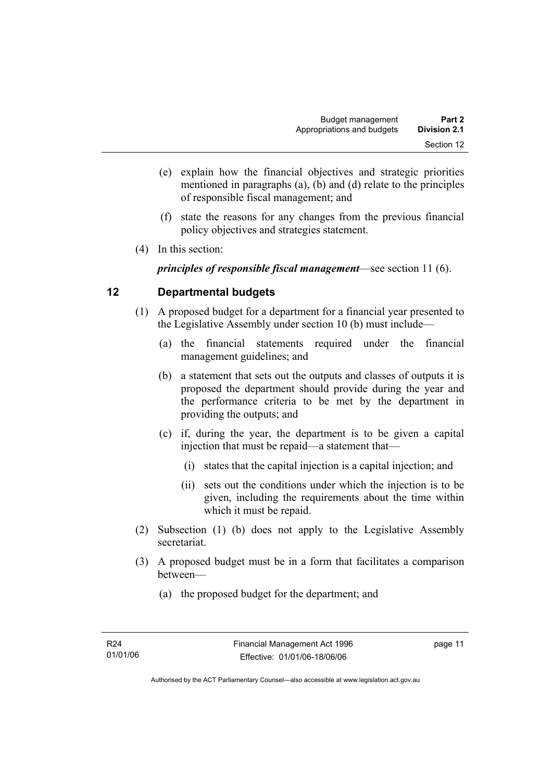- (e) explain how the financial objectives and strategic priorities mentioned in paragraphs (a), (b) and (d) relate to the principles of responsible fiscal management; and
- (f) state the reasons for any changes from the previous financial policy objectives and strategies statement.
- (4) In this section:

*principles of responsible fiscal management*—see section 11 (6).

#### **12 Departmental budgets**

- (1) A proposed budget for a department for a financial year presented to the Legislative Assembly under section 10 (b) must include—
	- (a) the financial statements required under the financial management guidelines; and
	- (b) a statement that sets out the outputs and classes of outputs it is proposed the department should provide during the year and the performance criteria to be met by the department in providing the outputs; and
	- (c) if, during the year, the department is to be given a capital injection that must be repaid—a statement that—
		- (i) states that the capital injection is a capital injection; and
		- (ii) sets out the conditions under which the injection is to be given, including the requirements about the time within which it must be repaid.
- (2) Subsection (1) (b) does not apply to the Legislative Assembly secretariat.
- (3) A proposed budget must be in a form that facilitates a comparison between—
	- (a) the proposed budget for the department; and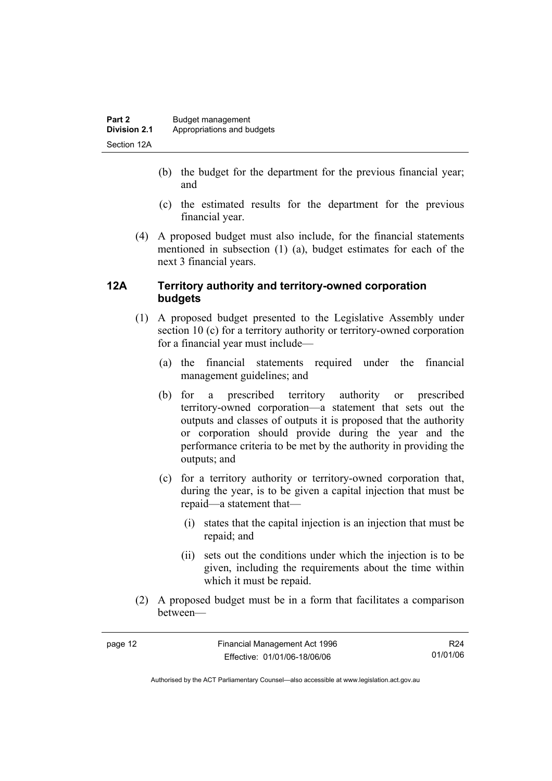- (b) the budget for the department for the previous financial year; and
- (c) the estimated results for the department for the previous financial year.
- (4) A proposed budget must also include, for the financial statements mentioned in subsection (1) (a), budget estimates for each of the next 3 financial years.

#### **12A Territory authority and territory-owned corporation budgets**

- (1) A proposed budget presented to the Legislative Assembly under section 10 (c) for a territory authority or territory-owned corporation for a financial year must include—
	- (a) the financial statements required under the financial management guidelines; and
	- (b) for a prescribed territory authority or prescribed territory-owned corporation—a statement that sets out the outputs and classes of outputs it is proposed that the authority or corporation should provide during the year and the performance criteria to be met by the authority in providing the outputs; and
	- (c) for a territory authority or territory-owned corporation that, during the year, is to be given a capital injection that must be repaid—a statement that—
		- (i) states that the capital injection is an injection that must be repaid; and
		- (ii) sets out the conditions under which the injection is to be given, including the requirements about the time within which it must be repaid.
- (2) A proposed budget must be in a form that facilitates a comparison between—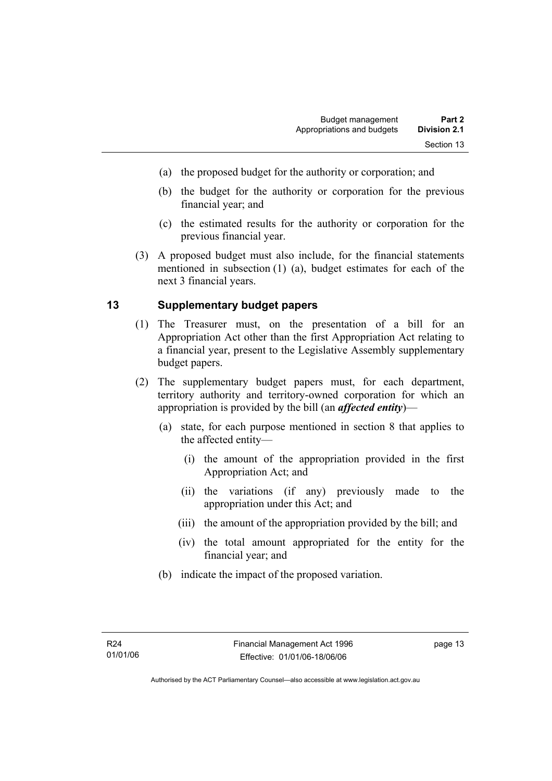- (a) the proposed budget for the authority or corporation; and
- (b) the budget for the authority or corporation for the previous financial year; and
- (c) the estimated results for the authority or corporation for the previous financial year.
- (3) A proposed budget must also include, for the financial statements mentioned in subsection (1) (a), budget estimates for each of the next 3 financial years.

#### **13 Supplementary budget papers**

- (1) The Treasurer must, on the presentation of a bill for an Appropriation Act other than the first Appropriation Act relating to a financial year, present to the Legislative Assembly supplementary budget papers.
- (2) The supplementary budget papers must, for each department, territory authority and territory-owned corporation for which an appropriation is provided by the bill (an *affected entity*)—
	- (a) state, for each purpose mentioned in section 8 that applies to the affected entity—
		- (i) the amount of the appropriation provided in the first Appropriation Act; and
		- (ii) the variations (if any) previously made to the appropriation under this Act; and
		- (iii) the amount of the appropriation provided by the bill; and
		- (iv) the total amount appropriated for the entity for the financial year; and
	- (b) indicate the impact of the proposed variation.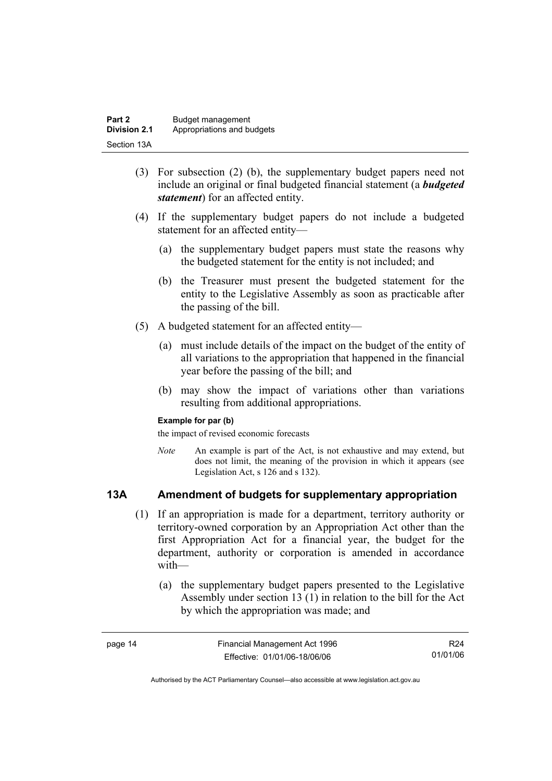| Part 2              | Budget management          |
|---------------------|----------------------------|
| <b>Division 2.1</b> | Appropriations and budgets |
| Section 13A         |                            |

- (3) For subsection (2) (b), the supplementary budget papers need not include an original or final budgeted financial statement (a *budgeted statement*) for an affected entity.
- (4) If the supplementary budget papers do not include a budgeted statement for an affected entity—
	- (a) the supplementary budget papers must state the reasons why the budgeted statement for the entity is not included; and
	- (b) the Treasurer must present the budgeted statement for the entity to the Legislative Assembly as soon as practicable after the passing of the bill.
- (5) A budgeted statement for an affected entity—
	- (a) must include details of the impact on the budget of the entity of all variations to the appropriation that happened in the financial year before the passing of the bill; and
	- (b) may show the impact of variations other than variations resulting from additional appropriations.

#### **Example for par (b)**

the impact of revised economic forecasts

*Note* An example is part of the Act, is not exhaustive and may extend, but does not limit, the meaning of the provision in which it appears (see Legislation Act, s 126 and s 132).

#### **13A Amendment of budgets for supplementary appropriation**

- (1) If an appropriation is made for a department, territory authority or territory-owned corporation by an Appropriation Act other than the first Appropriation Act for a financial year, the budget for the department, authority or corporation is amended in accordance with—
	- (a) the supplementary budget papers presented to the Legislative Assembly under section 13 (1) in relation to the bill for the Act by which the appropriation was made; and

| page 14 | Financial Management Act 1996 | R24      |
|---------|-------------------------------|----------|
|         | Effective: 01/01/06-18/06/06  | 01/01/06 |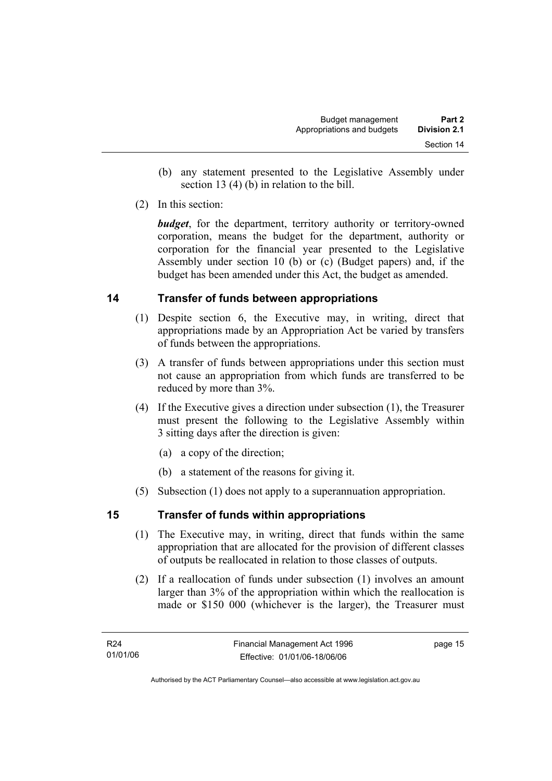- (b) any statement presented to the Legislative Assembly under section 13 (4) (b) in relation to the bill.
- (2) In this section:

*budget*, for the department, territory authority or territory-owned corporation, means the budget for the department, authority or corporation for the financial year presented to the Legislative Assembly under section 10 (b) or (c) (Budget papers) and, if the budget has been amended under this Act, the budget as amended.

#### **14 Transfer of funds between appropriations**

- (1) Despite section 6, the Executive may, in writing, direct that appropriations made by an Appropriation Act be varied by transfers of funds between the appropriations.
- (3) A transfer of funds between appropriations under this section must not cause an appropriation from which funds are transferred to be reduced by more than 3%.
- (4) If the Executive gives a direction under subsection (1), the Treasurer must present the following to the Legislative Assembly within 3 sitting days after the direction is given:
	- (a) a copy of the direction;
	- (b) a statement of the reasons for giving it.
- (5) Subsection (1) does not apply to a superannuation appropriation.

#### **15 Transfer of funds within appropriations**

- (1) The Executive may, in writing, direct that funds within the same appropriation that are allocated for the provision of different classes of outputs be reallocated in relation to those classes of outputs.
- (2) If a reallocation of funds under subsection (1) involves an amount larger than 3% of the appropriation within which the reallocation is made or \$150 000 (whichever is the larger), the Treasurer must

page 15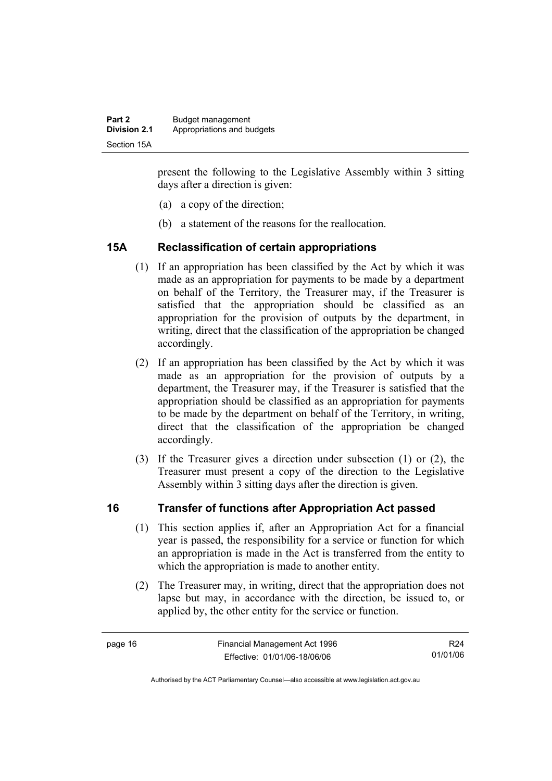present the following to the Legislative Assembly within 3 sitting days after a direction is given:

- (a) a copy of the direction;
- (b) a statement of the reasons for the reallocation.

#### **15A Reclassification of certain appropriations**

- (1) If an appropriation has been classified by the Act by which it was made as an appropriation for payments to be made by a department on behalf of the Territory, the Treasurer may, if the Treasurer is satisfied that the appropriation should be classified as an appropriation for the provision of outputs by the department, in writing, direct that the classification of the appropriation be changed accordingly.
- (2) If an appropriation has been classified by the Act by which it was made as an appropriation for the provision of outputs by a department, the Treasurer may, if the Treasurer is satisfied that the appropriation should be classified as an appropriation for payments to be made by the department on behalf of the Territory, in writing, direct that the classification of the appropriation be changed accordingly.
- (3) If the Treasurer gives a direction under subsection (1) or (2), the Treasurer must present a copy of the direction to the Legislative Assembly within 3 sitting days after the direction is given.

#### **16 Transfer of functions after Appropriation Act passed**

- (1) This section applies if, after an Appropriation Act for a financial year is passed, the responsibility for a service or function for which an appropriation is made in the Act is transferred from the entity to which the appropriation is made to another entity.
- (2) The Treasurer may, in writing, direct that the appropriation does not lapse but may, in accordance with the direction, be issued to, or applied by, the other entity for the service or function.

R24 01/01/06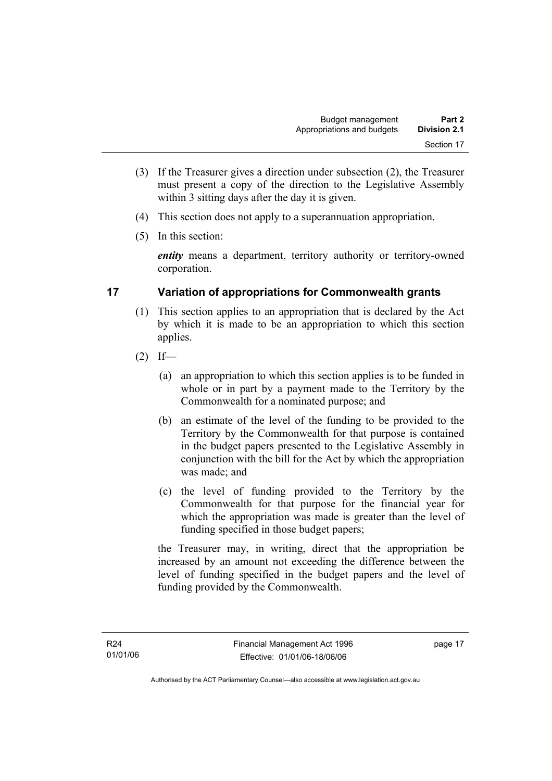- (3) If the Treasurer gives a direction under subsection (2), the Treasurer must present a copy of the direction to the Legislative Assembly within 3 sitting days after the day it is given.
- (4) This section does not apply to a superannuation appropriation.
- (5) In this section:

*entity* means a department, territory authority or territory-owned corporation.

#### **17 Variation of appropriations for Commonwealth grants**

- (1) This section applies to an appropriation that is declared by the Act by which it is made to be an appropriation to which this section applies.
- $(2)$  If—
	- (a) an appropriation to which this section applies is to be funded in whole or in part by a payment made to the Territory by the Commonwealth for a nominated purpose; and
	- (b) an estimate of the level of the funding to be provided to the Territory by the Commonwealth for that purpose is contained in the budget papers presented to the Legislative Assembly in conjunction with the bill for the Act by which the appropriation was made; and
	- (c) the level of funding provided to the Territory by the Commonwealth for that purpose for the financial year for which the appropriation was made is greater than the level of funding specified in those budget papers;

the Treasurer may, in writing, direct that the appropriation be increased by an amount not exceeding the difference between the level of funding specified in the budget papers and the level of funding provided by the Commonwealth.

page 17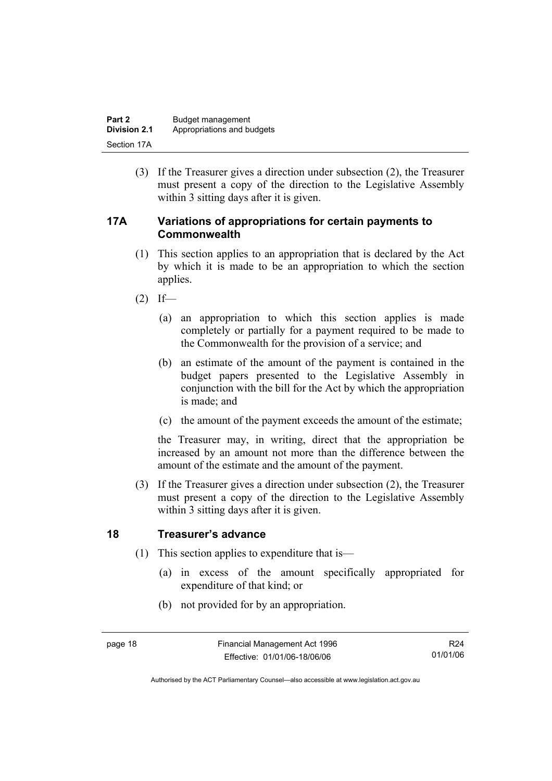| Part 2              | Budget management          |
|---------------------|----------------------------|
| <b>Division 2.1</b> | Appropriations and budgets |
| Section 17A         |                            |

 (3) If the Treasurer gives a direction under subsection (2), the Treasurer must present a copy of the direction to the Legislative Assembly within 3 sitting days after it is given.

#### **17A Variations of appropriations for certain payments to Commonwealth**

- (1) This section applies to an appropriation that is declared by the Act by which it is made to be an appropriation to which the section applies.
- $(2)$  If—
	- (a) an appropriation to which this section applies is made completely or partially for a payment required to be made to the Commonwealth for the provision of a service; and
	- (b) an estimate of the amount of the payment is contained in the budget papers presented to the Legislative Assembly in conjunction with the bill for the Act by which the appropriation is made; and
	- (c) the amount of the payment exceeds the amount of the estimate;

the Treasurer may, in writing, direct that the appropriation be increased by an amount not more than the difference between the amount of the estimate and the amount of the payment.

 (3) If the Treasurer gives a direction under subsection (2), the Treasurer must present a copy of the direction to the Legislative Assembly within 3 sitting days after it is given.

#### **18 Treasurer's advance**

- (1) This section applies to expenditure that is—
	- (a) in excess of the amount specifically appropriated for expenditure of that kind; or
	- (b) not provided for by an appropriation.

Authorised by the ACT Parliamentary Counsel—also accessible at www.legislation.act.gov.au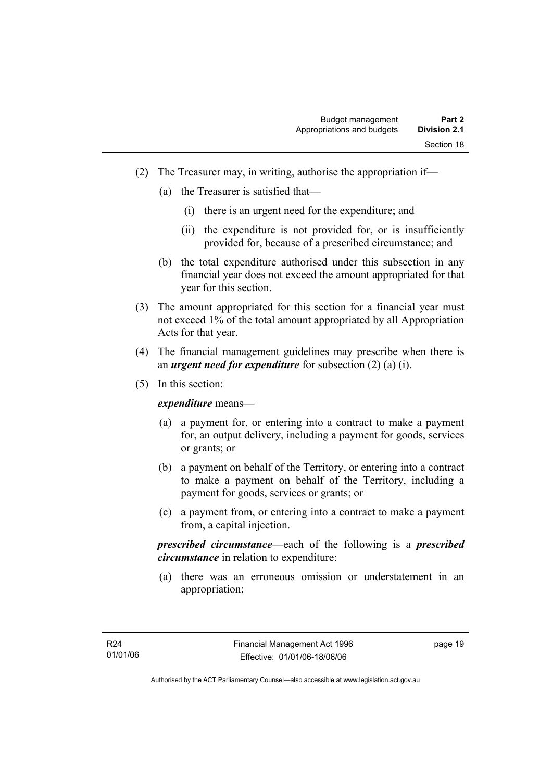- (2) The Treasurer may, in writing, authorise the appropriation if—
	- (a) the Treasurer is satisfied that—
		- (i) there is an urgent need for the expenditure; and
		- (ii) the expenditure is not provided for, or is insufficiently provided for, because of a prescribed circumstance; and
	- (b) the total expenditure authorised under this subsection in any financial year does not exceed the amount appropriated for that year for this section.
- (3) The amount appropriated for this section for a financial year must not exceed 1% of the total amount appropriated by all Appropriation Acts for that year.
- (4) The financial management guidelines may prescribe when there is an *urgent need for expenditure* for subsection (2) (a) (i).
- (5) In this section:

*expenditure* means—

- (a) a payment for, or entering into a contract to make a payment for, an output delivery, including a payment for goods, services or grants; or
- (b) a payment on behalf of the Territory, or entering into a contract to make a payment on behalf of the Territory, including a payment for goods, services or grants; or
- (c) a payment from, or entering into a contract to make a payment from, a capital injection.

*prescribed circumstance*—each of the following is a *prescribed circumstance* in relation to expenditure:

 (a) there was an erroneous omission or understatement in an appropriation;

page 19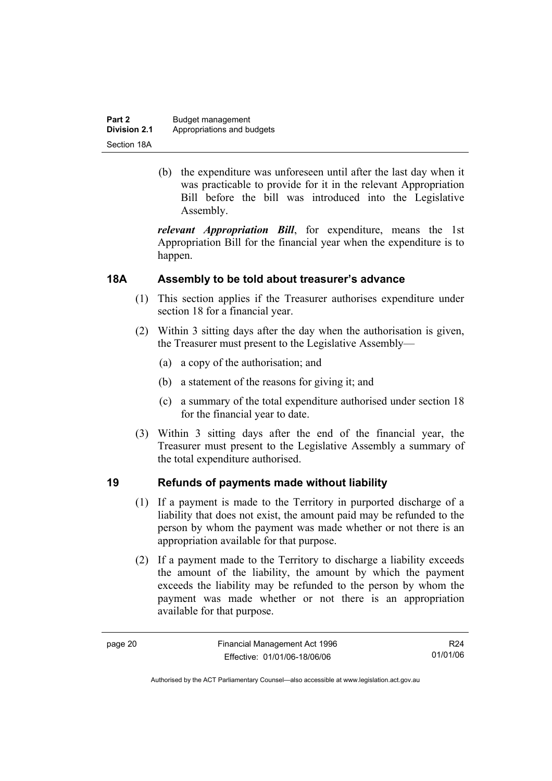| Part 2              | Budget management          |
|---------------------|----------------------------|
| <b>Division 2.1</b> | Appropriations and budgets |
| Section 18A         |                            |

 (b) the expenditure was unforeseen until after the last day when it was practicable to provide for it in the relevant Appropriation Bill before the bill was introduced into the Legislative Assembly.

*relevant Appropriation Bill*, for expenditure, means the 1st Appropriation Bill for the financial year when the expenditure is to happen.

#### **18A Assembly to be told about treasurer's advance**

- (1) This section applies if the Treasurer authorises expenditure under section 18 for a financial year.
- (2) Within 3 sitting days after the day when the authorisation is given, the Treasurer must present to the Legislative Assembly—
	- (a) a copy of the authorisation; and
	- (b) a statement of the reasons for giving it; and
	- (c) a summary of the total expenditure authorised under section 18 for the financial year to date.
- (3) Within 3 sitting days after the end of the financial year, the Treasurer must present to the Legislative Assembly a summary of the total expenditure authorised.

#### **19 Refunds of payments made without liability**

- (1) If a payment is made to the Territory in purported discharge of a liability that does not exist, the amount paid may be refunded to the person by whom the payment was made whether or not there is an appropriation available for that purpose.
- (2) If a payment made to the Territory to discharge a liability exceeds the amount of the liability, the amount by which the payment exceeds the liability may be refunded to the person by whom the payment was made whether or not there is an appropriation available for that purpose.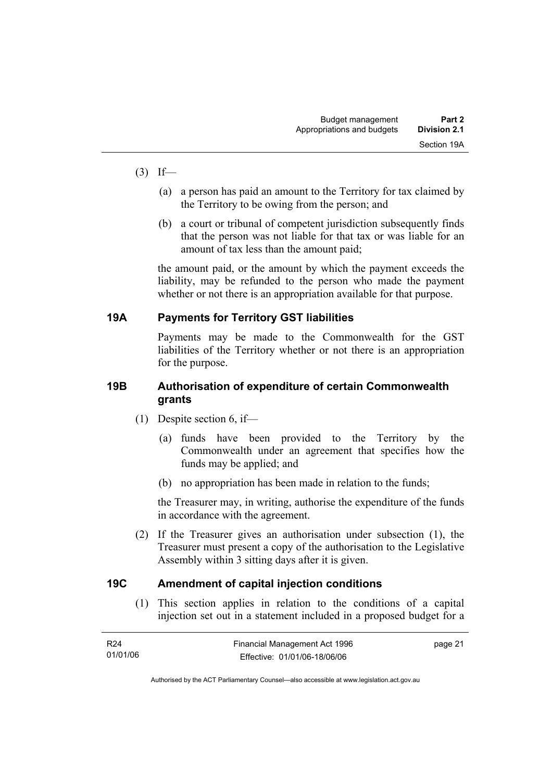- $(3)$  If—
	- (a) a person has paid an amount to the Territory for tax claimed by the Territory to be owing from the person; and
	- (b) a court or tribunal of competent jurisdiction subsequently finds that the person was not liable for that tax or was liable for an amount of tax less than the amount paid;

the amount paid, or the amount by which the payment exceeds the liability, may be refunded to the person who made the payment whether or not there is an appropriation available for that purpose.

#### **19A Payments for Territory GST liabilities**

Payments may be made to the Commonwealth for the GST liabilities of the Territory whether or not there is an appropriation for the purpose.

#### **19B Authorisation of expenditure of certain Commonwealth grants**

- (1) Despite section 6, if—
	- (a) funds have been provided to the Territory by the Commonwealth under an agreement that specifies how the funds may be applied; and
	- (b) no appropriation has been made in relation to the funds;

the Treasurer may, in writing, authorise the expenditure of the funds in accordance with the agreement.

 (2) If the Treasurer gives an authorisation under subsection (1), the Treasurer must present a copy of the authorisation to the Legislative Assembly within 3 sitting days after it is given.

#### **19C Amendment of capital injection conditions**

 (1) This section applies in relation to the conditions of a capital injection set out in a statement included in a proposed budget for a

| R24      | Financial Management Act 1996 | page 21 |
|----------|-------------------------------|---------|
| 01/01/06 | Effective: 01/01/06-18/06/06  |         |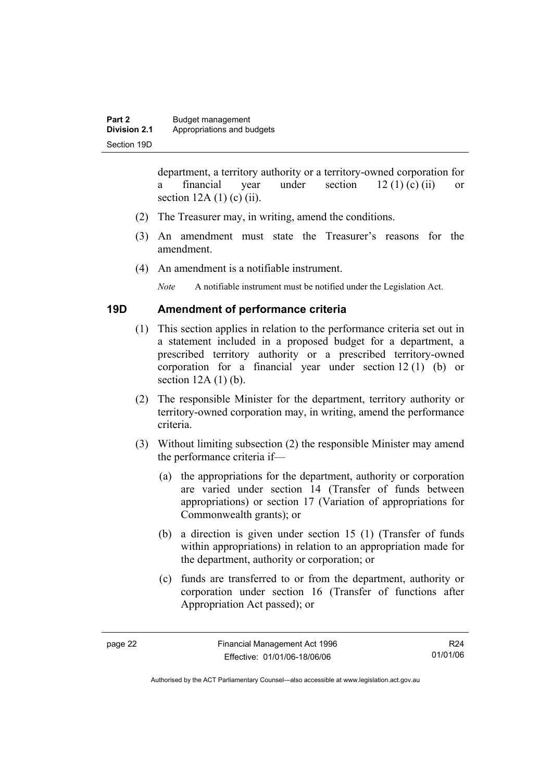department, a territory authority or a territory-owned corporation for a financial year under section  $12 (1) (c) (ii)$  or section  $12A(1)$  (c) (ii).

- (2) The Treasurer may, in writing, amend the conditions.
- (3) An amendment must state the Treasurer's reasons for the amendment.
- (4) An amendment is a notifiable instrument.

*Note* A notifiable instrument must be notified under the Legislation Act.

#### **19D Amendment of performance criteria**

- (1) This section applies in relation to the performance criteria set out in a statement included in a proposed budget for a department, a prescribed territory authority or a prescribed territory-owned corporation for a financial year under section 12 (1) (b) or section  $12A(1)(b)$ .
- (2) The responsible Minister for the department, territory authority or territory-owned corporation may, in writing, amend the performance criteria.
- (3) Without limiting subsection (2) the responsible Minister may amend the performance criteria if—
	- (a) the appropriations for the department, authority or corporation are varied under section 14 (Transfer of funds between appropriations) or section 17 (Variation of appropriations for Commonwealth grants); or
	- (b) a direction is given under section 15 (1) (Transfer of funds within appropriations) in relation to an appropriation made for the department, authority or corporation; or
	- (c) funds are transferred to or from the department, authority or corporation under section 16 (Transfer of functions after Appropriation Act passed); or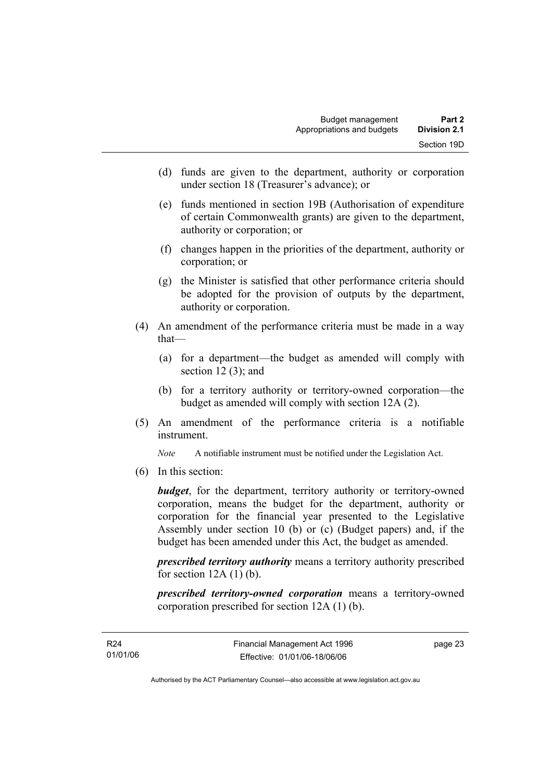- (d) funds are given to the department, authority or corporation under section 18 (Treasurer's advance); or
- (e) funds mentioned in section 19B (Authorisation of expenditure of certain Commonwealth grants) are given to the department, authority or corporation; or
- (f) changes happen in the priorities of the department, authority or corporation; or
- (g) the Minister is satisfied that other performance criteria should be adopted for the provision of outputs by the department, authority or corporation.
- (4) An amendment of the performance criteria must be made in a way that—
	- (a) for a department—the budget as amended will comply with section  $12(3)$ ; and
	- (b) for a territory authority or territory-owned corporation—the budget as amended will comply with section 12A (2).
- (5) An amendment of the performance criteria is a notifiable instrument.

*Note* A notifiable instrument must be notified under the Legislation Act.

(6) In this section:

*budget*, for the department, territory authority or territory-owned corporation, means the budget for the department, authority or corporation for the financial year presented to the Legislative Assembly under section 10 (b) or (c) (Budget papers) and, if the budget has been amended under this Act, the budget as amended.

*prescribed territory authority* means a territory authority prescribed for section  $12A(1)$  (b).

*prescribed territory-owned corporation* means a territory-owned corporation prescribed for section 12A (1) (b).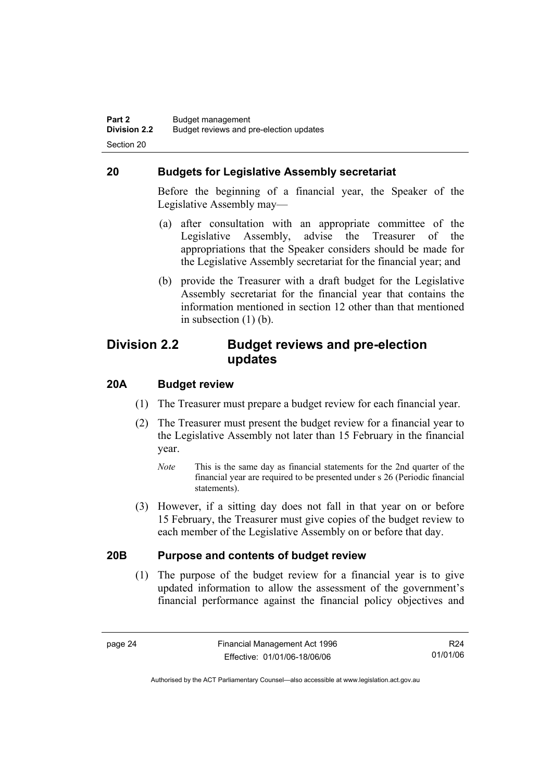#### **20 Budgets for Legislative Assembly secretariat**

Before the beginning of a financial year, the Speaker of the Legislative Assembly may—

- (a) after consultation with an appropriate committee of the Legislative Assembly, advise the Treasurer of the appropriations that the Speaker considers should be made for the Legislative Assembly secretariat for the financial year; and
- (b) provide the Treasurer with a draft budget for the Legislative Assembly secretariat for the financial year that contains the information mentioned in section 12 other than that mentioned in subsection (1) (b).

#### **Division 2.2 Budget reviews and pre-election updates**

#### **20A Budget review**

- (1) The Treasurer must prepare a budget review for each financial year.
- (2) The Treasurer must present the budget review for a financial year to the Legislative Assembly not later than 15 February in the financial year.
	- *Note* This is the same day as financial statements for the 2nd quarter of the financial year are required to be presented under s 26 (Periodic financial statements).
- (3) However, if a sitting day does not fall in that year on or before 15 February, the Treasurer must give copies of the budget review to each member of the Legislative Assembly on or before that day.

#### **20B Purpose and contents of budget review**

 (1) The purpose of the budget review for a financial year is to give updated information to allow the assessment of the government's financial performance against the financial policy objectives and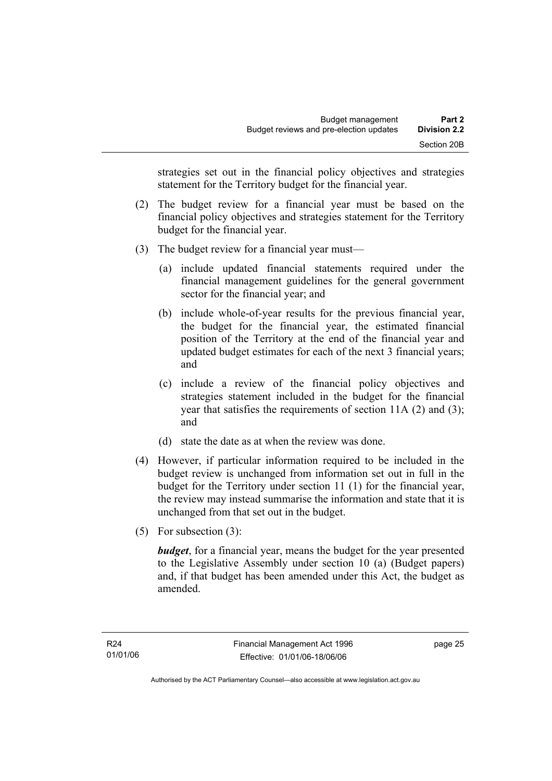strategies set out in the financial policy objectives and strategies statement for the Territory budget for the financial year.

- (2) The budget review for a financial year must be based on the financial policy objectives and strategies statement for the Territory budget for the financial year.
- (3) The budget review for a financial year must—
	- (a) include updated financial statements required under the financial management guidelines for the general government sector for the financial year; and
	- (b) include whole-of-year results for the previous financial year, the budget for the financial year, the estimated financial position of the Territory at the end of the financial year and updated budget estimates for each of the next 3 financial years; and
	- (c) include a review of the financial policy objectives and strategies statement included in the budget for the financial year that satisfies the requirements of section 11A (2) and (3); and
	- (d) state the date as at when the review was done.
- (4) However, if particular information required to be included in the budget review is unchanged from information set out in full in the budget for the Territory under section 11 (1) for the financial year, the review may instead summarise the information and state that it is unchanged from that set out in the budget.
- (5) For subsection (3):

*budget*, for a financial year, means the budget for the year presented to the Legislative Assembly under section 10 (a) (Budget papers) and, if that budget has been amended under this Act, the budget as amended.

page 25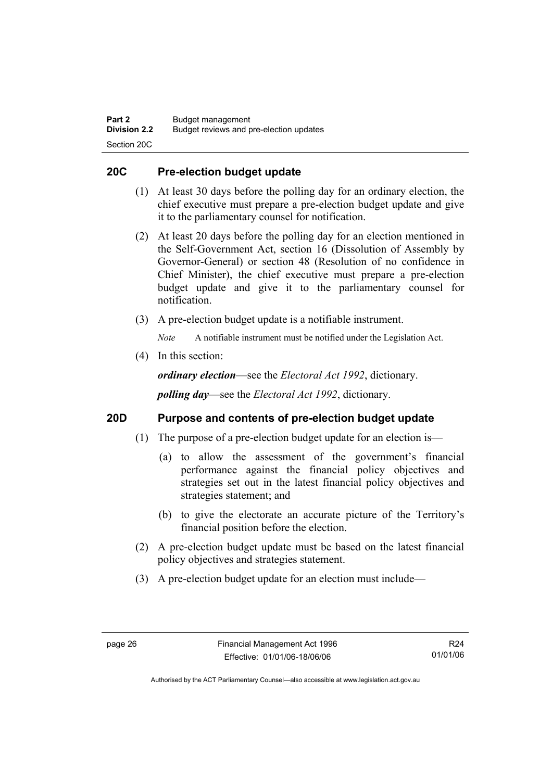#### **20C Pre-election budget update**

- (1) At least 30 days before the polling day for an ordinary election, the chief executive must prepare a pre-election budget update and give it to the parliamentary counsel for notification.
- (2) At least 20 days before the polling day for an election mentioned in the Self-Government Act, section 16 (Dissolution of Assembly by Governor-General) or section 48 (Resolution of no confidence in Chief Minister), the chief executive must prepare a pre-election budget update and give it to the parliamentary counsel for notification.
- (3) A pre-election budget update is a notifiable instrument.

*Note* A notifiable instrument must be notified under the Legislation Act.

(4) In this section:

*ordinary election*—see the *Electoral Act 1992*, dictionary.

*polling day*—see the *Electoral Act 1992*, dictionary.

#### **20D Purpose and contents of pre-election budget update**

- (1) The purpose of a pre-election budget update for an election is—
	- (a) to allow the assessment of the government's financial performance against the financial policy objectives and strategies set out in the latest financial policy objectives and strategies statement; and
	- (b) to give the electorate an accurate picture of the Territory's financial position before the election.
- (2) A pre-election budget update must be based on the latest financial policy objectives and strategies statement.
- (3) A pre-election budget update for an election must include—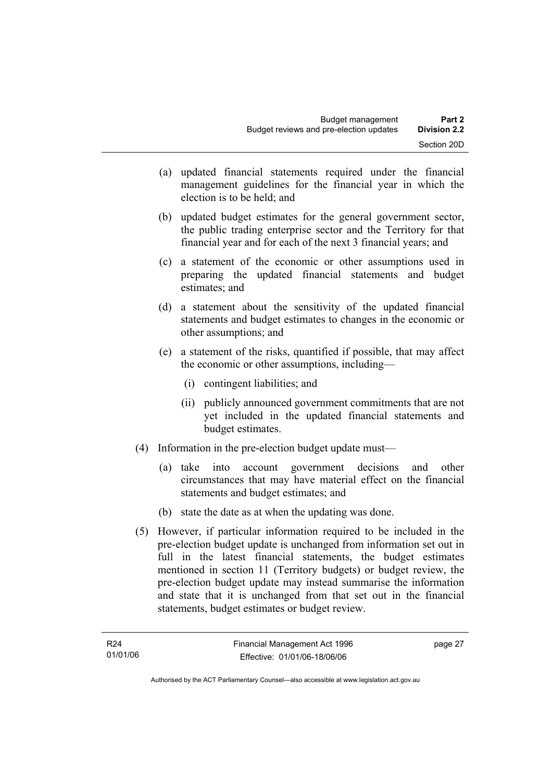- (a) updated financial statements required under the financial management guidelines for the financial year in which the election is to be held; and
- (b) updated budget estimates for the general government sector, the public trading enterprise sector and the Territory for that financial year and for each of the next 3 financial years; and
- (c) a statement of the economic or other assumptions used in preparing the updated financial statements and budget estimates; and
- (d) a statement about the sensitivity of the updated financial statements and budget estimates to changes in the economic or other assumptions; and
- (e) a statement of the risks, quantified if possible, that may affect the economic or other assumptions, including—
	- (i) contingent liabilities; and
	- (ii) publicly announced government commitments that are not yet included in the updated financial statements and budget estimates.
- (4) Information in the pre-election budget update must—
	- (a) take into account government decisions and other circumstances that may have material effect on the financial statements and budget estimates; and
	- (b) state the date as at when the updating was done.
- (5) However, if particular information required to be included in the pre-election budget update is unchanged from information set out in full in the latest financial statements, the budget estimates mentioned in section 11 (Territory budgets) or budget review, the pre-election budget update may instead summarise the information and state that it is unchanged from that set out in the financial statements, budget estimates or budget review.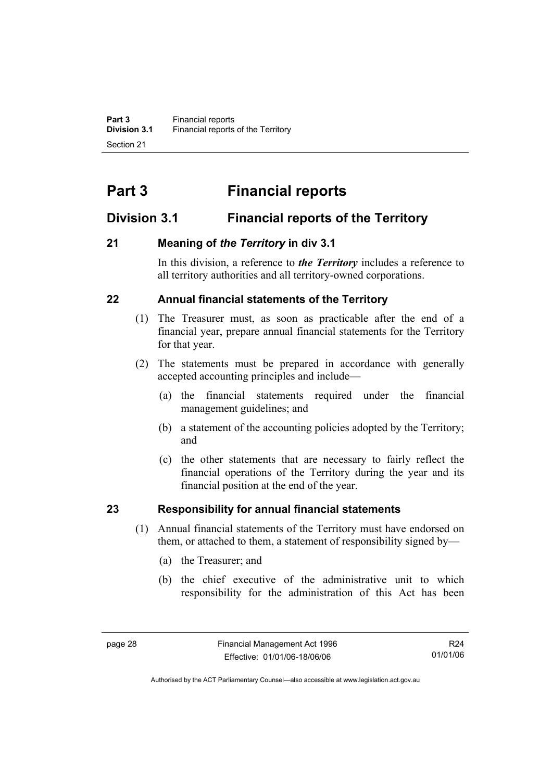# **Part 3 Financial reports**

## **Division 3.1 Financial reports of the Territory**

## **21 Meaning of** *the Territory* **in div 3.1**

In this division, a reference to *the Territory* includes a reference to all territory authorities and all territory-owned corporations.

## **22 Annual financial statements of the Territory**

- (1) The Treasurer must, as soon as practicable after the end of a financial year, prepare annual financial statements for the Territory for that year.
- (2) The statements must be prepared in accordance with generally accepted accounting principles and include—
	- (a) the financial statements required under the financial management guidelines; and
	- (b) a statement of the accounting policies adopted by the Territory; and
	- (c) the other statements that are necessary to fairly reflect the financial operations of the Territory during the year and its financial position at the end of the year.

## **23 Responsibility for annual financial statements**

- (1) Annual financial statements of the Territory must have endorsed on them, or attached to them, a statement of responsibility signed by—
	- (a) the Treasurer; and
	- (b) the chief executive of the administrative unit to which responsibility for the administration of this Act has been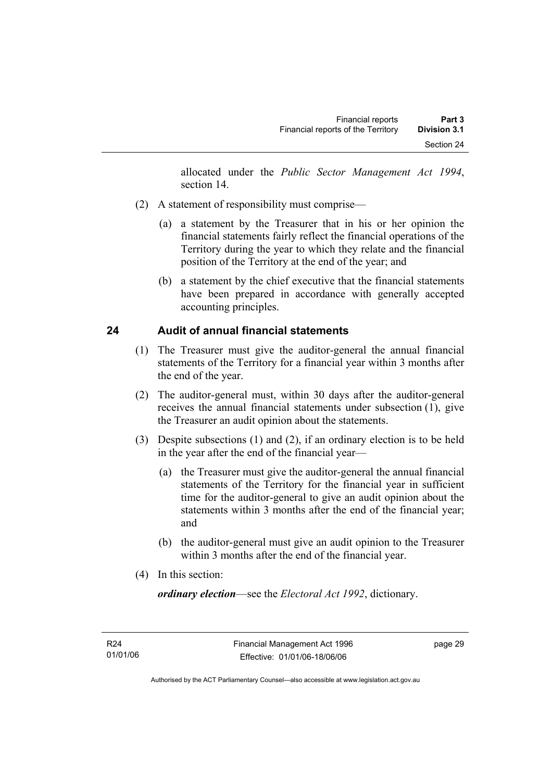allocated under the *Public Sector Management Act 1994*, section 14.

- (2) A statement of responsibility must comprise—
	- (a) a statement by the Treasurer that in his or her opinion the financial statements fairly reflect the financial operations of the Territory during the year to which they relate and the financial position of the Territory at the end of the year; and
	- (b) a statement by the chief executive that the financial statements have been prepared in accordance with generally accepted accounting principles.

## **24 Audit of annual financial statements**

- (1) The Treasurer must give the auditor-general the annual financial statements of the Territory for a financial year within 3 months after the end of the year.
- (2) The auditor-general must, within 30 days after the auditor-general receives the annual financial statements under subsection (1), give the Treasurer an audit opinion about the statements.
- (3) Despite subsections (1) and (2), if an ordinary election is to be held in the year after the end of the financial year—
	- (a) the Treasurer must give the auditor-general the annual financial statements of the Territory for the financial year in sufficient time for the auditor-general to give an audit opinion about the statements within 3 months after the end of the financial year; and
	- (b) the auditor-general must give an audit opinion to the Treasurer within 3 months after the end of the financial year.
- (4) In this section:

*ordinary election*—see the *Electoral Act 1992*, dictionary.

page 29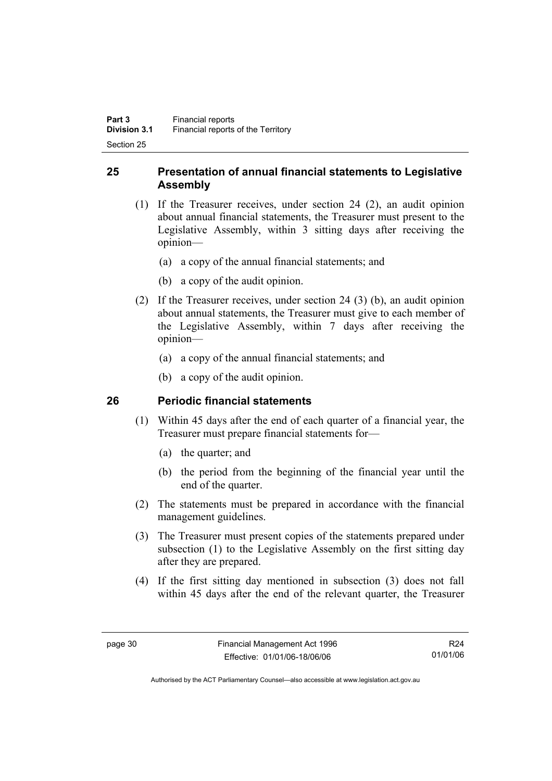#### **25 Presentation of annual financial statements to Legislative Assembly**

- (1) If the Treasurer receives, under section 24 (2), an audit opinion about annual financial statements, the Treasurer must present to the Legislative Assembly, within 3 sitting days after receiving the opinion—
	- (a) a copy of the annual financial statements; and
	- (b) a copy of the audit opinion.
- (2) If the Treasurer receives, under section 24 (3) (b), an audit opinion about annual statements, the Treasurer must give to each member of the Legislative Assembly, within 7 days after receiving the opinion—
	- (a) a copy of the annual financial statements; and
	- (b) a copy of the audit opinion.

#### **26 Periodic financial statements**

- (1) Within 45 days after the end of each quarter of a financial year, the Treasurer must prepare financial statements for—
	- (a) the quarter; and
	- (b) the period from the beginning of the financial year until the end of the quarter.
- (2) The statements must be prepared in accordance with the financial management guidelines.
- (3) The Treasurer must present copies of the statements prepared under subsection (1) to the Legislative Assembly on the first sitting day after they are prepared.
- (4) If the first sitting day mentioned in subsection (3) does not fall within 45 days after the end of the relevant quarter, the Treasurer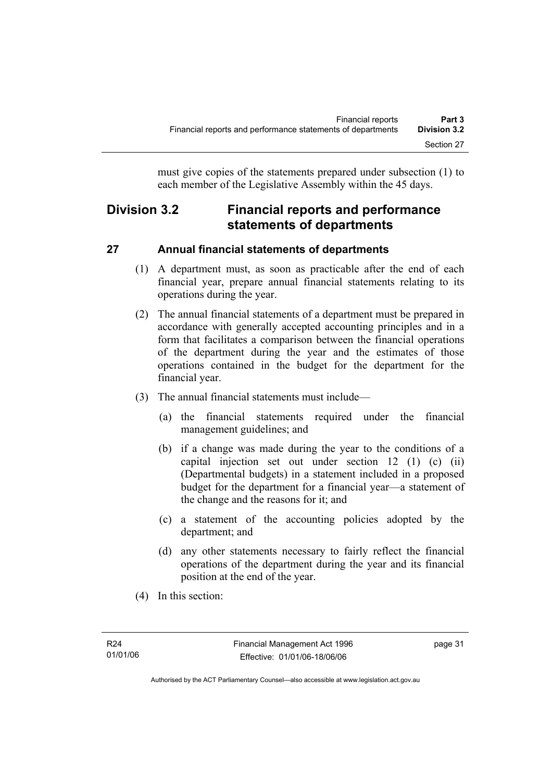must give copies of the statements prepared under subsection (1) to each member of the Legislative Assembly within the 45 days.

# **Division 3.2 Financial reports and performance statements of departments**

## **27 Annual financial statements of departments**

- (1) A department must, as soon as practicable after the end of each financial year, prepare annual financial statements relating to its operations during the year.
- (2) The annual financial statements of a department must be prepared in accordance with generally accepted accounting principles and in a form that facilitates a comparison between the financial operations of the department during the year and the estimates of those operations contained in the budget for the department for the financial year.
- (3) The annual financial statements must include—
	- (a) the financial statements required under the financial management guidelines; and
	- (b) if a change was made during the year to the conditions of a capital injection set out under section 12 (1) (c) (ii) (Departmental budgets) in a statement included in a proposed budget for the department for a financial year—a statement of the change and the reasons for it; and
	- (c) a statement of the accounting policies adopted by the department; and
	- (d) any other statements necessary to fairly reflect the financial operations of the department during the year and its financial position at the end of the year.
- (4) In this section: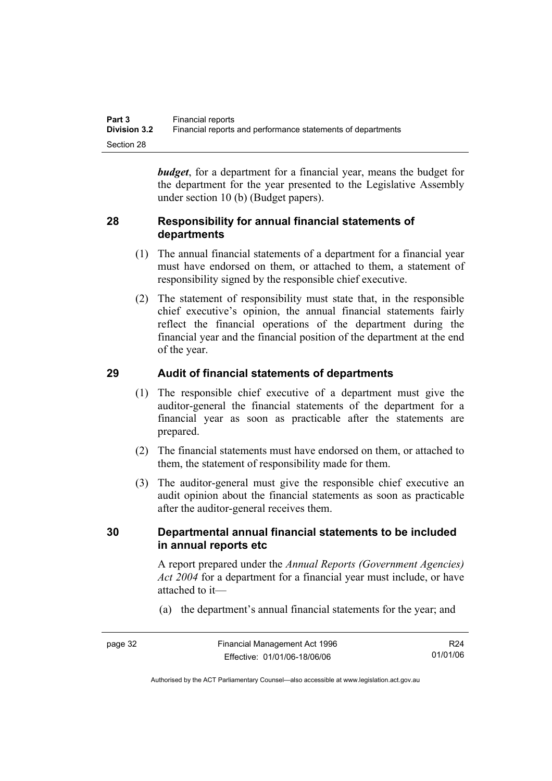*budget*, for a department for a financial year, means the budget for the department for the year presented to the Legislative Assembly under section 10 (b) (Budget papers).

#### **28 Responsibility for annual financial statements of departments**

- (1) The annual financial statements of a department for a financial year must have endorsed on them, or attached to them, a statement of responsibility signed by the responsible chief executive.
- (2) The statement of responsibility must state that, in the responsible chief executive's opinion, the annual financial statements fairly reflect the financial operations of the department during the financial year and the financial position of the department at the end of the year.

## **29 Audit of financial statements of departments**

- (1) The responsible chief executive of a department must give the auditor-general the financial statements of the department for a financial year as soon as practicable after the statements are prepared.
- (2) The financial statements must have endorsed on them, or attached to them, the statement of responsibility made for them.
- (3) The auditor-general must give the responsible chief executive an audit opinion about the financial statements as soon as practicable after the auditor-general receives them.

#### **30 Departmental annual financial statements to be included in annual reports etc**

A report prepared under the *Annual Reports (Government Agencies) Act 2004* for a department for a financial year must include, or have attached to it—

(a) the department's annual financial statements for the year; and

page 32 Financial Management Act 1996 Effective: 01/01/06-18/06/06 R24 01/01/06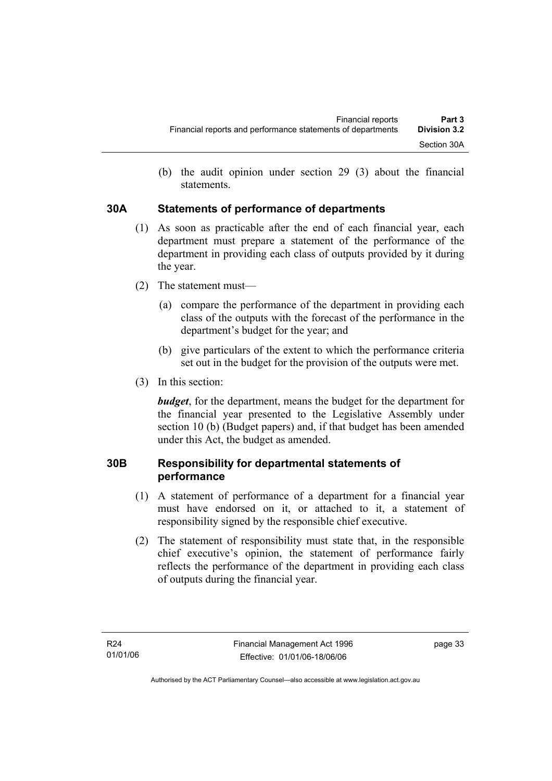(b) the audit opinion under section 29 (3) about the financial statements.

#### **30A Statements of performance of departments**

- (1) As soon as practicable after the end of each financial year, each department must prepare a statement of the performance of the department in providing each class of outputs provided by it during the year.
- (2) The statement must—
	- (a) compare the performance of the department in providing each class of the outputs with the forecast of the performance in the department's budget for the year; and
	- (b) give particulars of the extent to which the performance criteria set out in the budget for the provision of the outputs were met.
- (3) In this section:

*budget*, for the department, means the budget for the department for the financial year presented to the Legislative Assembly under section 10 (b) (Budget papers) and, if that budget has been amended under this Act, the budget as amended.

## **30B Responsibility for departmental statements of performance**

- (1) A statement of performance of a department for a financial year must have endorsed on it, or attached to it, a statement of responsibility signed by the responsible chief executive.
- (2) The statement of responsibility must state that, in the responsible chief executive's opinion, the statement of performance fairly reflects the performance of the department in providing each class of outputs during the financial year.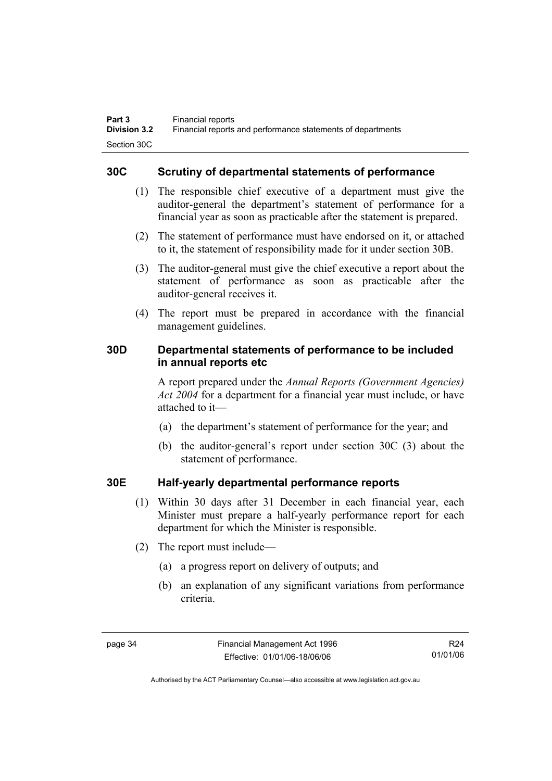#### **30C Scrutiny of departmental statements of performance**

- (1) The responsible chief executive of a department must give the auditor-general the department's statement of performance for a financial year as soon as practicable after the statement is prepared.
- (2) The statement of performance must have endorsed on it, or attached to it, the statement of responsibility made for it under section 30B.
- (3) The auditor-general must give the chief executive a report about the statement of performance as soon as practicable after the auditor-general receives it.
- (4) The report must be prepared in accordance with the financial management guidelines.

#### **30D Departmental statements of performance to be included in annual reports etc**

A report prepared under the *Annual Reports (Government Agencies) Act 2004* for a department for a financial year must include, or have attached to it—

- (a) the department's statement of performance for the year; and
- (b) the auditor-general's report under section 30C (3) about the statement of performance.

#### **30E Half-yearly departmental performance reports**

- (1) Within 30 days after 31 December in each financial year, each Minister must prepare a half-yearly performance report for each department for which the Minister is responsible.
- (2) The report must include—
	- (a) a progress report on delivery of outputs; and
	- (b) an explanation of any significant variations from performance criteria.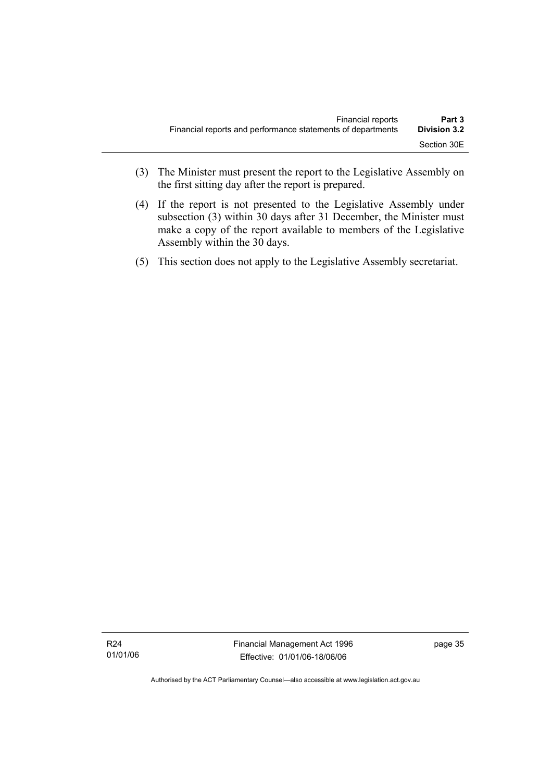- (3) The Minister must present the report to the Legislative Assembly on the first sitting day after the report is prepared.
- (4) If the report is not presented to the Legislative Assembly under subsection (3) within 30 days after 31 December, the Minister must make a copy of the report available to members of the Legislative Assembly within the 30 days.
- (5) This section does not apply to the Legislative Assembly secretariat.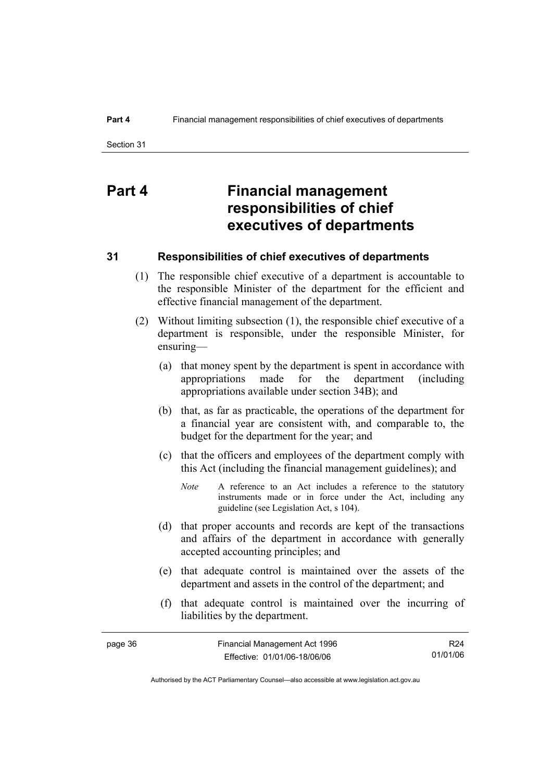# **Part 4 Financial management responsibilities of chief executives of departments**

#### **31 Responsibilities of chief executives of departments**

- (1) The responsible chief executive of a department is accountable to the responsible Minister of the department for the efficient and effective financial management of the department.
- (2) Without limiting subsection (1), the responsible chief executive of a department is responsible, under the responsible Minister, for ensuring—
	- (a) that money spent by the department is spent in accordance with appropriations made for the department (including appropriations available under section 34B); and
	- (b) that, as far as practicable, the operations of the department for a financial year are consistent with, and comparable to, the budget for the department for the year; and
	- (c) that the officers and employees of the department comply with this Act (including the financial management guidelines); and
		- *Note* A reference to an Act includes a reference to the statutory instruments made or in force under the Act, including any guideline (see Legislation Act, s 104).
	- (d) that proper accounts and records are kept of the transactions and affairs of the department in accordance with generally accepted accounting principles; and
	- (e) that adequate control is maintained over the assets of the department and assets in the control of the department; and
	- (f) that adequate control is maintained over the incurring of liabilities by the department.

| page 36 | Financial Management Act 1996 | R24      |
|---------|-------------------------------|----------|
|         | Effective: 01/01/06-18/06/06  | 01/01/06 |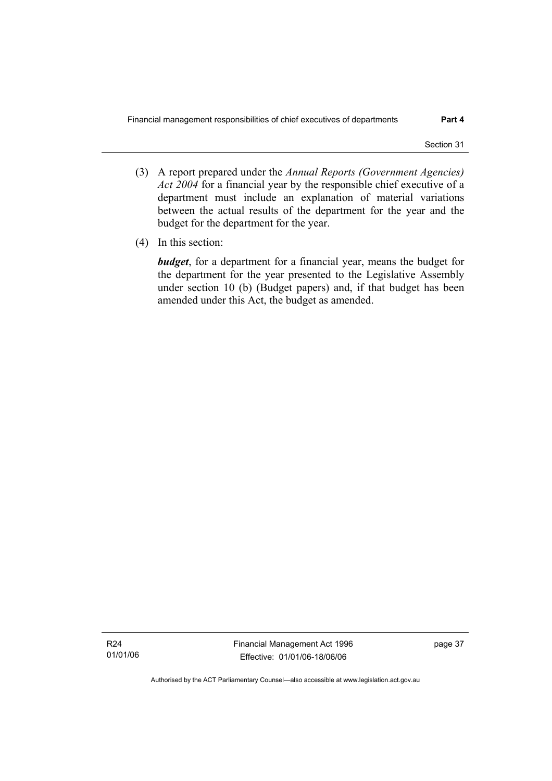- (3) A report prepared under the *Annual Reports (Government Agencies) Act 2004* for a financial year by the responsible chief executive of a department must include an explanation of material variations between the actual results of the department for the year and the budget for the department for the year.
- (4) In this section:

*budget*, for a department for a financial year, means the budget for the department for the year presented to the Legislative Assembly under section 10 (b) (Budget papers) and, if that budget has been amended under this Act, the budget as amended.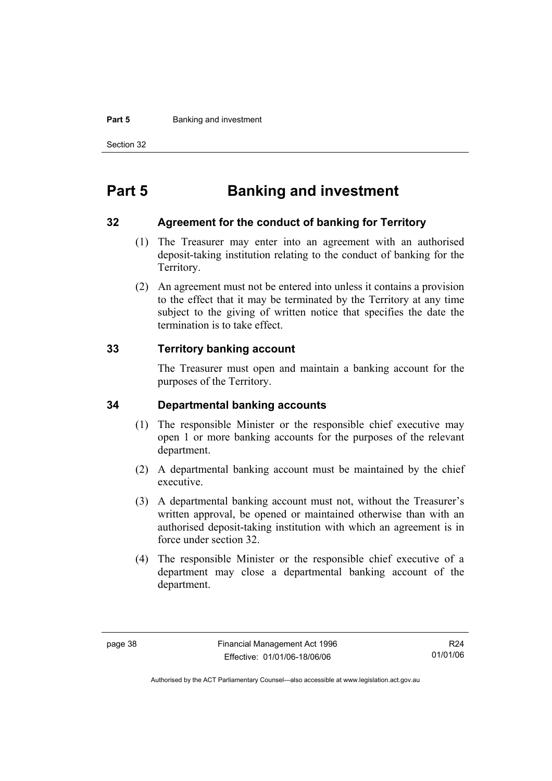#### **Part 5 Banking and investment**

Section 32

# **Part 5 Banking and investment**

#### **32 Agreement for the conduct of banking for Territory**

- (1) The Treasurer may enter into an agreement with an authorised deposit-taking institution relating to the conduct of banking for the Territory.
- (2) An agreement must not be entered into unless it contains a provision to the effect that it may be terminated by the Territory at any time subject to the giving of written notice that specifies the date the termination is to take effect.

#### **33 Territory banking account**

The Treasurer must open and maintain a banking account for the purposes of the Territory.

#### **34 Departmental banking accounts**

- (1) The responsible Minister or the responsible chief executive may open 1 or more banking accounts for the purposes of the relevant department.
- (2) A departmental banking account must be maintained by the chief executive.
- (3) A departmental banking account must not, without the Treasurer's written approval, be opened or maintained otherwise than with an authorised deposit-taking institution with which an agreement is in force under section 32.
- (4) The responsible Minister or the responsible chief executive of a department may close a departmental banking account of the department.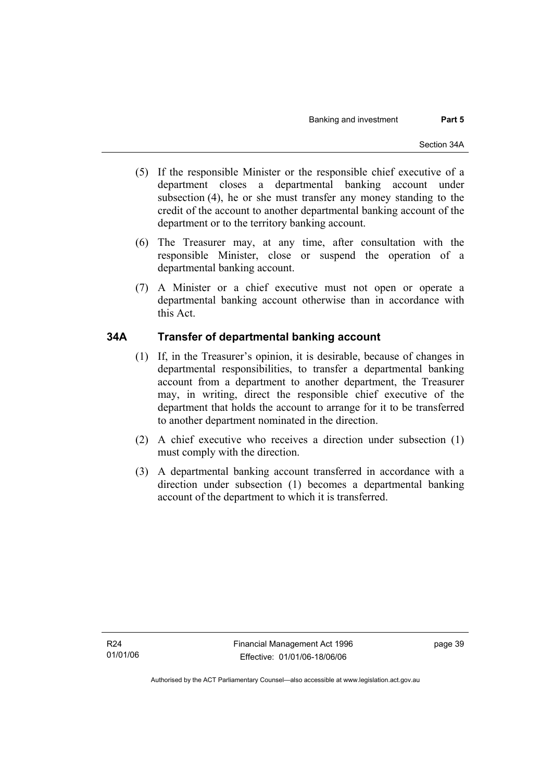- (5) If the responsible Minister or the responsible chief executive of a department closes a departmental banking account under subsection (4), he or she must transfer any money standing to the credit of the account to another departmental banking account of the department or to the territory banking account.
- (6) The Treasurer may, at any time, after consultation with the responsible Minister, close or suspend the operation of a departmental banking account.
- (7) A Minister or a chief executive must not open or operate a departmental banking account otherwise than in accordance with this Act.

#### **34A Transfer of departmental banking account**

- (1) If, in the Treasurer's opinion, it is desirable, because of changes in departmental responsibilities, to transfer a departmental banking account from a department to another department, the Treasurer may, in writing, direct the responsible chief executive of the department that holds the account to arrange for it to be transferred to another department nominated in the direction.
- (2) A chief executive who receives a direction under subsection (1) must comply with the direction.
- (3) A departmental banking account transferred in accordance with a direction under subsection (1) becomes a departmental banking account of the department to which it is transferred.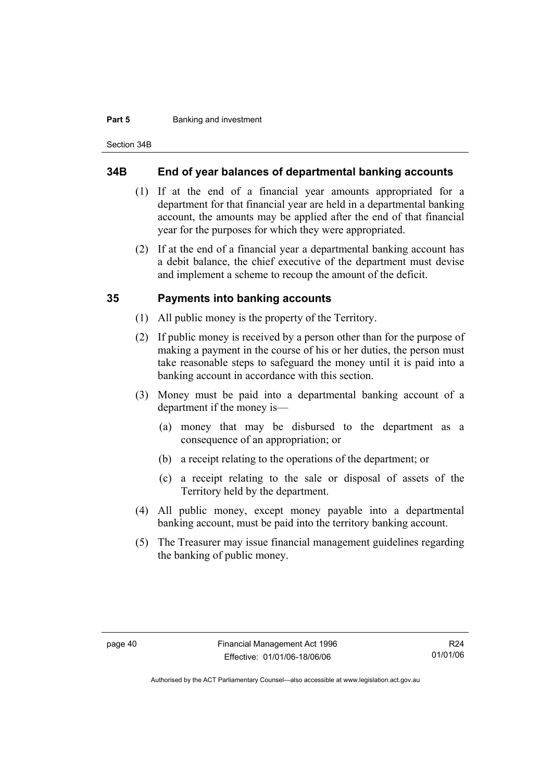#### **Part 5 Banking and investment**

Section 34B

#### **34B End of year balances of departmental banking accounts**

- (1) If at the end of a financial year amounts appropriated for a department for that financial year are held in a departmental banking account, the amounts may be applied after the end of that financial year for the purposes for which they were appropriated.
- (2) If at the end of a financial year a departmental banking account has a debit balance, the chief executive of the department must devise and implement a scheme to recoup the amount of the deficit.

#### **35 Payments into banking accounts**

- (1) All public money is the property of the Territory.
- (2) If public money is received by a person other than for the purpose of making a payment in the course of his or her duties, the person must take reasonable steps to safeguard the money until it is paid into a banking account in accordance with this section.
- (3) Money must be paid into a departmental banking account of a department if the money is—
	- (a) money that may be disbursed to the department as a consequence of an appropriation; or
	- (b) a receipt relating to the operations of the department; or
	- (c) a receipt relating to the sale or disposal of assets of the Territory held by the department.
- (4) All public money, except money payable into a departmental banking account, must be paid into the territory banking account.
- (5) The Treasurer may issue financial management guidelines regarding the banking of public money.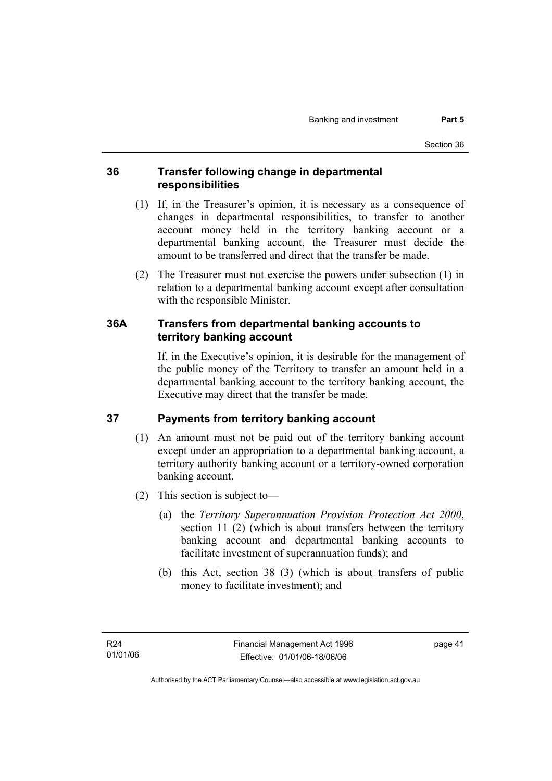#### **36 Transfer following change in departmental responsibilities**

- (1) If, in the Treasurer's opinion, it is necessary as a consequence of changes in departmental responsibilities, to transfer to another account money held in the territory banking account or a departmental banking account, the Treasurer must decide the amount to be transferred and direct that the transfer be made.
- (2) The Treasurer must not exercise the powers under subsection (1) in relation to a departmental banking account except after consultation with the responsible Minister.

#### **36A Transfers from departmental banking accounts to territory banking account**

If, in the Executive's opinion, it is desirable for the management of the public money of the Territory to transfer an amount held in a departmental banking account to the territory banking account, the Executive may direct that the transfer be made.

## **37 Payments from territory banking account**

- (1) An amount must not be paid out of the territory banking account except under an appropriation to a departmental banking account, a territory authority banking account or a territory-owned corporation banking account.
- (2) This section is subject to—
	- (a) the *Territory Superannuation Provision Protection Act 2000*, section 11 (2) (which is about transfers between the territory banking account and departmental banking accounts to facilitate investment of superannuation funds); and
	- (b) this Act, section 38 (3) (which is about transfers of public money to facilitate investment); and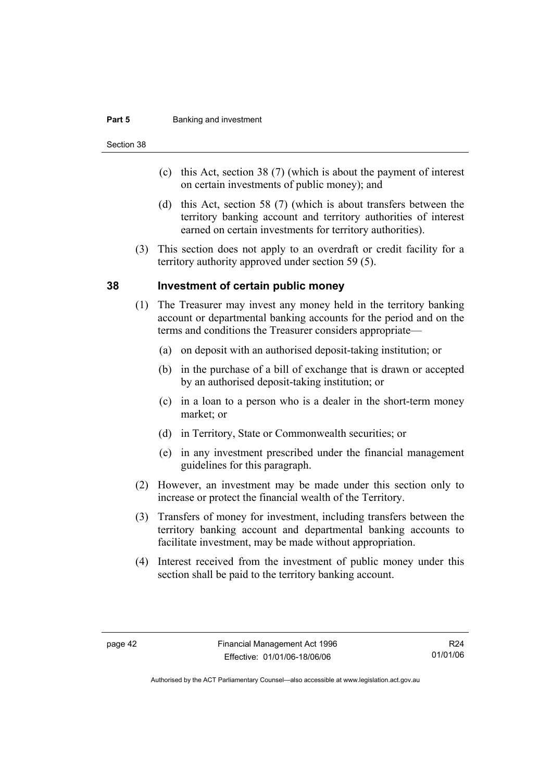#### **Part 5 Banking and investment**

Section 38

- (c) this Act, section 38 (7) (which is about the payment of interest on certain investments of public money); and
- (d) this Act, section 58 (7) (which is about transfers between the territory banking account and territory authorities of interest earned on certain investments for territory authorities).
- (3) This section does not apply to an overdraft or credit facility for a territory authority approved under section 59 (5).

#### **38 Investment of certain public money**

- (1) The Treasurer may invest any money held in the territory banking account or departmental banking accounts for the period and on the terms and conditions the Treasurer considers appropriate—
	- (a) on deposit with an authorised deposit-taking institution; or
	- (b) in the purchase of a bill of exchange that is drawn or accepted by an authorised deposit-taking institution; or
	- (c) in a loan to a person who is a dealer in the short-term money market; or
	- (d) in Territory, State or Commonwealth securities; or
	- (e) in any investment prescribed under the financial management guidelines for this paragraph.
- (2) However, an investment may be made under this section only to increase or protect the financial wealth of the Territory.
- (3) Transfers of money for investment, including transfers between the territory banking account and departmental banking accounts to facilitate investment, may be made without appropriation.
- (4) Interest received from the investment of public money under this section shall be paid to the territory banking account.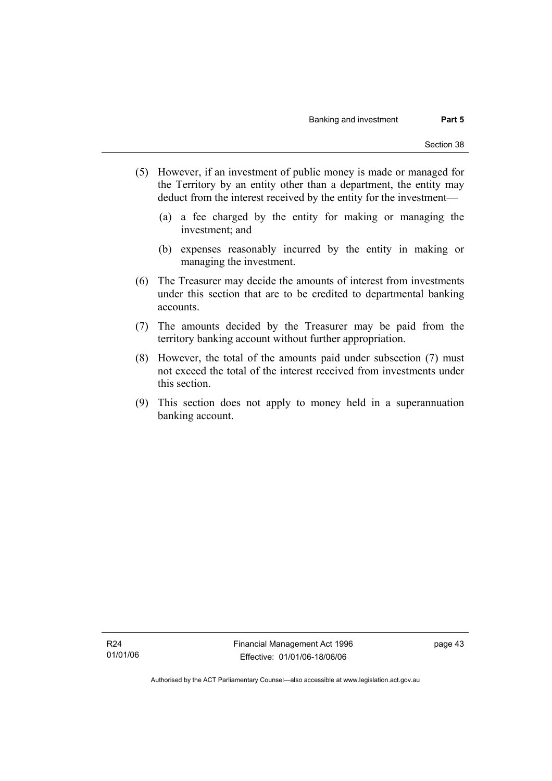- (5) However, if an investment of public money is made or managed for the Territory by an entity other than a department, the entity may deduct from the interest received by the entity for the investment—
	- (a) a fee charged by the entity for making or managing the investment; and
	- (b) expenses reasonably incurred by the entity in making or managing the investment.
- (6) The Treasurer may decide the amounts of interest from investments under this section that are to be credited to departmental banking accounts.
- (7) The amounts decided by the Treasurer may be paid from the territory banking account without further appropriation.
- (8) However, the total of the amounts paid under subsection (7) must not exceed the total of the interest received from investments under this section.
- (9) This section does not apply to money held in a superannuation banking account.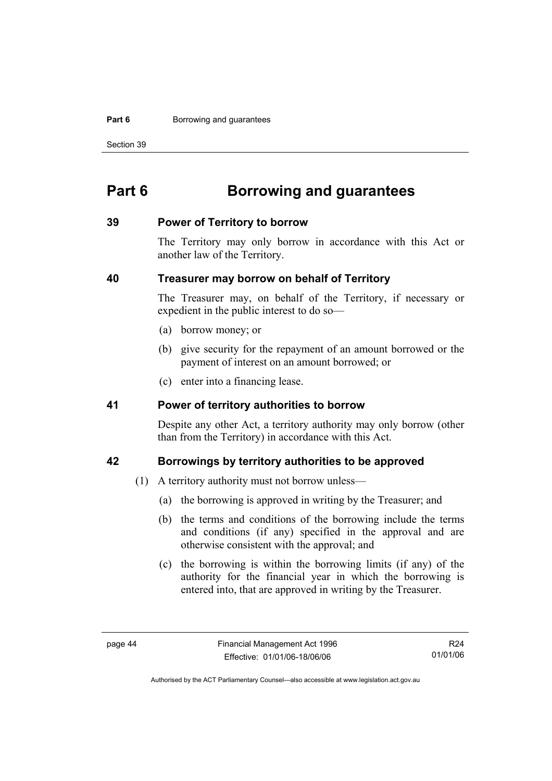#### **Part 6 Borrowing and guarantees**

Section 39

# **Part 6 Borrowing and guarantees**

#### **39 Power of Territory to borrow**

The Territory may only borrow in accordance with this Act or another law of the Territory.

#### **40 Treasurer may borrow on behalf of Territory**

The Treasurer may, on behalf of the Territory, if necessary or expedient in the public interest to do so—

- (a) borrow money; or
- (b) give security for the repayment of an amount borrowed or the payment of interest on an amount borrowed; or
- (c) enter into a financing lease.

#### **41 Power of territory authorities to borrow**

Despite any other Act, a territory authority may only borrow (other than from the Territory) in accordance with this Act.

#### **42 Borrowings by territory authorities to be approved**

- (1) A territory authority must not borrow unless—
	- (a) the borrowing is approved in writing by the Treasurer; and
	- (b) the terms and conditions of the borrowing include the terms and conditions (if any) specified in the approval and are otherwise consistent with the approval; and
	- (c) the borrowing is within the borrowing limits (if any) of the authority for the financial year in which the borrowing is entered into, that are approved in writing by the Treasurer.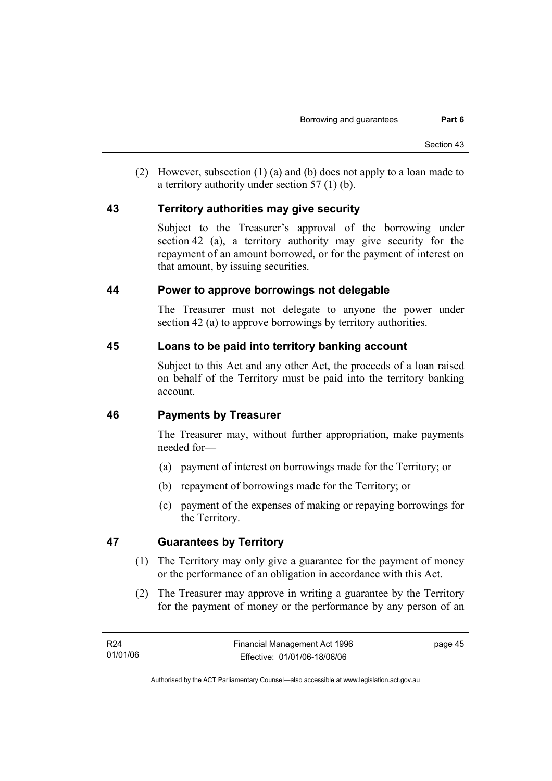(2) However, subsection (1) (a) and (b) does not apply to a loan made to a territory authority under section 57 (1) (b).

#### **43 Territory authorities may give security**

Subject to the Treasurer's approval of the borrowing under section 42 (a), a territory authority may give security for the repayment of an amount borrowed, or for the payment of interest on that amount, by issuing securities.

#### **44 Power to approve borrowings not delegable**

The Treasurer must not delegate to anyone the power under section 42 (a) to approve borrowings by territory authorities.

#### **45 Loans to be paid into territory banking account**

Subject to this Act and any other Act, the proceeds of a loan raised on behalf of the Territory must be paid into the territory banking account.

#### **46 Payments by Treasurer**

The Treasurer may, without further appropriation, make payments needed for—

- (a) payment of interest on borrowings made for the Territory; or
- (b) repayment of borrowings made for the Territory; or
- (c) payment of the expenses of making or repaying borrowings for the Territory.

#### **47 Guarantees by Territory**

- (1) The Territory may only give a guarantee for the payment of money or the performance of an obligation in accordance with this Act.
- (2) The Treasurer may approve in writing a guarantee by the Territory for the payment of money or the performance by any person of an

page 45

Authorised by the ACT Parliamentary Counsel—also accessible at www.legislation.act.gov.au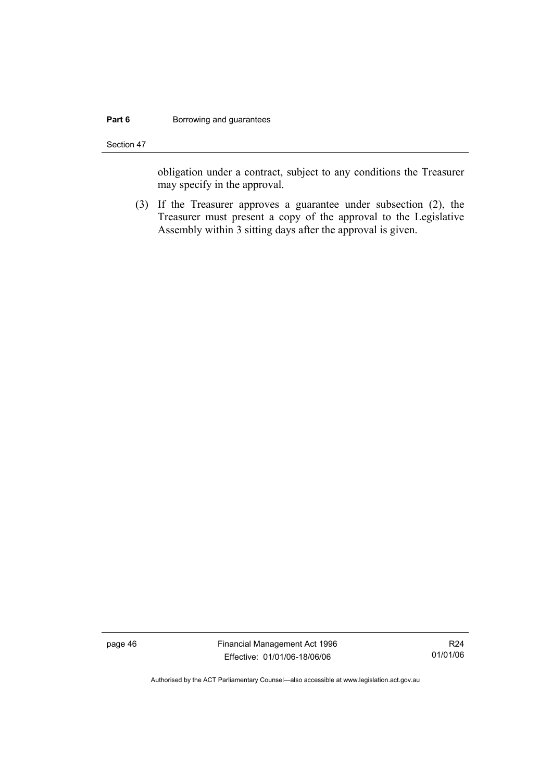#### **Part 6 Borrowing and guarantees**

Section 47

obligation under a contract, subject to any conditions the Treasurer may specify in the approval.

 (3) If the Treasurer approves a guarantee under subsection (2), the Treasurer must present a copy of the approval to the Legislative Assembly within 3 sitting days after the approval is given.

page 46 Financial Management Act 1996 Effective: 01/01/06-18/06/06

R24 01/01/06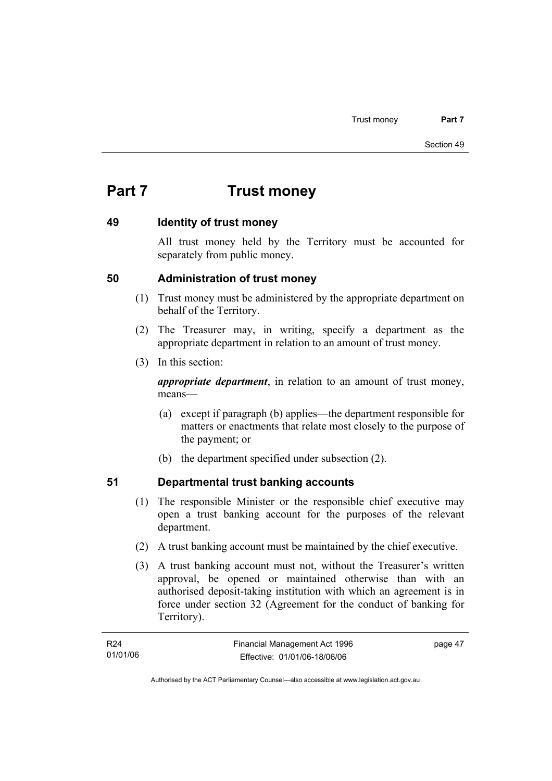# **Part 7 Trust money**

#### **49 Identity of trust money**

All trust money held by the Territory must be accounted for separately from public money.

#### **50 Administration of trust money**

- (1) Trust money must be administered by the appropriate department on behalf of the Territory.
- (2) The Treasurer may, in writing, specify a department as the appropriate department in relation to an amount of trust money.
- (3) In this section:

*appropriate department*, in relation to an amount of trust money, means—

- (a) except if paragraph (b) applies—the department responsible for matters or enactments that relate most closely to the purpose of the payment; or
- (b) the department specified under subsection (2).

## **51 Departmental trust banking accounts**

- (1) The responsible Minister or the responsible chief executive may open a trust banking account for the purposes of the relevant department.
- (2) A trust banking account must be maintained by the chief executive.
- (3) A trust banking account must not, without the Treasurer's written approval, be opened or maintained otherwise than with an authorised deposit-taking institution with which an agreement is in force under section 32 (Agreement for the conduct of banking for Territory).

| R24      | Financial Management Act 1996 | page 47 |
|----------|-------------------------------|---------|
| 01/01/06 | Effective: 01/01/06-18/06/06  |         |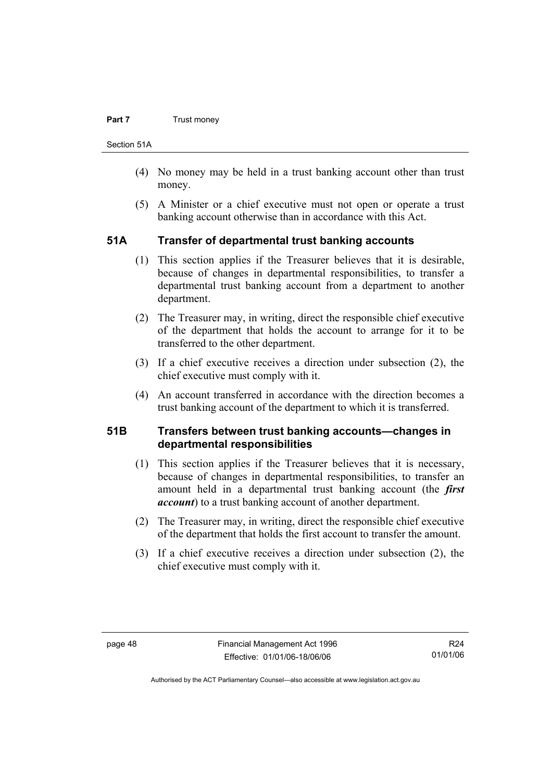#### **Part 7 Trust money**

Section 51A

- (4) No money may be held in a trust banking account other than trust money.
- (5) A Minister or a chief executive must not open or operate a trust banking account otherwise than in accordance with this Act.

#### **51A Transfer of departmental trust banking accounts**

- (1) This section applies if the Treasurer believes that it is desirable, because of changes in departmental responsibilities, to transfer a departmental trust banking account from a department to another department.
- (2) The Treasurer may, in writing, direct the responsible chief executive of the department that holds the account to arrange for it to be transferred to the other department.
- (3) If a chief executive receives a direction under subsection (2), the chief executive must comply with it.
- (4) An account transferred in accordance with the direction becomes a trust banking account of the department to which it is transferred.

#### **51B Transfers between trust banking accounts—changes in departmental responsibilities**

- (1) This section applies if the Treasurer believes that it is necessary, because of changes in departmental responsibilities, to transfer an amount held in a departmental trust banking account (the *first account*) to a trust banking account of another department.
- (2) The Treasurer may, in writing, direct the responsible chief executive of the department that holds the first account to transfer the amount.
- (3) If a chief executive receives a direction under subsection (2), the chief executive must comply with it.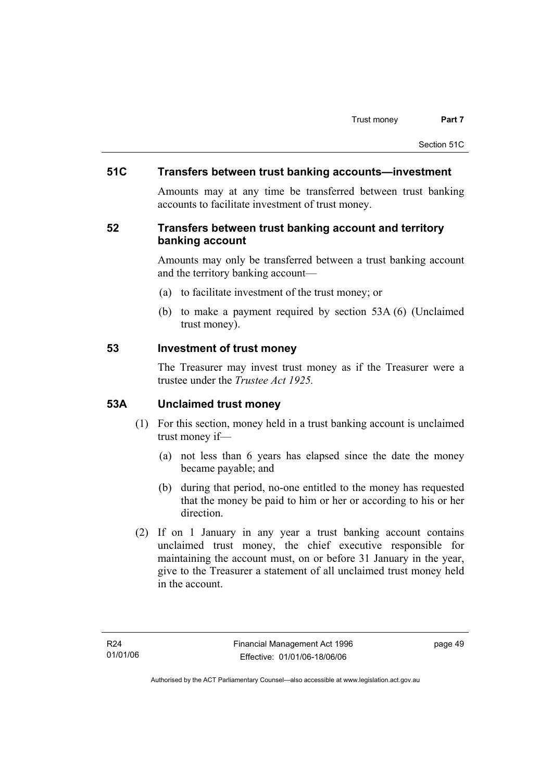#### **51C Transfers between trust banking accounts—investment**

Amounts may at any time be transferred between trust banking accounts to facilitate investment of trust money.

#### **52 Transfers between trust banking account and territory banking account**

Amounts may only be transferred between a trust banking account and the territory banking account—

- (a) to facilitate investment of the trust money; or
- (b) to make a payment required by section 53A (6) (Unclaimed trust money).

#### **53 Investment of trust money**

The Treasurer may invest trust money as if the Treasurer were a trustee under the *Trustee Act 1925.*

#### **53A Unclaimed trust money**

- (1) For this section, money held in a trust banking account is unclaimed trust money if—
	- (a) not less than 6 years has elapsed since the date the money became payable; and
	- (b) during that period, no-one entitled to the money has requested that the money be paid to him or her or according to his or her direction.
- (2) If on 1 January in any year a trust banking account contains unclaimed trust money, the chief executive responsible for maintaining the account must, on or before 31 January in the year, give to the Treasurer a statement of all unclaimed trust money held in the account.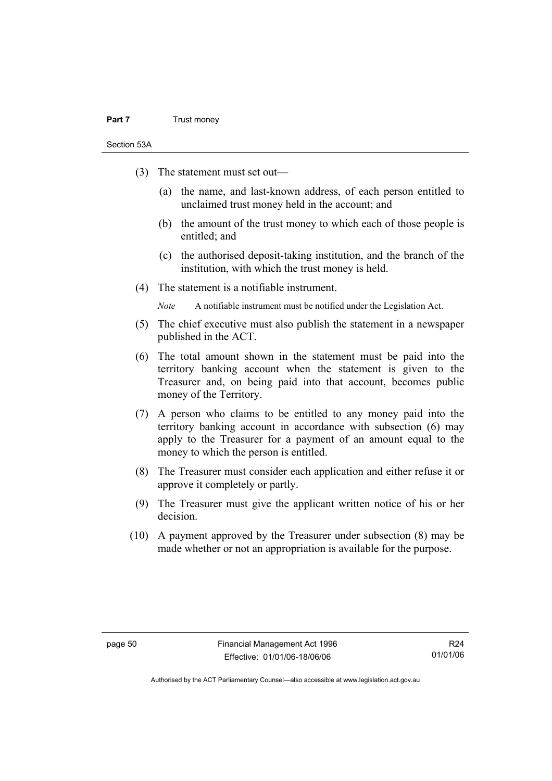#### **Part 7** Trust money

Section 53A

- (3) The statement must set out—
	- (a) the name, and last-known address, of each person entitled to unclaimed trust money held in the account; and
	- (b) the amount of the trust money to which each of those people is entitled; and
	- (c) the authorised deposit-taking institution, and the branch of the institution, with which the trust money is held.
- (4) The statement is a notifiable instrument.

*Note* A notifiable instrument must be notified under the Legislation Act.

- (5) The chief executive must also publish the statement in a newspaper published in the ACT.
- (6) The total amount shown in the statement must be paid into the territory banking account when the statement is given to the Treasurer and, on being paid into that account, becomes public money of the Territory.
- (7) A person who claims to be entitled to any money paid into the territory banking account in accordance with subsection (6) may apply to the Treasurer for a payment of an amount equal to the money to which the person is entitled.
- (8) The Treasurer must consider each application and either refuse it or approve it completely or partly.
- (9) The Treasurer must give the applicant written notice of his or her decision.
- (10) A payment approved by the Treasurer under subsection (8) may be made whether or not an appropriation is available for the purpose.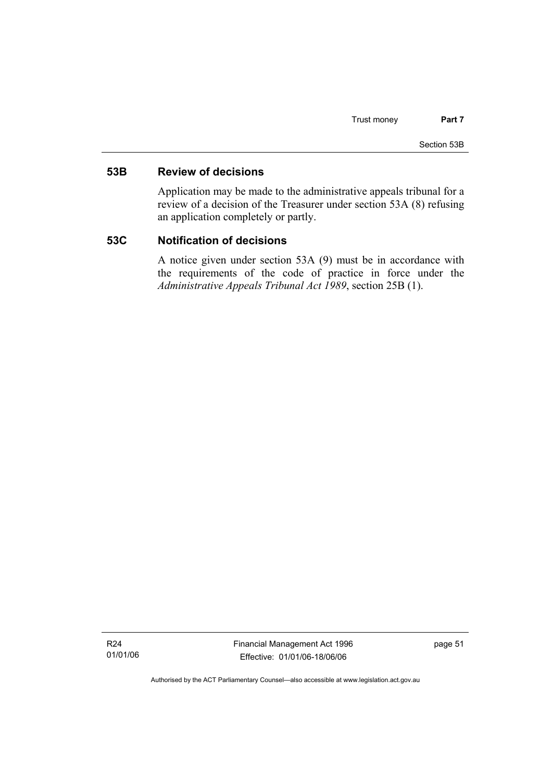#### **53B Review of decisions**

Application may be made to the administrative appeals tribunal for a review of a decision of the Treasurer under section 53A (8) refusing an application completely or partly.

#### **53C Notification of decisions**

A notice given under section 53A (9) must be in accordance with the requirements of the code of practice in force under the *Administrative Appeals Tribunal Act 1989*, section 25B (1).

R24 01/01/06 Financial Management Act 1996 Effective: 01/01/06-18/06/06

page 51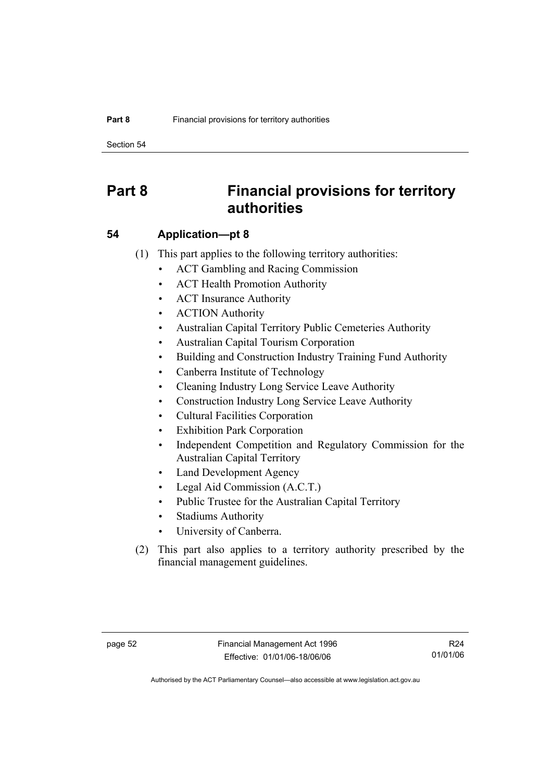Section 54

# **Part 8 Financial provisions for territory authorities**

#### **54 Application—pt 8**

- (1) This part applies to the following territory authorities:
	- ACT Gambling and Racing Commission
	- ACT Health Promotion Authority
	- ACT Insurance Authority
	- ACTION Authority
	- Australian Capital Territory Public Cemeteries Authority
	- Australian Capital Tourism Corporation
	- Building and Construction Industry Training Fund Authority
	- Canberra Institute of Technology
	- Cleaning Industry Long Service Leave Authority
	- Construction Industry Long Service Leave Authority
	- Cultural Facilities Corporation
	- Exhibition Park Corporation
	- Independent Competition and Regulatory Commission for the Australian Capital Territory
	- Land Development Agency
	- Legal Aid Commission (A.C.T.)
	- Public Trustee for the Australian Capital Territory
	- Stadiums Authority
	- University of Canberra.
- (2) This part also applies to a territory authority prescribed by the financial management guidelines.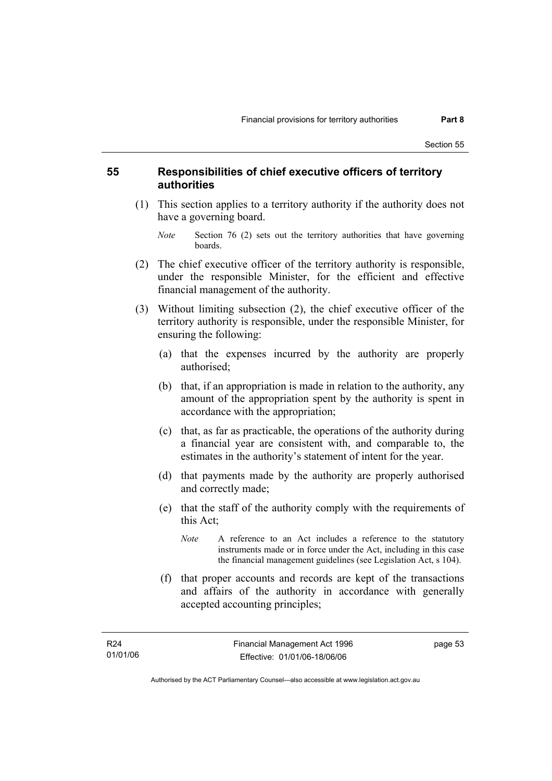#### **55 Responsibilities of chief executive officers of territory authorities**

- (1) This section applies to a territory authority if the authority does not have a governing board.
	- *Note* Section 76 (2) sets out the territory authorities that have governing boards.
- (2) The chief executive officer of the territory authority is responsible, under the responsible Minister, for the efficient and effective financial management of the authority.
- (3) Without limiting subsection (2), the chief executive officer of the territory authority is responsible, under the responsible Minister, for ensuring the following:
	- (a) that the expenses incurred by the authority are properly authorised;
	- (b) that, if an appropriation is made in relation to the authority, any amount of the appropriation spent by the authority is spent in accordance with the appropriation;
	- (c) that, as far as practicable, the operations of the authority during a financial year are consistent with, and comparable to, the estimates in the authority's statement of intent for the year.
	- (d) that payments made by the authority are properly authorised and correctly made;
	- (e) that the staff of the authority comply with the requirements of this Act;
		- *Note* A reference to an Act includes a reference to the statutory instruments made or in force under the Act, including in this case the financial management guidelines (see Legislation Act, s 104).
	- (f) that proper accounts and records are kept of the transactions and affairs of the authority in accordance with generally accepted accounting principles;

page 53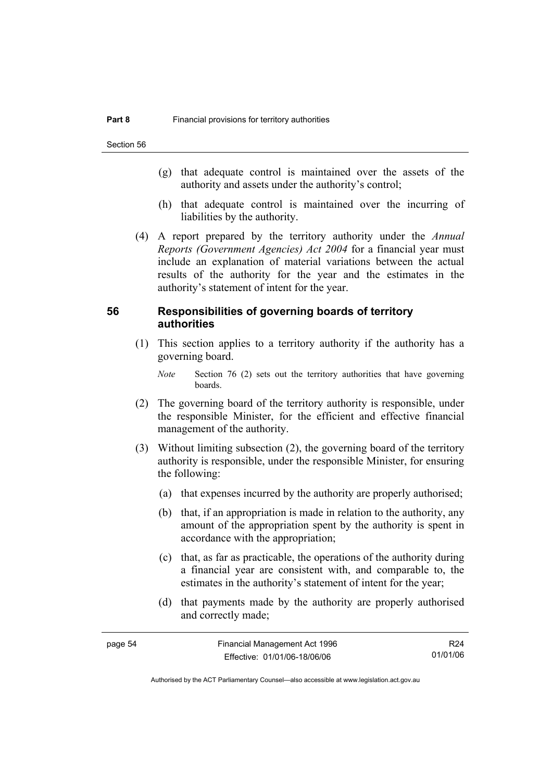- (g) that adequate control is maintained over the assets of the authority and assets under the authority's control;
- (h) that adequate control is maintained over the incurring of liabilities by the authority.
- (4) A report prepared by the territory authority under the *Annual Reports (Government Agencies) Act 2004* for a financial year must include an explanation of material variations between the actual results of the authority for the year and the estimates in the authority's statement of intent for the year.

#### **56 Responsibilities of governing boards of territory authorities**

 (1) This section applies to a territory authority if the authority has a governing board.

*Note* Section 76 (2) sets out the territory authorities that have governing boards.

- (2) The governing board of the territory authority is responsible, under the responsible Minister, for the efficient and effective financial management of the authority.
- (3) Without limiting subsection (2), the governing board of the territory authority is responsible, under the responsible Minister, for ensuring the following:
	- (a) that expenses incurred by the authority are properly authorised;
	- (b) that, if an appropriation is made in relation to the authority, any amount of the appropriation spent by the authority is spent in accordance with the appropriation;
	- (c) that, as far as practicable, the operations of the authority during a financial year are consistent with, and comparable to, the estimates in the authority's statement of intent for the year;
	- (d) that payments made by the authority are properly authorised and correctly made;

| page 54 | Financial Management Act 1996 | R24      |
|---------|-------------------------------|----------|
|         | Effective: 01/01/06-18/06/06  | 01/01/06 |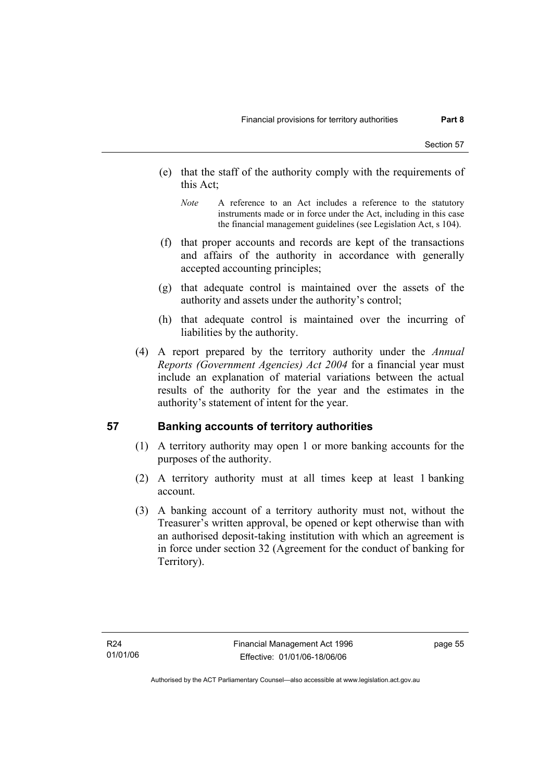- (e) that the staff of the authority comply with the requirements of this Act;
	- *Note* A reference to an Act includes a reference to the statutory instruments made or in force under the Act, including in this case the financial management guidelines (see Legislation Act, s 104).
- (f) that proper accounts and records are kept of the transactions and affairs of the authority in accordance with generally accepted accounting principles;
- (g) that adequate control is maintained over the assets of the authority and assets under the authority's control;
- (h) that adequate control is maintained over the incurring of liabilities by the authority.
- (4) A report prepared by the territory authority under the *Annual Reports (Government Agencies) Act 2004* for a financial year must include an explanation of material variations between the actual results of the authority for the year and the estimates in the authority's statement of intent for the year.

#### **57 Banking accounts of territory authorities**

- (1) A territory authority may open 1 or more banking accounts for the purposes of the authority.
- (2) A territory authority must at all times keep at least 1 banking account.
- (3) A banking account of a territory authority must not, without the Treasurer's written approval, be opened or kept otherwise than with an authorised deposit-taking institution with which an agreement is in force under section 32 (Agreement for the conduct of banking for Territory).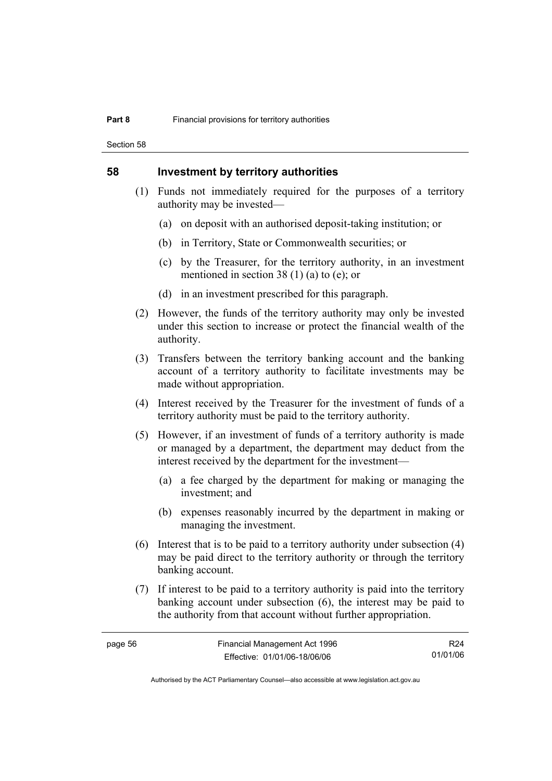Section 58

#### **58 Investment by territory authorities**

- (1) Funds not immediately required for the purposes of a territory authority may be invested—
	- (a) on deposit with an authorised deposit-taking institution; or
	- (b) in Territory, State or Commonwealth securities; or
	- (c) by the Treasurer, for the territory authority, in an investment mentioned in section 38 (1) (a) to (e); or
	- (d) in an investment prescribed for this paragraph.
- (2) However, the funds of the territory authority may only be invested under this section to increase or protect the financial wealth of the authority.
- (3) Transfers between the territory banking account and the banking account of a territory authority to facilitate investments may be made without appropriation.
- (4) Interest received by the Treasurer for the investment of funds of a territory authority must be paid to the territory authority.
- (5) However, if an investment of funds of a territory authority is made or managed by a department, the department may deduct from the interest received by the department for the investment—
	- (a) a fee charged by the department for making or managing the investment; and
	- (b) expenses reasonably incurred by the department in making or managing the investment.
- (6) Interest that is to be paid to a territory authority under subsection (4) may be paid direct to the territory authority or through the territory banking account.
- (7) If interest to be paid to a territory authority is paid into the territory banking account under subsection (6), the interest may be paid to the authority from that account without further appropriation.

R24 01/01/06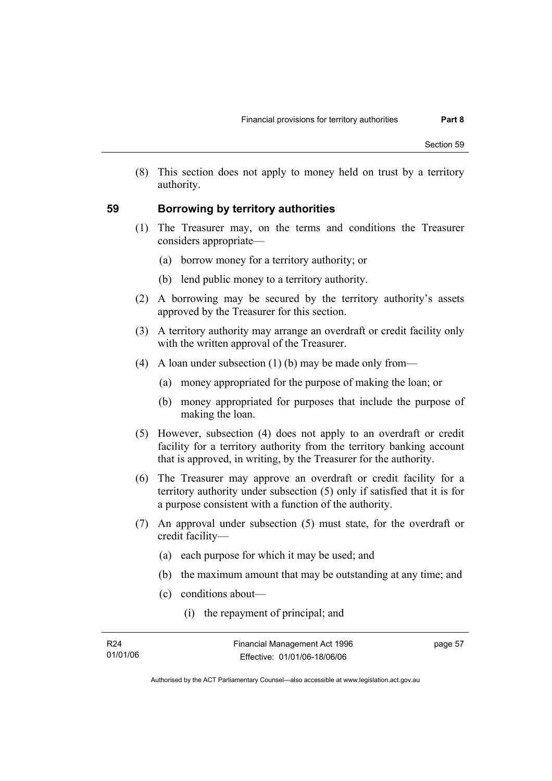(8) This section does not apply to money held on trust by a territory authority.

#### **59 Borrowing by territory authorities**

- (1) The Treasurer may, on the terms and conditions the Treasurer considers appropriate—
	- (a) borrow money for a territory authority; or
	- (b) lend public money to a territory authority.
- (2) A borrowing may be secured by the territory authority's assets approved by the Treasurer for this section.
- (3) A territory authority may arrange an overdraft or credit facility only with the written approval of the Treasurer.
- (4) A loan under subsection (1) (b) may be made only from—
	- (a) money appropriated for the purpose of making the loan; or
	- (b) money appropriated for purposes that include the purpose of making the loan.
- (5) However, subsection (4) does not apply to an overdraft or credit facility for a territory authority from the territory banking account that is approved, in writing, by the Treasurer for the authority.
- (6) The Treasurer may approve an overdraft or credit facility for a territory authority under subsection (5) only if satisfied that it is for a purpose consistent with a function of the authority.
- (7) An approval under subsection (5) must state, for the overdraft or credit facility—
	- (a) each purpose for which it may be used; and
	- (b) the maximum amount that may be outstanding at any time; and
	- (c) conditions about—
		- (i) the repayment of principal; and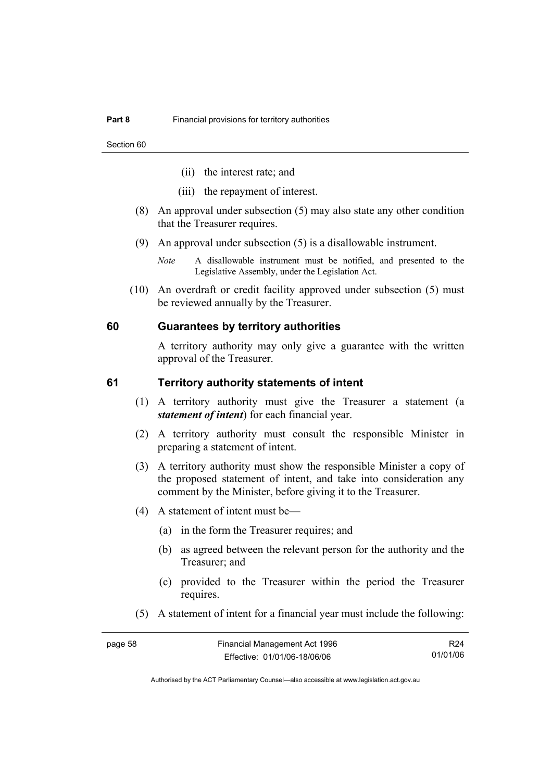- (ii) the interest rate; and
- (iii) the repayment of interest.
- (8) An approval under subsection (5) may also state any other condition that the Treasurer requires.
- (9) An approval under subsection (5) is a disallowable instrument.
	- *Note* A disallowable instrument must be notified, and presented to the Legislative Assembly, under the Legislation Act.
- (10) An overdraft or credit facility approved under subsection (5) must be reviewed annually by the Treasurer.

#### **60 Guarantees by territory authorities**

A territory authority may only give a guarantee with the written approval of the Treasurer.

#### **61 Territory authority statements of intent**

- (1) A territory authority must give the Treasurer a statement (a *statement of intent*) for each financial year.
- (2) A territory authority must consult the responsible Minister in preparing a statement of intent.
- (3) A territory authority must show the responsible Minister a copy of the proposed statement of intent, and take into consideration any comment by the Minister, before giving it to the Treasurer.
- (4) A statement of intent must be—
	- (a) in the form the Treasurer requires; and
	- (b) as agreed between the relevant person for the authority and the Treasurer; and
	- (c) provided to the Treasurer within the period the Treasurer requires.
- (5) A statement of intent for a financial year must include the following:

page 58 Financial Management Act 1996 Effective: 01/01/06-18/06/06 R24 01/01/06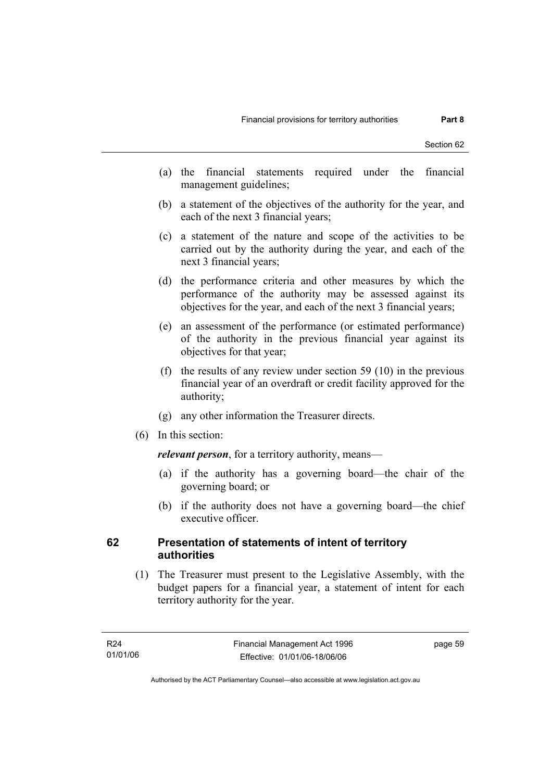- (a) the financial statements required under the financial management guidelines;
- (b) a statement of the objectives of the authority for the year, and each of the next 3 financial years;
- (c) a statement of the nature and scope of the activities to be carried out by the authority during the year, and each of the next 3 financial years;
- (d) the performance criteria and other measures by which the performance of the authority may be assessed against its objectives for the year, and each of the next 3 financial years;
- (e) an assessment of the performance (or estimated performance) of the authority in the previous financial year against its objectives for that year;
- (f) the results of any review under section 59 (10) in the previous financial year of an overdraft or credit facility approved for the authority;
- (g) any other information the Treasurer directs.
- (6) In this section:

*relevant person*, for a territory authority, means—

- (a) if the authority has a governing board—the chair of the governing board; or
- (b) if the authority does not have a governing board—the chief executive officer.

#### **62 Presentation of statements of intent of territory authorities**

 (1) The Treasurer must present to the Legislative Assembly, with the budget papers for a financial year, a statement of intent for each territory authority for the year.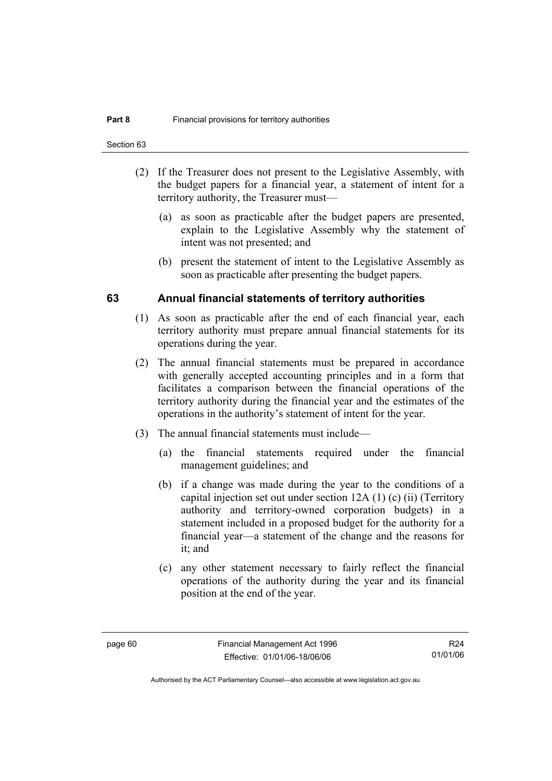- (2) If the Treasurer does not present to the Legislative Assembly, with the budget papers for a financial year, a statement of intent for a territory authority, the Treasurer must—
	- (a) as soon as practicable after the budget papers are presented, explain to the Legislative Assembly why the statement of intent was not presented; and
	- (b) present the statement of intent to the Legislative Assembly as soon as practicable after presenting the budget papers.

#### **63 Annual financial statements of territory authorities**

- (1) As soon as practicable after the end of each financial year, each territory authority must prepare annual financial statements for its operations during the year.
- (2) The annual financial statements must be prepared in accordance with generally accepted accounting principles and in a form that facilitates a comparison between the financial operations of the territory authority during the financial year and the estimates of the operations in the authority's statement of intent for the year.
- (3) The annual financial statements must include—
	- (a) the financial statements required under the financial management guidelines; and
	- (b) if a change was made during the year to the conditions of a capital injection set out under section 12A (1) (c) (ii) (Territory authority and territory-owned corporation budgets) in a statement included in a proposed budget for the authority for a financial year—a statement of the change and the reasons for it; and
	- (c) any other statement necessary to fairly reflect the financial operations of the authority during the year and its financial position at the end of the year.

R24 01/01/06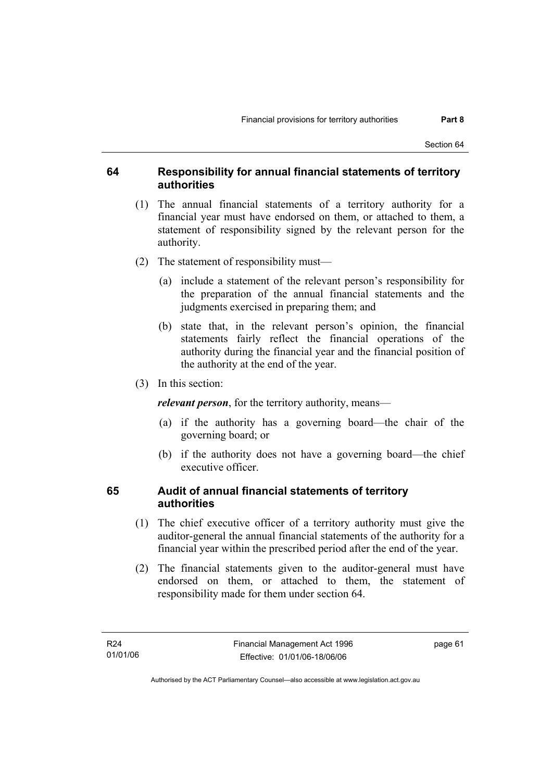#### **64 Responsibility for annual financial statements of territory authorities**

- (1) The annual financial statements of a territory authority for a financial year must have endorsed on them, or attached to them, a statement of responsibility signed by the relevant person for the authority.
- (2) The statement of responsibility must—
	- (a) include a statement of the relevant person's responsibility for the preparation of the annual financial statements and the judgments exercised in preparing them; and
	- (b) state that, in the relevant person's opinion, the financial statements fairly reflect the financial operations of the authority during the financial year and the financial position of the authority at the end of the year.
- (3) In this section:

*relevant person*, for the territory authority, means—

- (a) if the authority has a governing board—the chair of the governing board; or
- (b) if the authority does not have a governing board—the chief executive officer.

#### **65 Audit of annual financial statements of territory authorities**

- (1) The chief executive officer of a territory authority must give the auditor-general the annual financial statements of the authority for a financial year within the prescribed period after the end of the year.
- (2) The financial statements given to the auditor-general must have endorsed on them, or attached to them, the statement of responsibility made for them under section 64.

page 61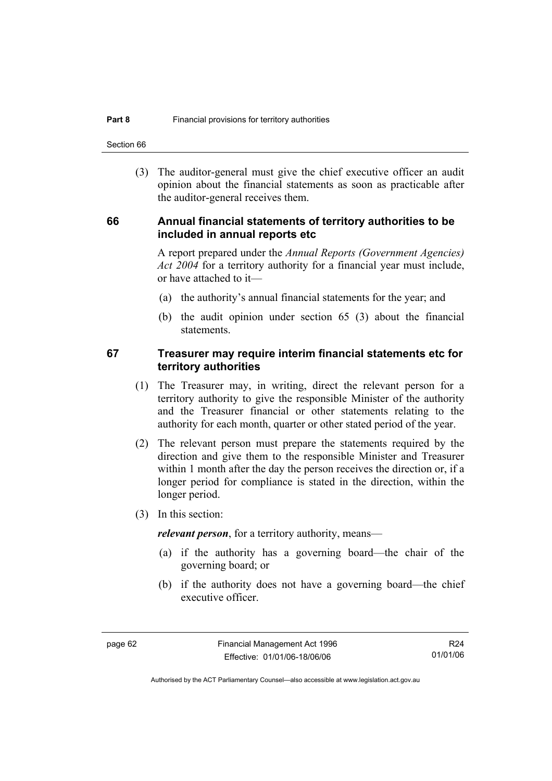Section 66

 (3) The auditor-general must give the chief executive officer an audit opinion about the financial statements as soon as practicable after the auditor-general receives them.

#### **66 Annual financial statements of territory authorities to be included in annual reports etc**

A report prepared under the *Annual Reports (Government Agencies) Act 2004* for a territory authority for a financial year must include, or have attached to it—

- (a) the authority's annual financial statements for the year; and
- (b) the audit opinion under section 65 (3) about the financial statements.

#### **67 Treasurer may require interim financial statements etc for territory authorities**

- (1) The Treasurer may, in writing, direct the relevant person for a territory authority to give the responsible Minister of the authority and the Treasurer financial or other statements relating to the authority for each month, quarter or other stated period of the year.
- (2) The relevant person must prepare the statements required by the direction and give them to the responsible Minister and Treasurer within 1 month after the day the person receives the direction or, if a longer period for compliance is stated in the direction, within the longer period.
- (3) In this section:

*relevant person*, for a territory authority, means—

- (a) if the authority has a governing board—the chair of the governing board; or
- (b) if the authority does not have a governing board—the chief executive officer.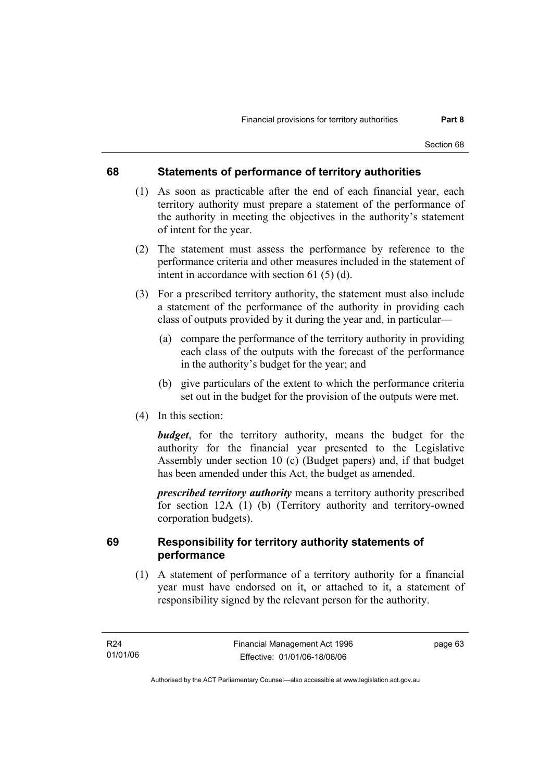### **68 Statements of performance of territory authorities**

- (1) As soon as practicable after the end of each financial year, each territory authority must prepare a statement of the performance of the authority in meeting the objectives in the authority's statement of intent for the year.
- (2) The statement must assess the performance by reference to the performance criteria and other measures included in the statement of intent in accordance with section 61 (5) (d).
- (3) For a prescribed territory authority, the statement must also include a statement of the performance of the authority in providing each class of outputs provided by it during the year and, in particular—
	- (a) compare the performance of the territory authority in providing each class of the outputs with the forecast of the performance in the authority's budget for the year; and
	- (b) give particulars of the extent to which the performance criteria set out in the budget for the provision of the outputs were met.
- (4) In this section:

*budget*, for the territory authority, means the budget for the authority for the financial year presented to the Legislative Assembly under section 10 (c) (Budget papers) and, if that budget has been amended under this Act, the budget as amended.

*prescribed territory authority* means a territory authority prescribed for section 12A (1) (b) (Territory authority and territory-owned corporation budgets).

### **69 Responsibility for territory authority statements of performance**

 (1) A statement of performance of a territory authority for a financial year must have endorsed on it, or attached to it, a statement of responsibility signed by the relevant person for the authority.

page 63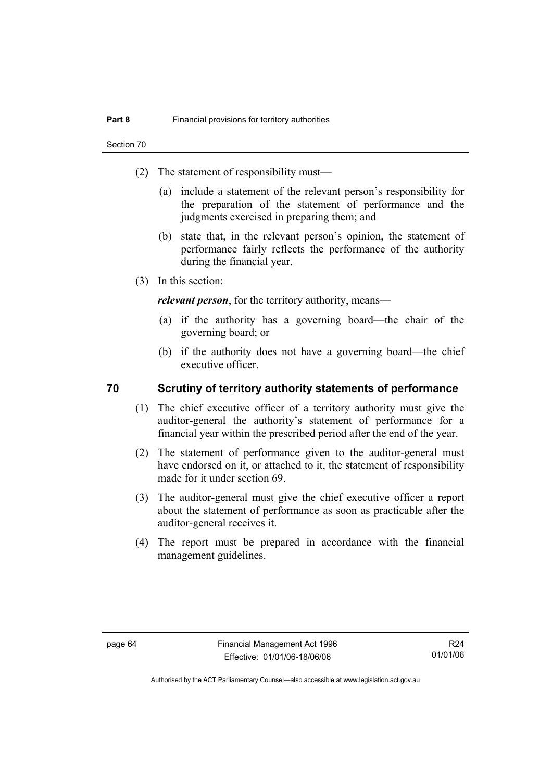- (2) The statement of responsibility must—
	- (a) include a statement of the relevant person's responsibility for the preparation of the statement of performance and the judgments exercised in preparing them; and
	- (b) state that, in the relevant person's opinion, the statement of performance fairly reflects the performance of the authority during the financial year.
- (3) In this section:

*relevant person*, for the territory authority, means—

- (a) if the authority has a governing board—the chair of the governing board; or
- (b) if the authority does not have a governing board—the chief executive officer.

### **70 Scrutiny of territory authority statements of performance**

- (1) The chief executive officer of a territory authority must give the auditor-general the authority's statement of performance for a financial year within the prescribed period after the end of the year.
- (2) The statement of performance given to the auditor-general must have endorsed on it, or attached to it, the statement of responsibility made for it under section 69.
- (3) The auditor-general must give the chief executive officer a report about the statement of performance as soon as practicable after the auditor-general receives it.
- (4) The report must be prepared in accordance with the financial management guidelines.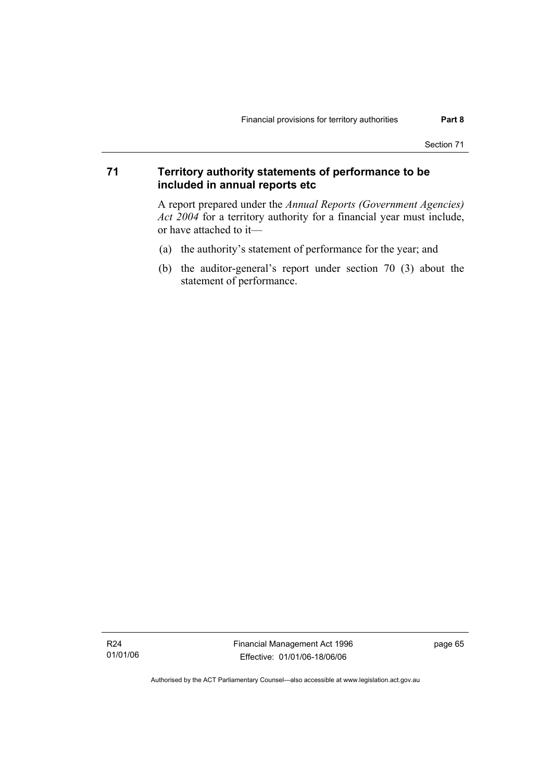### **71 Territory authority statements of performance to be included in annual reports etc**

A report prepared under the *Annual Reports (Government Agencies) Act 2004* for a territory authority for a financial year must include, or have attached to it—

- (a) the authority's statement of performance for the year; and
- (b) the auditor-general's report under section 70 (3) about the statement of performance.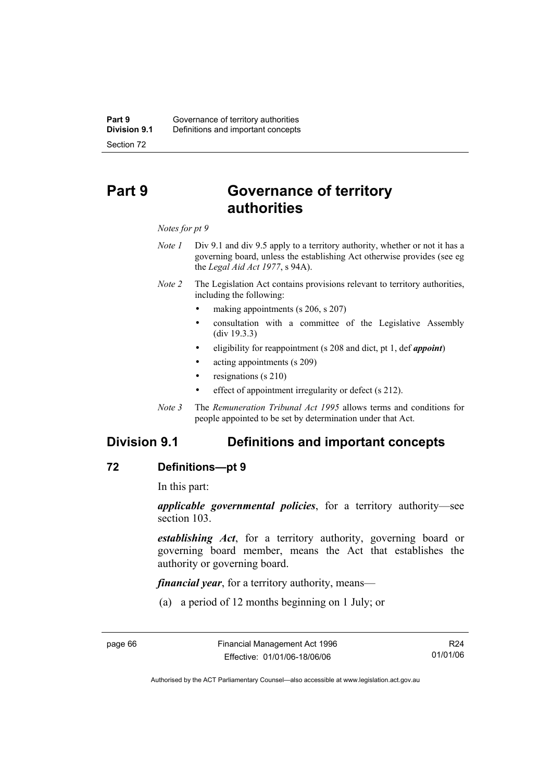# **Part 9 Governance of territory authorities**

#### *Notes for pt 9*

- *Note 1* Div 9.1 and div 9.5 apply to a territory authority, whether or not it has a governing board, unless the establishing Act otherwise provides (see eg the *Legal Aid Act 1977*, s 94A).
- *Note 2* The Legislation Act contains provisions relevant to territory authorities, including the following:
	- making appointments (s 206, s 207)
	- consultation with a committee of the Legislative Assembly (div 19.3.3)
	- eligibility for reappointment (s 208 and dict, pt 1, def *appoint*)
	- acting appointments (s 209)
	- resignations (s 210)
	- effect of appointment irregularity or defect (s 212).
- *Note 3* The *Remuneration Tribunal Act 1995* allows terms and conditions for people appointed to be set by determination under that Act.

## **Division 9.1 Definitions and important concepts**

### **72 Definitions—pt 9**

In this part:

*applicable governmental policies*, for a territory authority—see section 103.

*establishing Act*, for a territory authority, governing board or governing board member, means the Act that establishes the authority or governing board.

*financial year*, for a territory authority, means—

(a) a period of 12 months beginning on 1 July; or

R24 01/01/06

Authorised by the ACT Parliamentary Counsel—also accessible at www.legislation.act.gov.au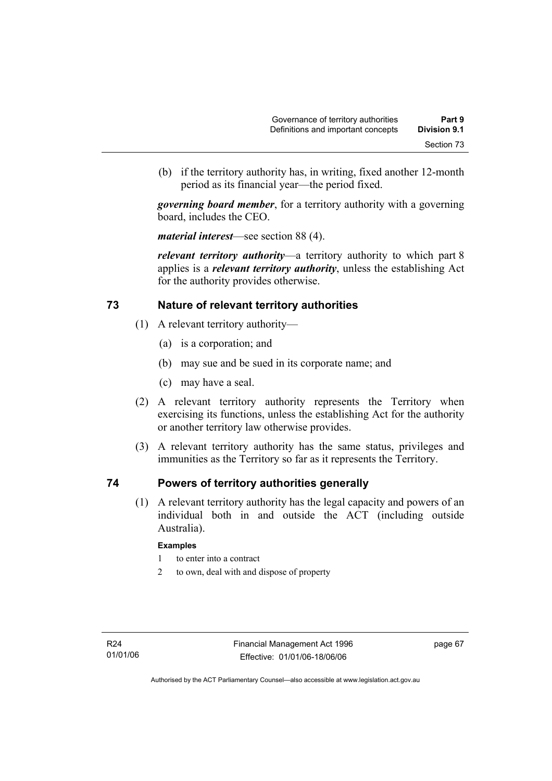(b) if the territory authority has, in writing, fixed another 12-month period as its financial year—the period fixed.

*governing board member*, for a territory authority with a governing board, includes the CEO.

*material interest*—see section 88 (4).

*relevant territory authority*—a territory authority to which part 8 applies is a *relevant territory authority*, unless the establishing Act for the authority provides otherwise.

### **73 Nature of relevant territory authorities**

- (1) A relevant territory authority—
	- (a) is a corporation; and
	- (b) may sue and be sued in its corporate name; and
	- (c) may have a seal.
- (2) A relevant territory authority represents the Territory when exercising its functions, unless the establishing Act for the authority or another territory law otherwise provides.
- (3) A relevant territory authority has the same status, privileges and immunities as the Territory so far as it represents the Territory.

### **74 Powers of territory authorities generally**

 (1) A relevant territory authority has the legal capacity and powers of an individual both in and outside the ACT (including outside Australia).

#### **Examples**

- 1 to enter into a contract
- 2 to own, deal with and dispose of property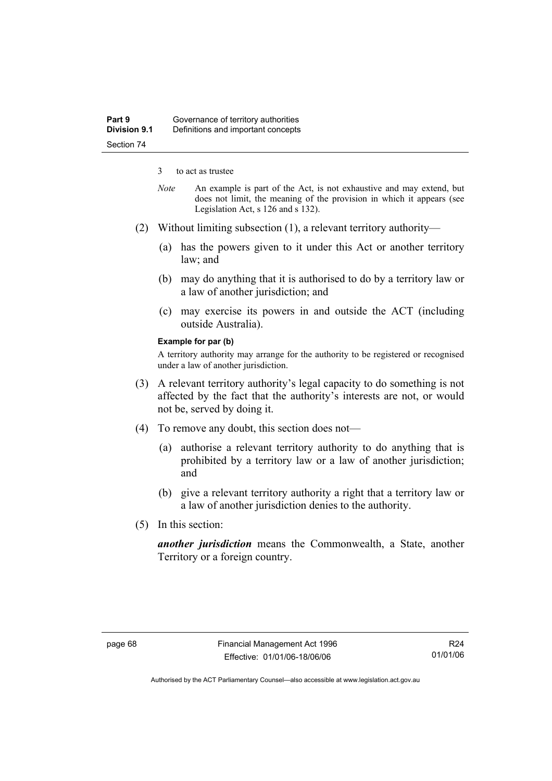3 to act as trustee

- *Note* An example is part of the Act, is not exhaustive and may extend, but does not limit, the meaning of the provision in which it appears (see Legislation Act, s 126 and s 132).
- (2) Without limiting subsection (1), a relevant territory authority—
	- (a) has the powers given to it under this Act or another territory law; and
	- (b) may do anything that it is authorised to do by a territory law or a law of another jurisdiction; and
	- (c) may exercise its powers in and outside the ACT (including outside Australia).

#### **Example for par (b)**

A territory authority may arrange for the authority to be registered or recognised under a law of another jurisdiction.

- (3) A relevant territory authority's legal capacity to do something is not affected by the fact that the authority's interests are not, or would not be, served by doing it.
- (4) To remove any doubt, this section does not—
	- (a) authorise a relevant territory authority to do anything that is prohibited by a territory law or a law of another jurisdiction; and
	- (b) give a relevant territory authority a right that a territory law or a law of another jurisdiction denies to the authority.
- (5) In this section:

*another jurisdiction* means the Commonwealth, a State, another Territory or a foreign country.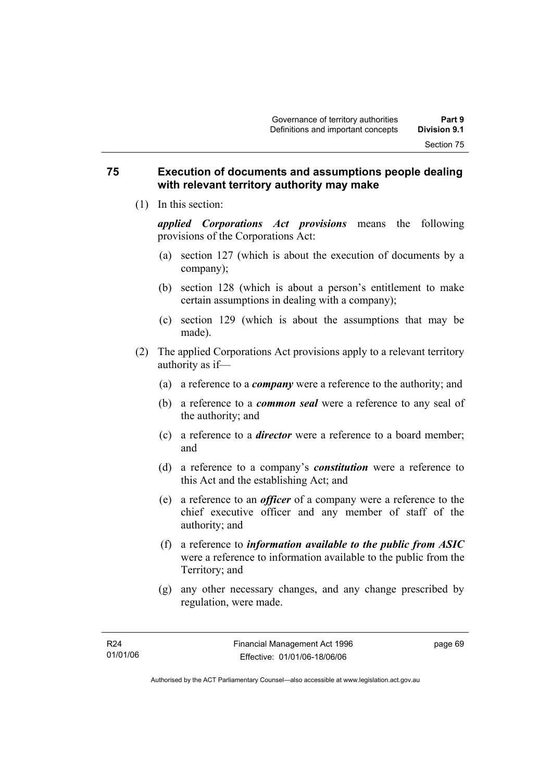### **75 Execution of documents and assumptions people dealing with relevant territory authority may make**

(1) In this section:

*applied Corporations Act provisions* means the following provisions of the Corporations Act:

- (a) section 127 (which is about the execution of documents by a company);
- (b) section 128 (which is about a person's entitlement to make certain assumptions in dealing with a company);
- (c) section 129 (which is about the assumptions that may be made).
- (2) The applied Corporations Act provisions apply to a relevant territory authority as if—
	- (a) a reference to a *company* were a reference to the authority; and
	- (b) a reference to a *common seal* were a reference to any seal of the authority; and
	- (c) a reference to a *director* were a reference to a board member; and
	- (d) a reference to a company's *constitution* were a reference to this Act and the establishing Act; and
	- (e) a reference to an *officer* of a company were a reference to the chief executive officer and any member of staff of the authority; and
	- (f) a reference to *information available to the public from ASIC*  were a reference to information available to the public from the Territory; and
	- (g) any other necessary changes, and any change prescribed by regulation, were made.

page 69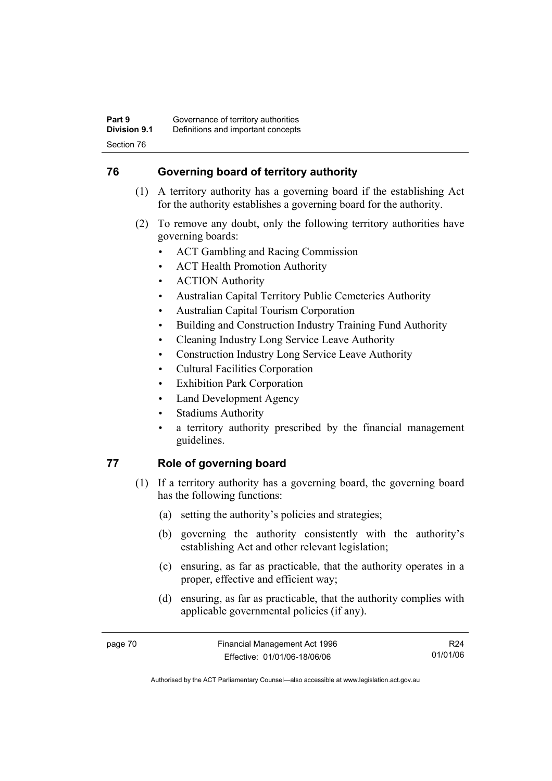## **76 Governing board of territory authority**

- (1) A territory authority has a governing board if the establishing Act for the authority establishes a governing board for the authority.
- (2) To remove any doubt, only the following territory authorities have governing boards:
	- ACT Gambling and Racing Commission
	- ACT Health Promotion Authority
	- ACTION Authority
	- Australian Capital Territory Public Cemeteries Authority
	- Australian Capital Tourism Corporation
	- Building and Construction Industry Training Fund Authority
	- Cleaning Industry Long Service Leave Authority
	- Construction Industry Long Service Leave Authority
	- Cultural Facilities Corporation
	- Exhibition Park Corporation
	- Land Development Agency
	- Stadiums Authority
	- a territory authority prescribed by the financial management guidelines.

## **77 Role of governing board**

- (1) If a territory authority has a governing board, the governing board has the following functions:
	- (a) setting the authority's policies and strategies;
	- (b) governing the authority consistently with the authority's establishing Act and other relevant legislation;
	- (c) ensuring, as far as practicable, that the authority operates in a proper, effective and efficient way;
	- (d) ensuring, as far as practicable, that the authority complies with applicable governmental policies (if any).

R24 01/01/06

Authorised by the ACT Parliamentary Counsel—also accessible at www.legislation.act.gov.au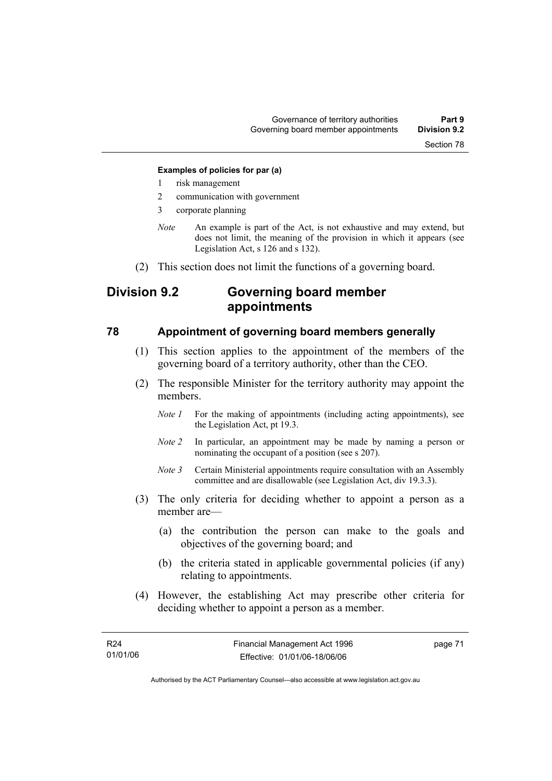#### **Examples of policies for par (a)**

- 1 risk management
- 2 communication with government
- 3 corporate planning
- *Note* An example is part of the Act, is not exhaustive and may extend, but does not limit, the meaning of the provision in which it appears (see Legislation Act, s 126 and s 132).
- (2) This section does not limit the functions of a governing board.

## **Division 9.2 Governing board member appointments**

### **78 Appointment of governing board members generally**

- (1) This section applies to the appointment of the members of the governing board of a territory authority, other than the CEO.
- (2) The responsible Minister for the territory authority may appoint the members.
	- *Note 1* For the making of appointments (including acting appointments), see the Legislation Act, pt 19.3.
	- *Note 2* In particular, an appointment may be made by naming a person or nominating the occupant of a position (see s 207).
	- *Note 3* Certain Ministerial appointments require consultation with an Assembly committee and are disallowable (see Legislation Act, div 19.3.3).
- (3) The only criteria for deciding whether to appoint a person as a member are—
	- (a) the contribution the person can make to the goals and objectives of the governing board; and
	- (b) the criteria stated in applicable governmental policies (if any) relating to appointments.
- (4) However, the establishing Act may prescribe other criteria for deciding whether to appoint a person as a member.

page 71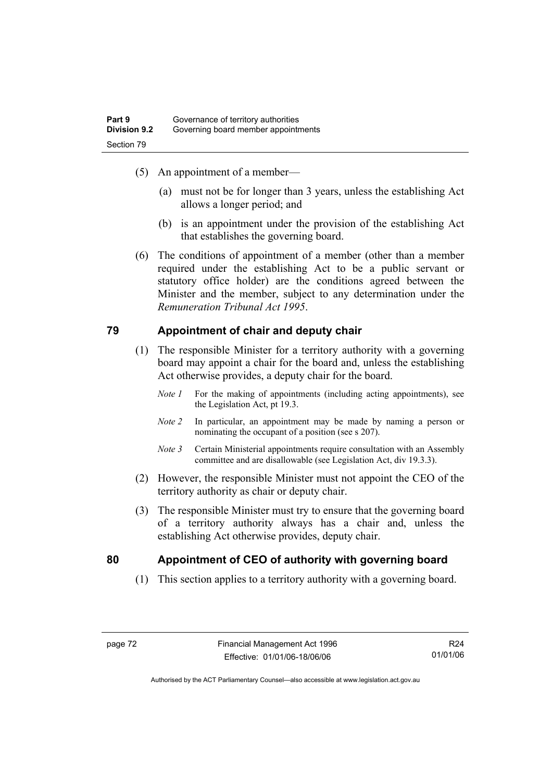- (5) An appointment of a member—
	- (a) must not be for longer than 3 years, unless the establishing Act allows a longer period; and
	- (b) is an appointment under the provision of the establishing Act that establishes the governing board.
- (6) The conditions of appointment of a member (other than a member required under the establishing Act to be a public servant or statutory office holder) are the conditions agreed between the Minister and the member, subject to any determination under the *Remuneration Tribunal Act 1995*.

### **79 Appointment of chair and deputy chair**

- (1) The responsible Minister for a territory authority with a governing board may appoint a chair for the board and, unless the establishing Act otherwise provides, a deputy chair for the board.
	- *Note 1* For the making of appointments (including acting appointments), see the Legislation Act, pt 19.3.
	- *Note 2* In particular, an appointment may be made by naming a person or nominating the occupant of a position (see s 207).
	- *Note 3* Certain Ministerial appointments require consultation with an Assembly committee and are disallowable (see Legislation Act, div 19.3.3).
- (2) However, the responsible Minister must not appoint the CEO of the territory authority as chair or deputy chair.
- (3) The responsible Minister must try to ensure that the governing board of a territory authority always has a chair and, unless the establishing Act otherwise provides, deputy chair.

### **80 Appointment of CEO of authority with governing board**

(1) This section applies to a territory authority with a governing board.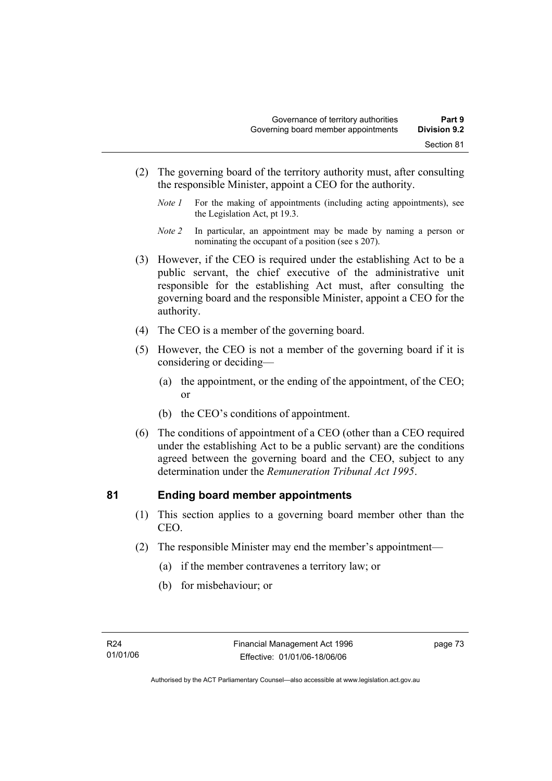- (2) The governing board of the territory authority must, after consulting the responsible Minister, appoint a CEO for the authority.
	- *Note 1* For the making of appointments (including acting appointments), see the Legislation Act, pt 19.3.
	- *Note 2* In particular, an appointment may be made by naming a person or nominating the occupant of a position (see s 207).
- (3) However, if the CEO is required under the establishing Act to be a public servant, the chief executive of the administrative unit responsible for the establishing Act must, after consulting the governing board and the responsible Minister, appoint a CEO for the authority.
- (4) The CEO is a member of the governing board.
- (5) However, the CEO is not a member of the governing board if it is considering or deciding—
	- (a) the appointment, or the ending of the appointment, of the CEO; or
	- (b) the CEO's conditions of appointment.
- (6) The conditions of appointment of a CEO (other than a CEO required under the establishing Act to be a public servant) are the conditions agreed between the governing board and the CEO, subject to any determination under the *Remuneration Tribunal Act 1995*.

### **81 Ending board member appointments**

- (1) This section applies to a governing board member other than the CEO.
- (2) The responsible Minister may end the member's appointment—
	- (a) if the member contravenes a territory law; or
	- (b) for misbehaviour; or

page 73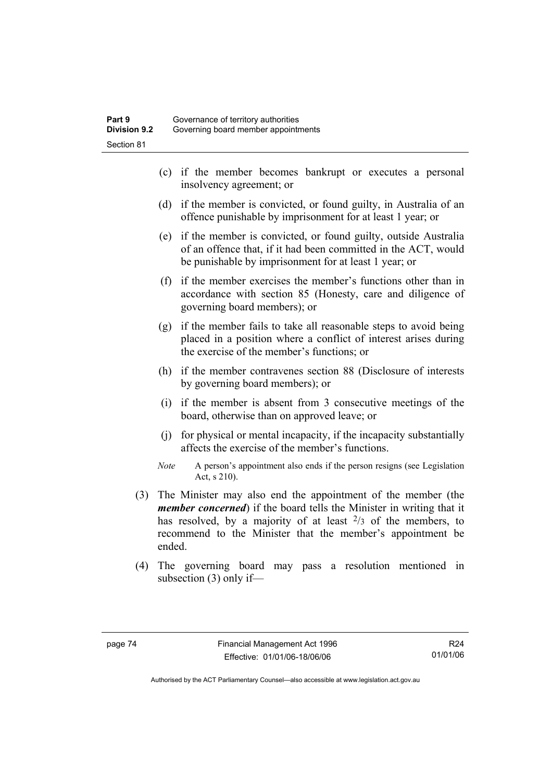- (c) if the member becomes bankrupt or executes a personal insolvency agreement; or
- (d) if the member is convicted, or found guilty, in Australia of an offence punishable by imprisonment for at least 1 year; or
- (e) if the member is convicted, or found guilty, outside Australia of an offence that, if it had been committed in the ACT, would be punishable by imprisonment for at least 1 year; or
- (f) if the member exercises the member's functions other than in accordance with section 85 (Honesty, care and diligence of governing board members); or
- (g) if the member fails to take all reasonable steps to avoid being placed in a position where a conflict of interest arises during the exercise of the member's functions; or
- (h) if the member contravenes section 88 (Disclosure of interests by governing board members); or
- (i) if the member is absent from 3 consecutive meetings of the board, otherwise than on approved leave; or
- (j) for physical or mental incapacity, if the incapacity substantially affects the exercise of the member's functions.
- *Note* A person's appointment also ends if the person resigns (see Legislation Act, s 210).
- (3) The Minister may also end the appointment of the member (the *member concerned*) if the board tells the Minister in writing that it has resolved, by a majority of at least  $2/3$  of the members, to recommend to the Minister that the member's appointment be ended.
- (4) The governing board may pass a resolution mentioned in subsection (3) only if—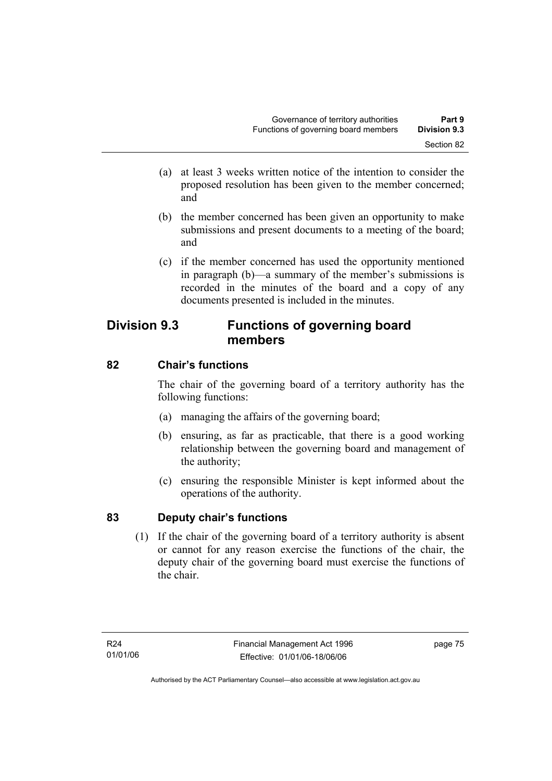- (a) at least 3 weeks written notice of the intention to consider the proposed resolution has been given to the member concerned; and
- (b) the member concerned has been given an opportunity to make submissions and present documents to a meeting of the board; and
- (c) if the member concerned has used the opportunity mentioned in paragraph (b)—a summary of the member's submissions is recorded in the minutes of the board and a copy of any documents presented is included in the minutes.

## **Division 9.3 Functions of governing board members**

## **82 Chair's functions**

The chair of the governing board of a territory authority has the following functions:

- (a) managing the affairs of the governing board;
- (b) ensuring, as far as practicable, that there is a good working relationship between the governing board and management of the authority;
- (c) ensuring the responsible Minister is kept informed about the operations of the authority.

## **83 Deputy chair's functions**

 (1) If the chair of the governing board of a territory authority is absent or cannot for any reason exercise the functions of the chair, the deputy chair of the governing board must exercise the functions of the chair.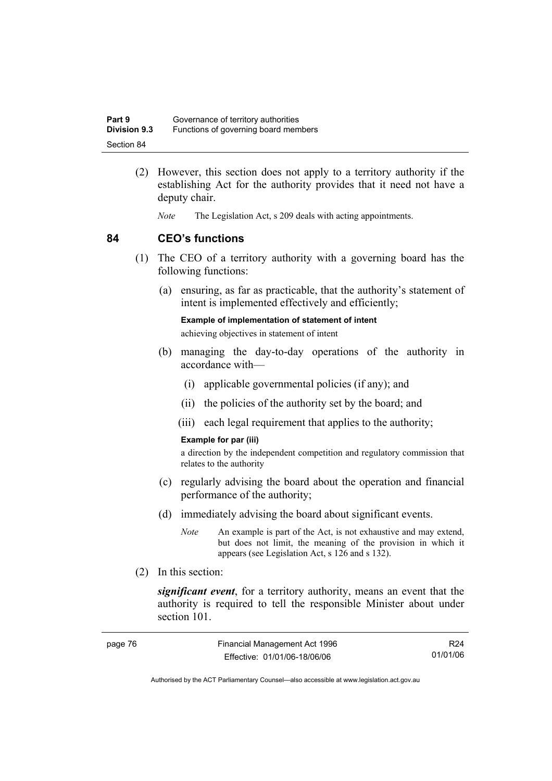| Part 9              | Governance of territory authorities  |
|---------------------|--------------------------------------|
| <b>Division 9.3</b> | Functions of governing board members |
| Section 84          |                                      |

- (2) However, this section does not apply to a territory authority if the establishing Act for the authority provides that it need not have a deputy chair.
	- *Note* The Legislation Act, s 209 deals with acting appointments.

### **84 CEO's functions**

- (1) The CEO of a territory authority with a governing board has the following functions:
	- (a) ensuring, as far as practicable, that the authority's statement of intent is implemented effectively and efficiently;

**Example of implementation of statement of intent** 

achieving objectives in statement of intent

- (b) managing the day-to-day operations of the authority in accordance with—
	- (i) applicable governmental policies (if any); and
	- (ii) the policies of the authority set by the board; and
	- (iii) each legal requirement that applies to the authority;

#### **Example for par (iii)**

a direction by the independent competition and regulatory commission that relates to the authority

- (c) regularly advising the board about the operation and financial performance of the authority;
- (d) immediately advising the board about significant events.
	- *Note* An example is part of the Act, is not exhaustive and may extend, but does not limit, the meaning of the provision in which it appears (see Legislation Act, s 126 and s 132).
- (2) In this section:

*significant event*, for a territory authority, means an event that the authority is required to tell the responsible Minister about under section 101.

| page 76 | Financial Management Act 1996 | R24      |
|---------|-------------------------------|----------|
|         | Effective: 01/01/06-18/06/06  | 01/01/06 |

Authorised by the ACT Parliamentary Counsel—also accessible at www.legislation.act.gov.au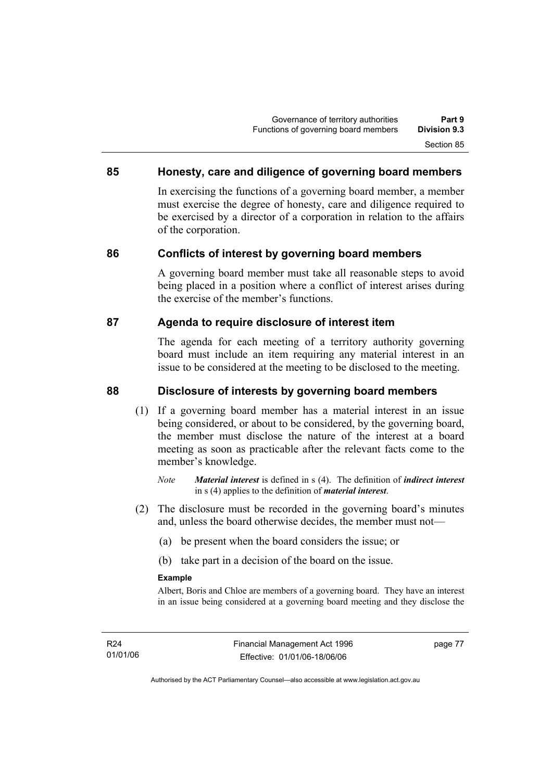### **85 Honesty, care and diligence of governing board members**

In exercising the functions of a governing board member, a member must exercise the degree of honesty, care and diligence required to be exercised by a director of a corporation in relation to the affairs of the corporation.

### **86 Conflicts of interest by governing board members**

A governing board member must take all reasonable steps to avoid being placed in a position where a conflict of interest arises during the exercise of the member's functions.

### **87 Agenda to require disclosure of interest item**

The agenda for each meeting of a territory authority governing board must include an item requiring any material interest in an issue to be considered at the meeting to be disclosed to the meeting.

### **88 Disclosure of interests by governing board members**

- (1) If a governing board member has a material interest in an issue being considered, or about to be considered, by the governing board, the member must disclose the nature of the interest at a board meeting as soon as practicable after the relevant facts come to the member's knowledge.
	- *Note Material interest* is defined in s (4). The definition of *indirect interest* in s (4) applies to the definition of *material interest*.
- (2) The disclosure must be recorded in the governing board's minutes and, unless the board otherwise decides, the member must not—
	- (a) be present when the board considers the issue; or
	- (b) take part in a decision of the board on the issue.

#### **Example**

Albert, Boris and Chloe are members of a governing board. They have an interest in an issue being considered at a governing board meeting and they disclose the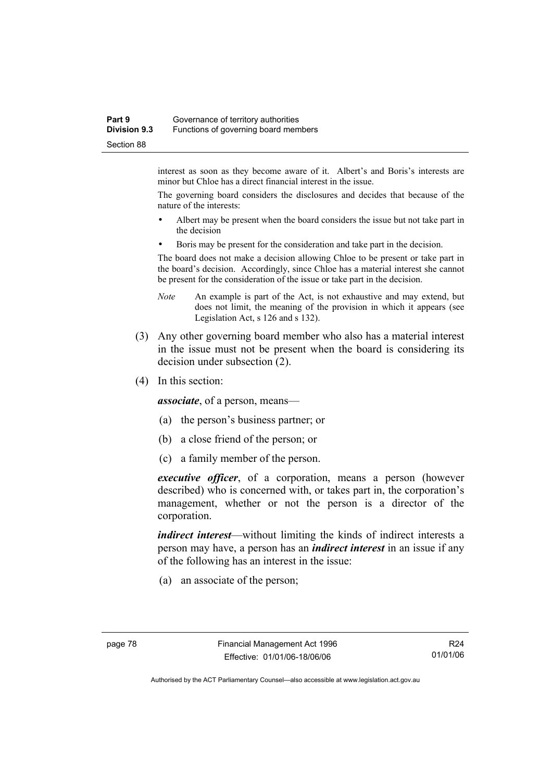#### **Part 9 Governance of territory authorities Division 9.3** Functions of governing board members Section 88

interest as soon as they become aware of it. Albert's and Boris's interests are minor but Chloe has a direct financial interest in the issue.

The governing board considers the disclosures and decides that because of the nature of the interests:

- Albert may be present when the board considers the issue but not take part in the decision
- Boris may be present for the consideration and take part in the decision.

The board does not make a decision allowing Chloe to be present or take part in the board's decision. Accordingly, since Chloe has a material interest she cannot be present for the consideration of the issue or take part in the decision.

- *Note* An example is part of the Act, is not exhaustive and may extend, but does not limit, the meaning of the provision in which it appears (see Legislation Act, s 126 and s 132).
- (3) Any other governing board member who also has a material interest in the issue must not be present when the board is considering its decision under subsection (2).
- (4) In this section:

*associate*, of a person, means—

- (a) the person's business partner; or
- (b) a close friend of the person; or
- (c) a family member of the person.

*executive officer*, of a corporation, means a person (however described) who is concerned with, or takes part in, the corporation's management, whether or not the person is a director of the corporation.

*indirect interest*—without limiting the kinds of indirect interests a person may have, a person has an *indirect interest* in an issue if any of the following has an interest in the issue:

(a) an associate of the person;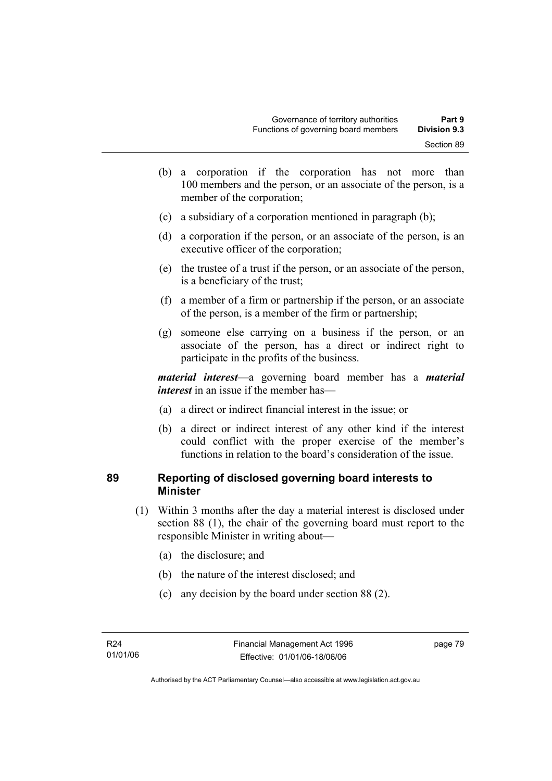- (b) a corporation if the corporation has not more than 100 members and the person, or an associate of the person, is a member of the corporation;
- (c) a subsidiary of a corporation mentioned in paragraph (b);
- (d) a corporation if the person, or an associate of the person, is an executive officer of the corporation;
- (e) the trustee of a trust if the person, or an associate of the person, is a beneficiary of the trust;
- (f) a member of a firm or partnership if the person, or an associate of the person, is a member of the firm or partnership;
- (g) someone else carrying on a business if the person, or an associate of the person, has a direct or indirect right to participate in the profits of the business.

*material interest*—a governing board member has a *material interest* in an issue if the member has—

- (a) a direct or indirect financial interest in the issue; or
- (b) a direct or indirect interest of any other kind if the interest could conflict with the proper exercise of the member's functions in relation to the board's consideration of the issue.

### **89 Reporting of disclosed governing board interests to Minister**

- (1) Within 3 months after the day a material interest is disclosed under section 88 (1), the chair of the governing board must report to the responsible Minister in writing about—
	- (a) the disclosure; and
	- (b) the nature of the interest disclosed; and
	- (c) any decision by the board under section 88 (2).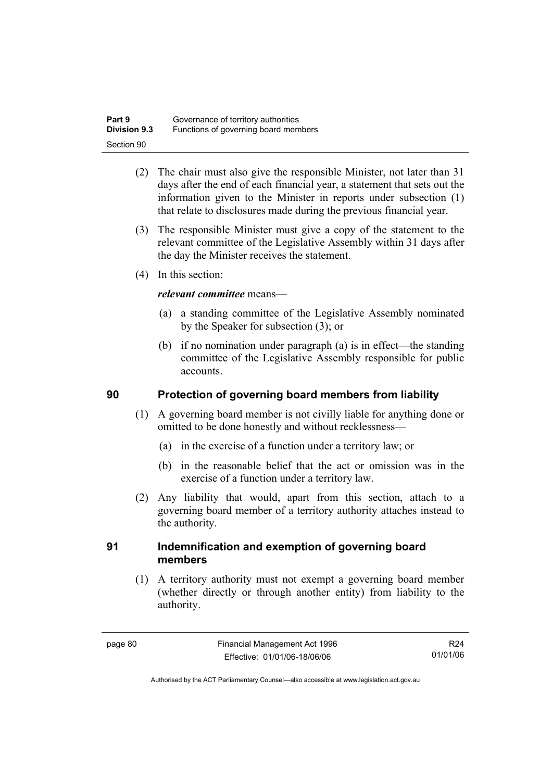| Part 9              | Governance of territory authorities  |
|---------------------|--------------------------------------|
| <b>Division 9.3</b> | Functions of governing board members |
| Section 90          |                                      |

- (2) The chair must also give the responsible Minister, not later than 31 days after the end of each financial year, a statement that sets out the information given to the Minister in reports under subsection (1) that relate to disclosures made during the previous financial year.
- (3) The responsible Minister must give a copy of the statement to the relevant committee of the Legislative Assembly within 31 days after the day the Minister receives the statement.
- (4) In this section:

### *relevant committee* means—

- (a) a standing committee of the Legislative Assembly nominated by the Speaker for subsection (3); or
- (b) if no nomination under paragraph (a) is in effect—the standing committee of the Legislative Assembly responsible for public accounts.

### **90 Protection of governing board members from liability**

- (1) A governing board member is not civilly liable for anything done or omitted to be done honestly and without recklessness—
	- (a) in the exercise of a function under a territory law; or
	- (b) in the reasonable belief that the act or omission was in the exercise of a function under a territory law.
- (2) Any liability that would, apart from this section, attach to a governing board member of a territory authority attaches instead to the authority.

### **91 Indemnification and exemption of governing board members**

 (1) A territory authority must not exempt a governing board member (whether directly or through another entity) from liability to the authority.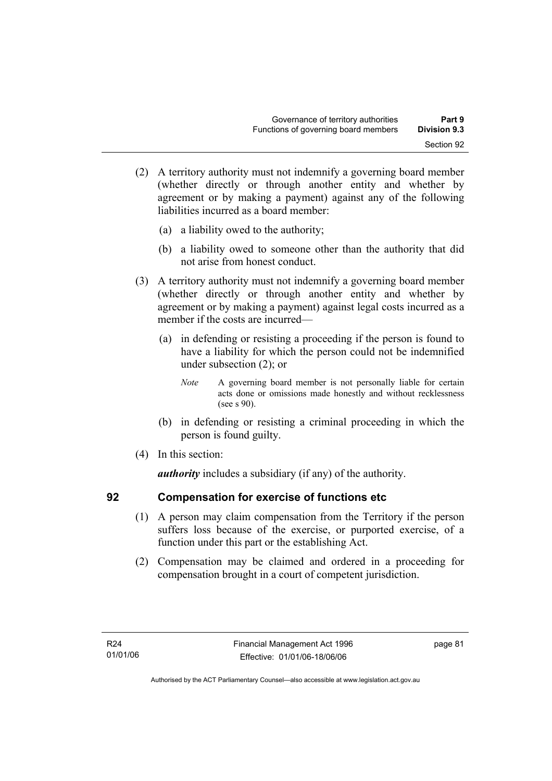- (2) A territory authority must not indemnify a governing board member (whether directly or through another entity and whether by agreement or by making a payment) against any of the following liabilities incurred as a board member:
	- (a) a liability owed to the authority;
	- (b) a liability owed to someone other than the authority that did not arise from honest conduct.
- (3) A territory authority must not indemnify a governing board member (whether directly or through another entity and whether by agreement or by making a payment) against legal costs incurred as a member if the costs are incurred—
	- (a) in defending or resisting a proceeding if the person is found to have a liability for which the person could not be indemnified under subsection (2); or
		- *Note* A governing board member is not personally liable for certain acts done or omissions made honestly and without recklessness (see s 90).
	- (b) in defending or resisting a criminal proceeding in which the person is found guilty.
- (4) In this section:

*authority* includes a subsidiary (if any) of the authority.

### **92 Compensation for exercise of functions etc**

- (1) A person may claim compensation from the Territory if the person suffers loss because of the exercise, or purported exercise, of a function under this part or the establishing Act.
- (2) Compensation may be claimed and ordered in a proceeding for compensation brought in a court of competent jurisdiction.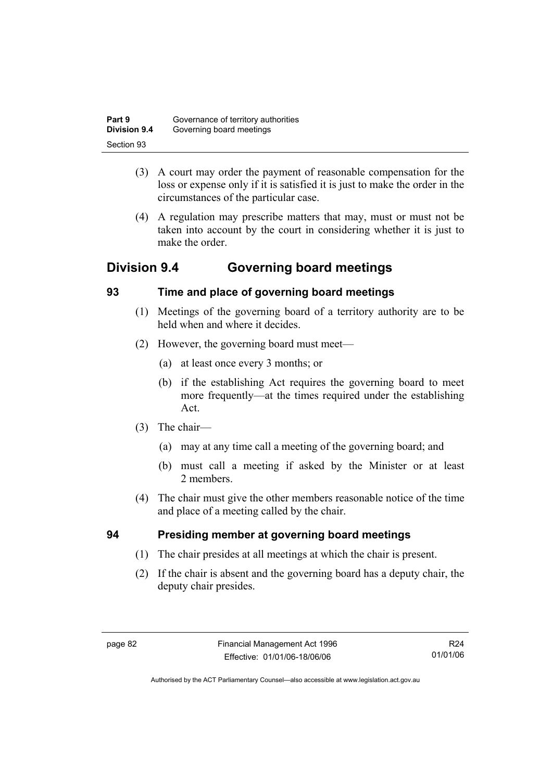| Part 9              | Governance of territory authorities |
|---------------------|-------------------------------------|
| <b>Division 9.4</b> | Governing board meetings            |
| Section 93          |                                     |

- (3) A court may order the payment of reasonable compensation for the loss or expense only if it is satisfied it is just to make the order in the circumstances of the particular case.
- (4) A regulation may prescribe matters that may, must or must not be taken into account by the court in considering whether it is just to make the order

## **Division 9.4 Governing board meetings**

## **93 Time and place of governing board meetings**

- (1) Meetings of the governing board of a territory authority are to be held when and where it decides.
- (2) However, the governing board must meet—
	- (a) at least once every 3 months; or
	- (b) if the establishing Act requires the governing board to meet more frequently—at the times required under the establishing Act.
- (3) The chair—
	- (a) may at any time call a meeting of the governing board; and
	- (b) must call a meeting if asked by the Minister or at least 2 members.
- (4) The chair must give the other members reasonable notice of the time and place of a meeting called by the chair.

## **94 Presiding member at governing board meetings**

- (1) The chair presides at all meetings at which the chair is present.
- (2) If the chair is absent and the governing board has a deputy chair, the deputy chair presides.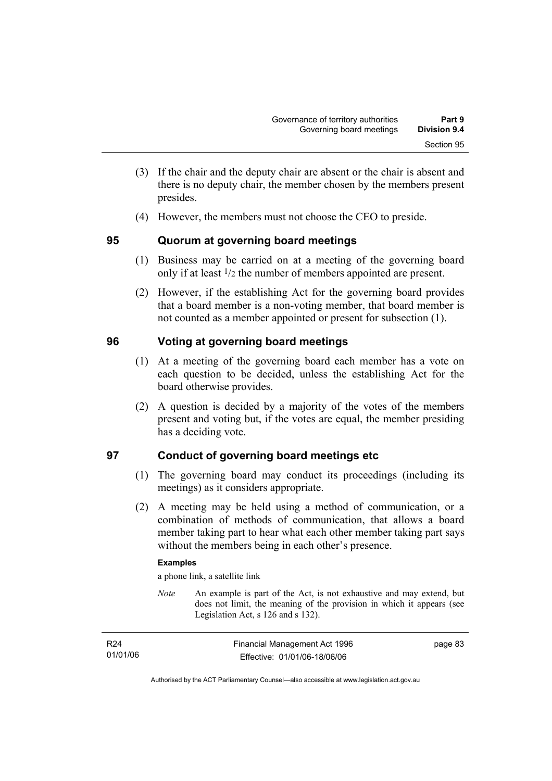- (3) If the chair and the deputy chair are absent or the chair is absent and there is no deputy chair, the member chosen by the members present presides.
- (4) However, the members must not choose the CEO to preside.

### **95 Quorum at governing board meetings**

- (1) Business may be carried on at a meeting of the governing board only if at least 1/2 the number of members appointed are present.
- (2) However, if the establishing Act for the governing board provides that a board member is a non-voting member, that board member is not counted as a member appointed or present for subsection (1).

## **96 Voting at governing board meetings**

- (1) At a meeting of the governing board each member has a vote on each question to be decided, unless the establishing Act for the board otherwise provides.
- (2) A question is decided by a majority of the votes of the members present and voting but, if the votes are equal, the member presiding has a deciding vote.

## **97 Conduct of governing board meetings etc**

- (1) The governing board may conduct its proceedings (including its meetings) as it considers appropriate.
- (2) A meeting may be held using a method of communication, or a combination of methods of communication, that allows a board member taking part to hear what each other member taking part says without the members being in each other's presence.

### **Examples**

a phone link, a satellite link

*Note* An example is part of the Act, is not exhaustive and may extend, but does not limit, the meaning of the provision in which it appears (see Legislation Act, s 126 and s 132).

| R <sub>24</sub> | Financial Management Act 1996 | page 83 |
|-----------------|-------------------------------|---------|
| 01/01/06        | Effective: 01/01/06-18/06/06  |         |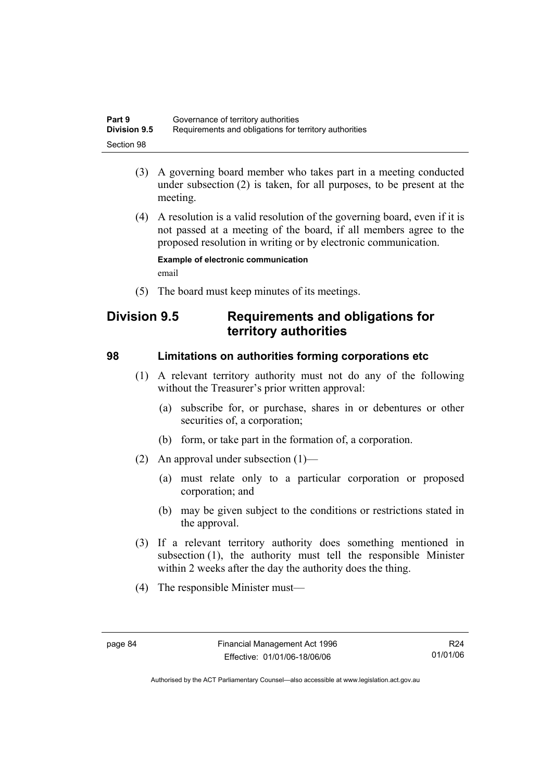| Part 9              | Governance of territory authorities                    |
|---------------------|--------------------------------------------------------|
| <b>Division 9.5</b> | Requirements and obligations for territory authorities |
| Section 98          |                                                        |

- (3) A governing board member who takes part in a meeting conducted under subsection (2) is taken, for all purposes, to be present at the meeting.
- (4) A resolution is a valid resolution of the governing board, even if it is not passed at a meeting of the board, if all members agree to the proposed resolution in writing or by electronic communication.

**Example of electronic communication**  email

(5) The board must keep minutes of its meetings.

## **Division 9.5 Requirements and obligations for territory authorities**

### **98 Limitations on authorities forming corporations etc**

- (1) A relevant territory authority must not do any of the following without the Treasurer's prior written approval:
	- (a) subscribe for, or purchase, shares in or debentures or other securities of, a corporation;
	- (b) form, or take part in the formation of, a corporation.
- (2) An approval under subsection (1)—
	- (a) must relate only to a particular corporation or proposed corporation; and
	- (b) may be given subject to the conditions or restrictions stated in the approval.
- (3) If a relevant territory authority does something mentioned in subsection (1), the authority must tell the responsible Minister within 2 weeks after the day the authority does the thing.
- (4) The responsible Minister must—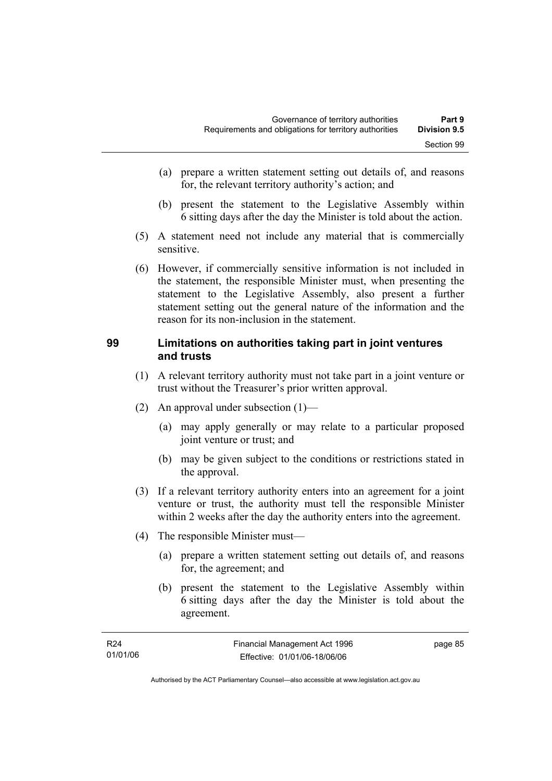- (a) prepare a written statement setting out details of, and reasons for, the relevant territory authority's action; and
- (b) present the statement to the Legislative Assembly within 6 sitting days after the day the Minister is told about the action.
- (5) A statement need not include any material that is commercially sensitive.
- (6) However, if commercially sensitive information is not included in the statement, the responsible Minister must, when presenting the statement to the Legislative Assembly, also present a further statement setting out the general nature of the information and the reason for its non-inclusion in the statement.

### **99 Limitations on authorities taking part in joint ventures and trusts**

- (1) A relevant territory authority must not take part in a joint venture or trust without the Treasurer's prior written approval.
- (2) An approval under subsection (1)—
	- (a) may apply generally or may relate to a particular proposed joint venture or trust; and
	- (b) may be given subject to the conditions or restrictions stated in the approval.
- (3) If a relevant territory authority enters into an agreement for a joint venture or trust, the authority must tell the responsible Minister within 2 weeks after the day the authority enters into the agreement.
- (4) The responsible Minister must—
	- (a) prepare a written statement setting out details of, and reasons for, the agreement; and
	- (b) present the statement to the Legislative Assembly within 6 sitting days after the day the Minister is told about the agreement.

| R24      | Financial Management Act 1996 | page 85 |
|----------|-------------------------------|---------|
| 01/01/06 | Effective: 01/01/06-18/06/06  |         |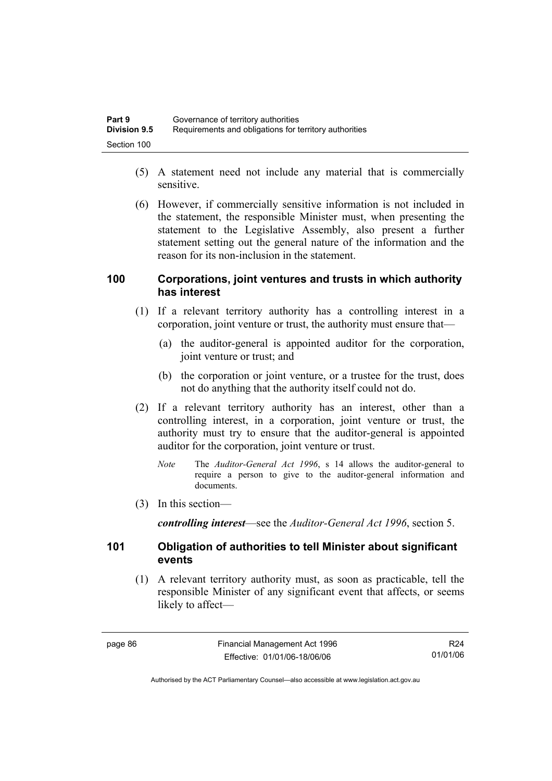| Part 9              | Governance of territory authorities                    |
|---------------------|--------------------------------------------------------|
| <b>Division 9.5</b> | Requirements and obligations for territory authorities |
| Section 100         |                                                        |

- (5) A statement need not include any material that is commercially sensitive.
- (6) However, if commercially sensitive information is not included in the statement, the responsible Minister must, when presenting the statement to the Legislative Assembly, also present a further statement setting out the general nature of the information and the reason for its non-inclusion in the statement.

### **100 Corporations, joint ventures and trusts in which authority has interest**

- (1) If a relevant territory authority has a controlling interest in a corporation, joint venture or trust, the authority must ensure that—
	- (a) the auditor-general is appointed auditor for the corporation, joint venture or trust; and
	- (b) the corporation or joint venture, or a trustee for the trust, does not do anything that the authority itself could not do.
- (2) If a relevant territory authority has an interest, other than a controlling interest, in a corporation, joint venture or trust, the authority must try to ensure that the auditor-general is appointed auditor for the corporation, joint venture or trust.
	- *Note* The *Auditor-General Act 1996*, s 14 allows the auditor-general to require a person to give to the auditor-general information and documents.
- (3) In this section—

*controlling interest*—see the *Auditor-General Act 1996*, section 5.

### **101 Obligation of authorities to tell Minister about significant events**

 (1) A relevant territory authority must, as soon as practicable, tell the responsible Minister of any significant event that affects, or seems likely to affect—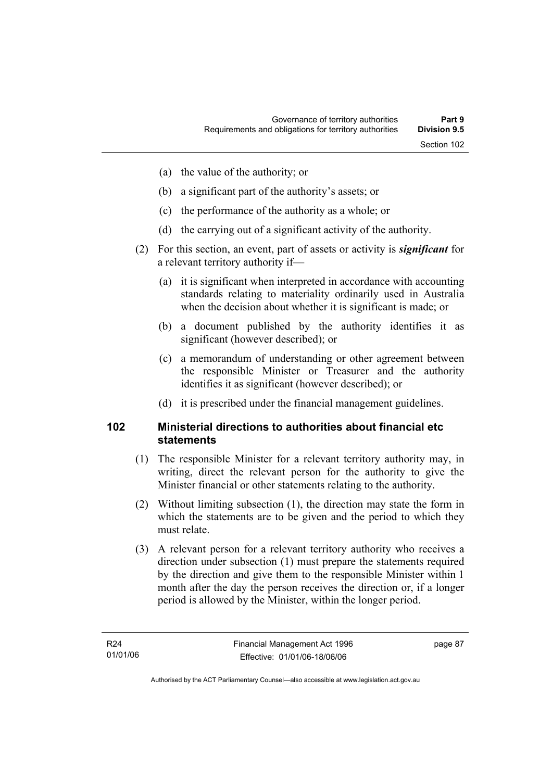- (a) the value of the authority; or
- (b) a significant part of the authority's assets; or
- (c) the performance of the authority as a whole; or
- (d) the carrying out of a significant activity of the authority.
- (2) For this section, an event, part of assets or activity is *significant* for a relevant territory authority if—
	- (a) it is significant when interpreted in accordance with accounting standards relating to materiality ordinarily used in Australia when the decision about whether it is significant is made; or
	- (b) a document published by the authority identifies it as significant (however described); or
	- (c) a memorandum of understanding or other agreement between the responsible Minister or Treasurer and the authority identifies it as significant (however described); or
	- (d) it is prescribed under the financial management guidelines.

### **102 Ministerial directions to authorities about financial etc statements**

- (1) The responsible Minister for a relevant territory authority may, in writing, direct the relevant person for the authority to give the Minister financial or other statements relating to the authority.
- (2) Without limiting subsection (1), the direction may state the form in which the statements are to be given and the period to which they must relate.
- (3) A relevant person for a relevant territory authority who receives a direction under subsection (1) must prepare the statements required by the direction and give them to the responsible Minister within 1 month after the day the person receives the direction or, if a longer period is allowed by the Minister, within the longer period.

page 87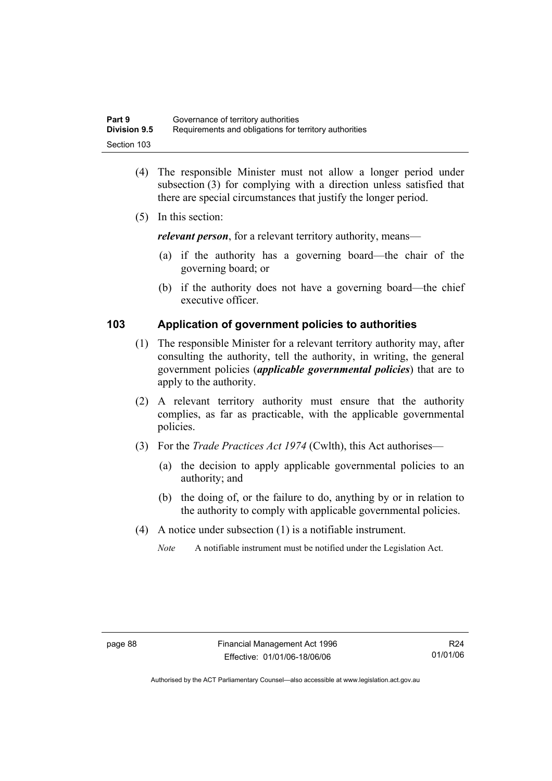| Part 9              | Governance of territory authorities                    |
|---------------------|--------------------------------------------------------|
| <b>Division 9.5</b> | Requirements and obligations for territory authorities |
| Section 103         |                                                        |

- (4) The responsible Minister must not allow a longer period under subsection (3) for complying with a direction unless satisfied that there are special circumstances that justify the longer period.
- (5) In this section:

*relevant person*, for a relevant territory authority, means—

- (a) if the authority has a governing board—the chair of the governing board; or
- (b) if the authority does not have a governing board—the chief executive officer.

### **103 Application of government policies to authorities**

- (1) The responsible Minister for a relevant territory authority may, after consulting the authority, tell the authority, in writing, the general government policies (*applicable governmental policies*) that are to apply to the authority.
- (2) A relevant territory authority must ensure that the authority complies, as far as practicable, with the applicable governmental policies.
- (3) For the *Trade Practices Act 1974* (Cwlth), this Act authorises—
	- (a) the decision to apply applicable governmental policies to an authority; and
	- (b) the doing of, or the failure to do, anything by or in relation to the authority to comply with applicable governmental policies.
- (4) A notice under subsection (1) is a notifiable instrument.
	- *Note* A notifiable instrument must be notified under the Legislation Act.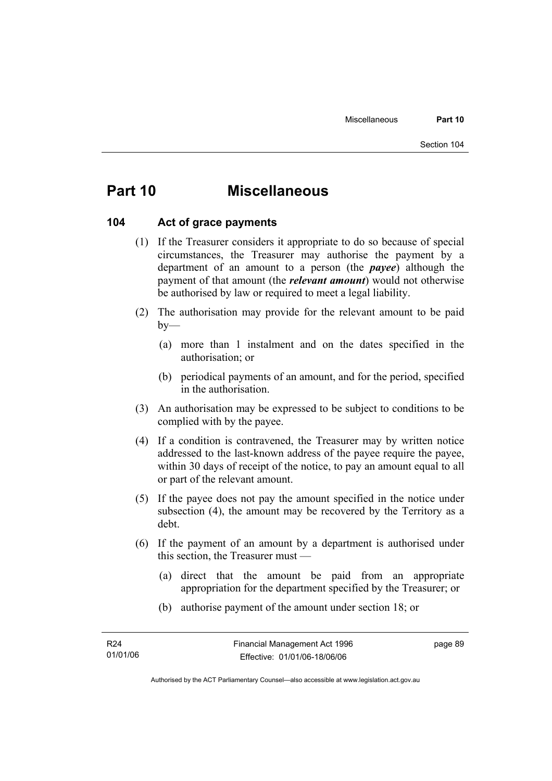# **Part 10 Miscellaneous**

### **104 Act of grace payments**

- (1) If the Treasurer considers it appropriate to do so because of special circumstances, the Treasurer may authorise the payment by a department of an amount to a person (the *payee*) although the payment of that amount (the *relevant amount*) would not otherwise be authorised by law or required to meet a legal liability.
- (2) The authorisation may provide for the relevant amount to be paid  $by-$ 
	- (a) more than 1 instalment and on the dates specified in the authorisation; or
	- (b) periodical payments of an amount, and for the period, specified in the authorisation.
- (3) An authorisation may be expressed to be subject to conditions to be complied with by the payee.
- (4) If a condition is contravened, the Treasurer may by written notice addressed to the last-known address of the payee require the payee, within 30 days of receipt of the notice, to pay an amount equal to all or part of the relevant amount.
- (5) If the payee does not pay the amount specified in the notice under subsection (4), the amount may be recovered by the Territory as a debt.
- (6) If the payment of an amount by a department is authorised under this section, the Treasurer must —
	- (a) direct that the amount be paid from an appropriate appropriation for the department specified by the Treasurer; or
	- (b) authorise payment of the amount under section 18; or

page 89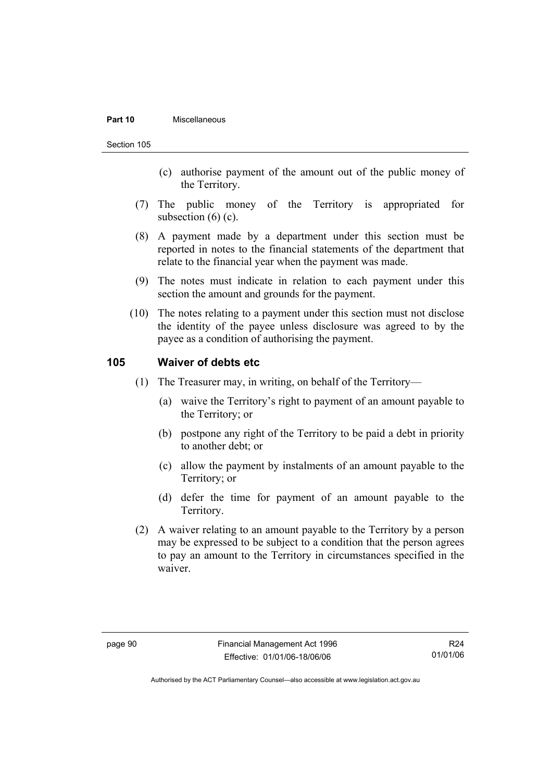#### **Part 10** Miscellaneous

Section 105

- (c) authorise payment of the amount out of the public money of the Territory.
- (7) The public money of the Territory is appropriated for subsection  $(6)$   $(c)$ .
- (8) A payment made by a department under this section must be reported in notes to the financial statements of the department that relate to the financial year when the payment was made.
- (9) The notes must indicate in relation to each payment under this section the amount and grounds for the payment.
- (10) The notes relating to a payment under this section must not disclose the identity of the payee unless disclosure was agreed to by the payee as a condition of authorising the payment.

### **105 Waiver of debts etc**

- (1) The Treasurer may, in writing, on behalf of the Territory—
	- (a) waive the Territory's right to payment of an amount payable to the Territory; or
	- (b) postpone any right of the Territory to be paid a debt in priority to another debt; or
	- (c) allow the payment by instalments of an amount payable to the Territory; or
	- (d) defer the time for payment of an amount payable to the Territory.
- (2) A waiver relating to an amount payable to the Territory by a person may be expressed to be subject to a condition that the person agrees to pay an amount to the Territory in circumstances specified in the waiver.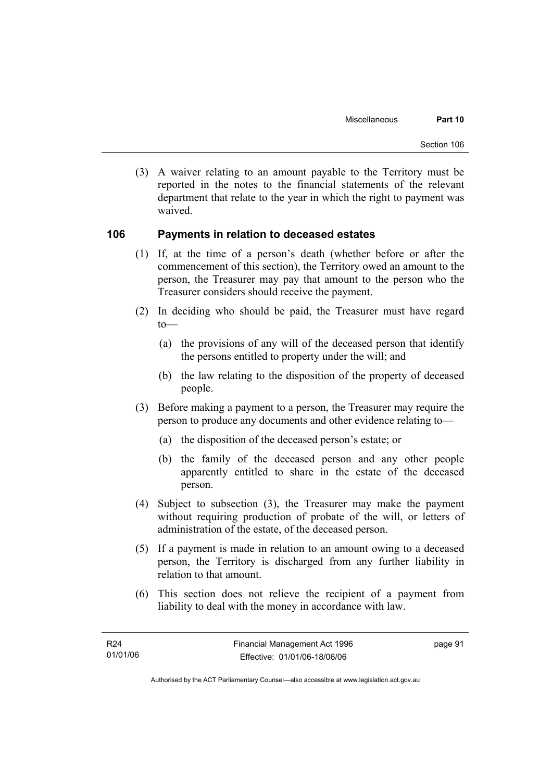(3) A waiver relating to an amount payable to the Territory must be reported in the notes to the financial statements of the relevant department that relate to the year in which the right to payment was waived.

### **106 Payments in relation to deceased estates**

- (1) If, at the time of a person's death (whether before or after the commencement of this section), the Territory owed an amount to the person, the Treasurer may pay that amount to the person who the Treasurer considers should receive the payment.
- (2) In deciding who should be paid, the Treasurer must have regard  $to$ —
	- (a) the provisions of any will of the deceased person that identify the persons entitled to property under the will; and
	- (b) the law relating to the disposition of the property of deceased people.
- (3) Before making a payment to a person, the Treasurer may require the person to produce any documents and other evidence relating to—
	- (a) the disposition of the deceased person's estate; or
	- (b) the family of the deceased person and any other people apparently entitled to share in the estate of the deceased person.
- (4) Subject to subsection (3), the Treasurer may make the payment without requiring production of probate of the will, or letters of administration of the estate, of the deceased person.
- (5) If a payment is made in relation to an amount owing to a deceased person, the Territory is discharged from any further liability in relation to that amount.
- (6) This section does not relieve the recipient of a payment from liability to deal with the money in accordance with law.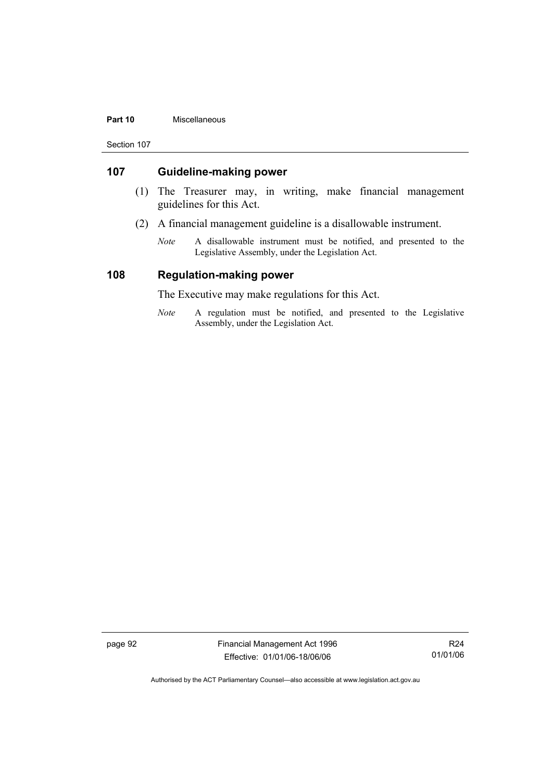#### **Part 10** Miscellaneous

Section 107

### **107 Guideline-making power**

- (1) The Treasurer may, in writing, make financial management guidelines for this Act.
- (2) A financial management guideline is a disallowable instrument.
	- *Note* A disallowable instrument must be notified, and presented to the Legislative Assembly, under the Legislation Act.

### **108 Regulation-making power**

The Executive may make regulations for this Act.

*Note* A regulation must be notified, and presented to the Legislative Assembly, under the Legislation Act.

page 92 Financial Management Act 1996 Effective: 01/01/06-18/06/06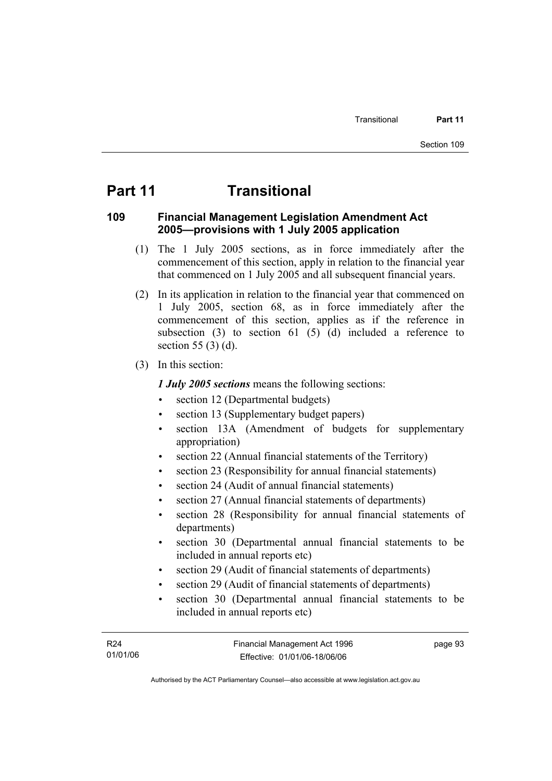page 93

# **Part 11 Transitional**

### **109 Financial Management Legislation Amendment Act 2005—provisions with 1 July 2005 application**

- (1) The 1 July 2005 sections, as in force immediately after the commencement of this section, apply in relation to the financial year that commenced on 1 July 2005 and all subsequent financial years.
- (2) In its application in relation to the financial year that commenced on 1 July 2005, section 68, as in force immediately after the commencement of this section, applies as if the reference in subsection  $(3)$  to section  $61$   $(5)$   $(d)$  included a reference to section 55 (3) (d).
- (3) In this section:

*1 July 2005 sections* means the following sections:

- section 12 (Departmental budgets)
- section 13 (Supplementary budget papers)
- section 13A (Amendment of budgets for supplementary appropriation)
- section 22 (Annual financial statements of the Territory)
- section 23 (Responsibility for annual financial statements)
- section 24 (Audit of annual financial statements)
- section 27 (Annual financial statements of departments)
- section 28 (Responsibility for annual financial statements of departments)
- section 30 (Departmental annual financial statements to be included in annual reports etc)
- section 29 (Audit of financial statements of departments)
- section 29 (Audit of financial statements of departments)
- section 30 (Departmental annual financial statements to be included in annual reports etc)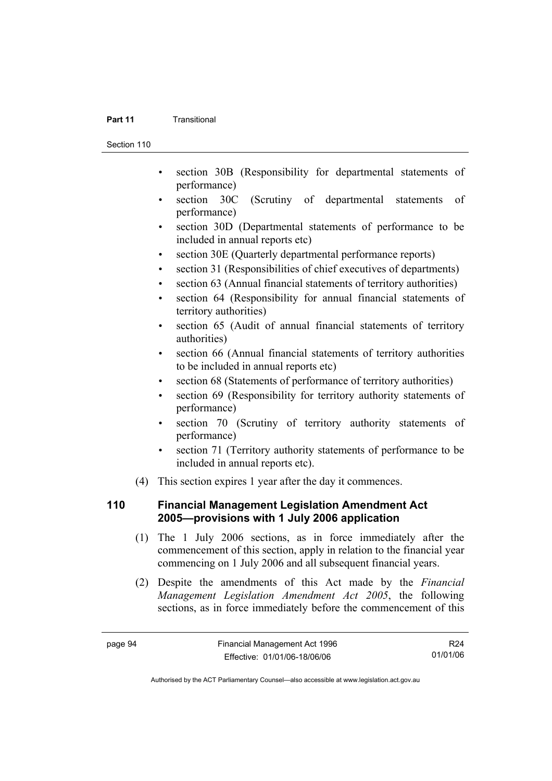#### **Part 11 Transitional**

Section 110

- section 30B (Responsibility for departmental statements of performance)
- section 30C (Scrutiny of departmental statements of performance)
- section 30D (Departmental statements of performance to be included in annual reports etc)
- section 30E (Quarterly departmental performance reports)
- section 31 (Responsibilities of chief executives of departments)
- section 63 (Annual financial statements of territory authorities)
- section 64 (Responsibility for annual financial statements of territory authorities)
- section 65 (Audit of annual financial statements of territory authorities)
- section 66 (Annual financial statements of territory authorities to be included in annual reports etc)
- section 68 (Statements of performance of territory authorities)
- section 69 (Responsibility for territory authority statements of performance)
- section 70 (Scrutiny of territory authority statements of performance)
- section 71 (Territory authority statements of performance to be included in annual reports etc).
- (4) This section expires 1 year after the day it commences.

### **110 Financial Management Legislation Amendment Act 2005—provisions with 1 July 2006 application**

- (1) The 1 July 2006 sections, as in force immediately after the commencement of this section, apply in relation to the financial year commencing on 1 July 2006 and all subsequent financial years.
- (2) Despite the amendments of this Act made by the *Financial Management Legislation Amendment Act 2005*, the following sections, as in force immediately before the commencement of this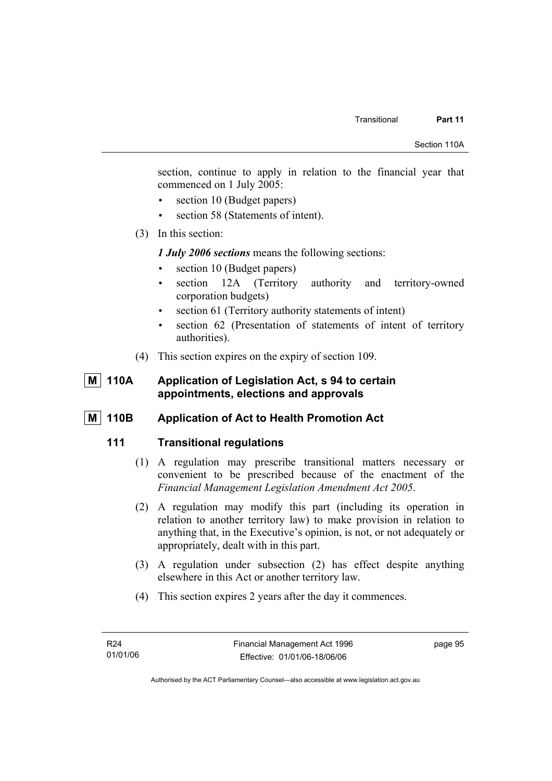section, continue to apply in relation to the financial year that commenced on 1 July 2005:

- section 10 (Budget papers)
- section 58 (Statements of intent).
- (3) In this section:

*1 July 2006 sections* means the following sections:

- section 10 (Budget papers)
- section 12A (Territory authority and territory-owned corporation budgets)
- section 61 (Territory authority statements of intent)
- section 62 (Presentation of statements of intent of territory authorities).
- (4) This section expires on the expiry of section 109.

### **M** 110A Application of Legislation Act, s 94 to certain **appointments, elections and approvals**

**M** 110B Application of Act to Health Promotion Act

### **111 Transitional regulations**

- (1) A regulation may prescribe transitional matters necessary or convenient to be prescribed because of the enactment of the *Financial Management Legislation Amendment Act 2005*.
- (2) A regulation may modify this part (including its operation in relation to another territory law) to make provision in relation to anything that, in the Executive's opinion, is not, or not adequately or appropriately, dealt with in this part.
- (3) A regulation under subsection (2) has effect despite anything elsewhere in this Act or another territory law.
- (4) This section expires 2 years after the day it commences.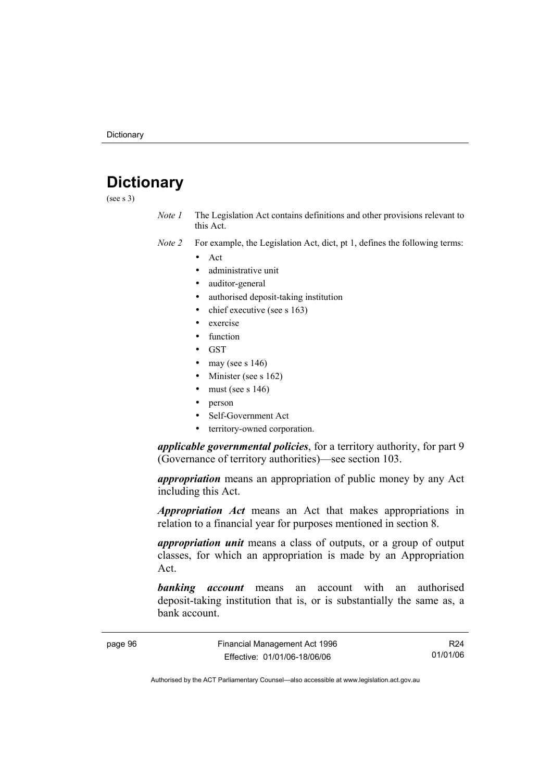# **Dictionary**

(see s 3)

- *Note 1* The Legislation Act contains definitions and other provisions relevant to this Act.
- *Note 2* For example, the Legislation Act, dict, pt 1, defines the following terms:
	- Act
		- administrative unit
		- auditor-general
		- authorised deposit-taking institution
		- chief executive (see s 163)
		- exercise
		- **function**
		- GST
		- may (see s  $146$ )
		- Minister (see s 162)
		- must (see s  $146$ )
		- person
		- Self-Government Act
		- territory-owned corporation.

*applicable governmental policies*, for a territory authority, for part 9 (Governance of territory authorities)—see section 103.

*appropriation* means an appropriation of public money by any Act including this Act.

*Appropriation Act* means an Act that makes appropriations in relation to a financial year for purposes mentioned in section 8.

*appropriation unit* means a class of outputs, or a group of output classes, for which an appropriation is made by an Appropriation Act.

*banking account* means an account with an authorised deposit-taking institution that is, or is substantially the same as, a bank account.

R24 01/01/06

Authorised by the ACT Parliamentary Counsel—also accessible at www.legislation.act.gov.au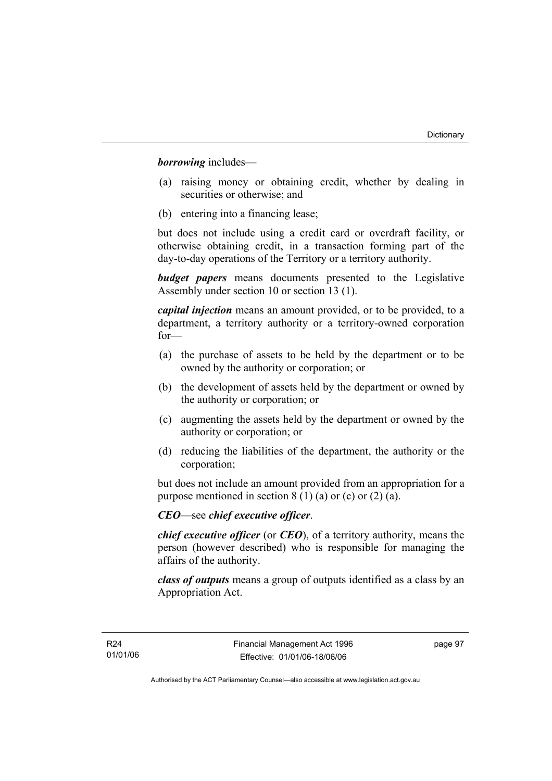*borrowing* includes—

- (a) raising money or obtaining credit, whether by dealing in securities or otherwise; and
- (b) entering into a financing lease;

but does not include using a credit card or overdraft facility, or otherwise obtaining credit, in a transaction forming part of the day-to-day operations of the Territory or a territory authority.

*budget papers* means documents presented to the Legislative Assembly under section 10 or section 13 (1).

*capital injection* means an amount provided, or to be provided, to a department, a territory authority or a territory-owned corporation for—

- (a) the purchase of assets to be held by the department or to be owned by the authority or corporation; or
- (b) the development of assets held by the department or owned by the authority or corporation; or
- (c) augmenting the assets held by the department or owned by the authority or corporation; or
- (d) reducing the liabilities of the department, the authority or the corporation;

but does not include an amount provided from an appropriation for a purpose mentioned in section  $8(1)(a)$  or (c) or (2) (a).

### *CEO*—see *chief executive officer*.

*chief executive officer* (or *CEO*), of a territory authority, means the person (however described) who is responsible for managing the affairs of the authority.

*class of outputs* means a group of outputs identified as a class by an Appropriation Act.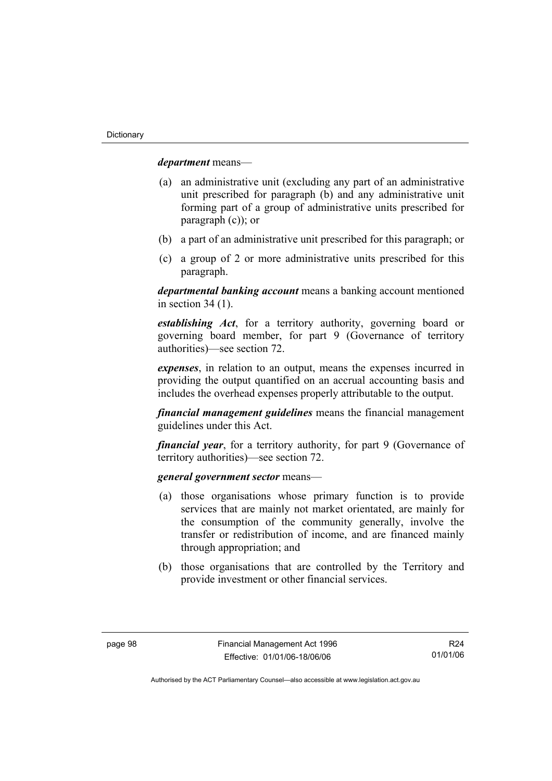*department* means—

- (a) an administrative unit (excluding any part of an administrative unit prescribed for paragraph (b) and any administrative unit forming part of a group of administrative units prescribed for paragraph (c)); or
- (b) a part of an administrative unit prescribed for this paragraph; or
- (c) a group of 2 or more administrative units prescribed for this paragraph.

*departmental banking account* means a banking account mentioned in section 34 (1).

*establishing Act*, for a territory authority, governing board or governing board member, for part 9 (Governance of territory authorities)—see section 72.

*expenses*, in relation to an output, means the expenses incurred in providing the output quantified on an accrual accounting basis and includes the overhead expenses properly attributable to the output.

*financial management guidelines* means the financial management guidelines under this Act.

*financial year*, for a territory authority, for part 9 (Governance of territory authorities)—see section 72.

#### *general government sector* means—

- (a) those organisations whose primary function is to provide services that are mainly not market orientated, are mainly for the consumption of the community generally, involve the transfer or redistribution of income, and are financed mainly through appropriation; and
- (b) those organisations that are controlled by the Territory and provide investment or other financial services.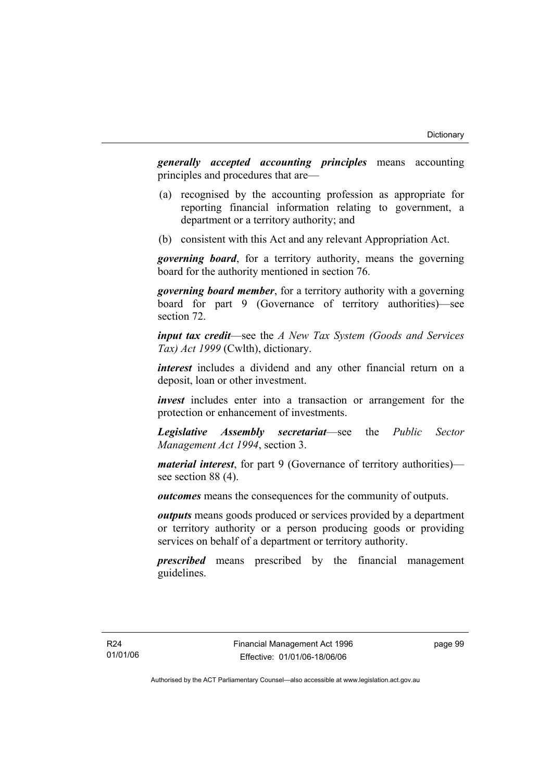*generally accepted accounting principles* means accounting principles and procedures that are—

- (a) recognised by the accounting profession as appropriate for reporting financial information relating to government, a department or a territory authority; and
- (b) consistent with this Act and any relevant Appropriation Act.

*governing board*, for a territory authority, means the governing board for the authority mentioned in section 76.

*governing board member*, for a territory authority with a governing board for part 9 (Governance of territory authorities)—see section 72.

*input tax credit*—see the *A New Tax System (Goods and Services Tax) Act 1999* (Cwlth), dictionary.

*interest* includes a dividend and any other financial return on a deposit, loan or other investment.

*invest* includes enter into a transaction or arrangement for the protection or enhancement of investments.

*Legislative Assembly secretariat*—see the *Public Sector Management Act 1994*, section 3.

*material interest*, for part 9 (Governance of territory authorities) see section 88 (4).

*outcomes* means the consequences for the community of outputs.

*outputs* means goods produced or services provided by a department or territory authority or a person producing goods or providing services on behalf of a department or territory authority.

*prescribed* means prescribed by the financial management guidelines.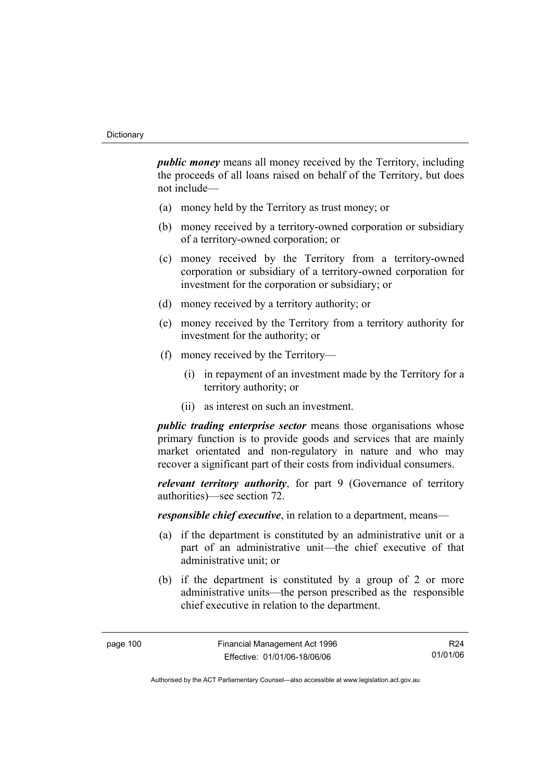*public money* means all money received by the Territory, including the proceeds of all loans raised on behalf of the Territory, but does not include—

- (a) money held by the Territory as trust money; or
- (b) money received by a territory-owned corporation or subsidiary of a territory-owned corporation; or
- (c) money received by the Territory from a territory-owned corporation or subsidiary of a territory-owned corporation for investment for the corporation or subsidiary; or
- (d) money received by a territory authority; or
- (e) money received by the Territory from a territory authority for investment for the authority; or
- (f) money received by the Territory—
	- (i) in repayment of an investment made by the Territory for a territory authority; or
	- (ii) as interest on such an investment.

*public trading enterprise sector* means those organisations whose primary function is to provide goods and services that are mainly market orientated and non-regulatory in nature and who may recover a significant part of their costs from individual consumers.

*relevant territory authority*, for part 9 (Governance of territory authorities)—see section 72.

*responsible chief executive*, in relation to a department, means—

- (a) if the department is constituted by an administrative unit or a part of an administrative unit—the chief executive of that administrative unit; or
- (b) if the department is constituted by a group of 2 or more administrative units—the person prescribed as the responsible chief executive in relation to the department.

R24 01/01/06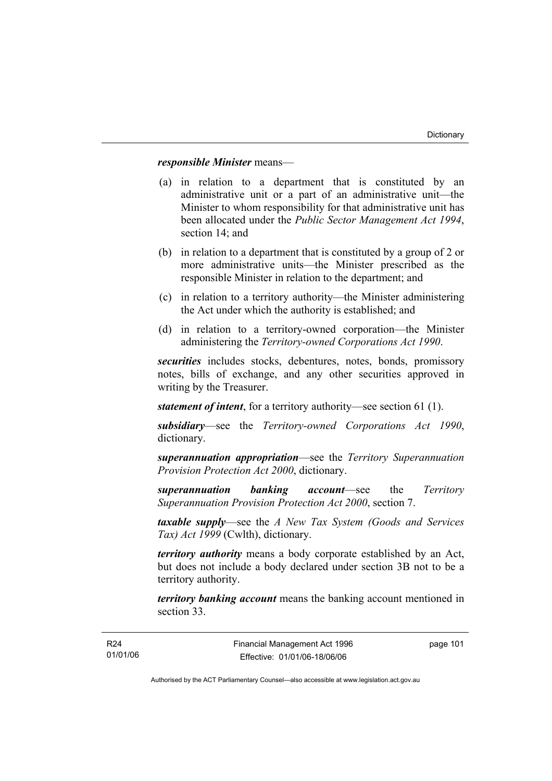# *responsible Minister* means—

- (a) in relation to a department that is constituted by an administrative unit or a part of an administrative unit—the Minister to whom responsibility for that administrative unit has been allocated under the *Public Sector Management Act 1994*, section 14; and
- (b) in relation to a department that is constituted by a group of 2 or more administrative units—the Minister prescribed as the responsible Minister in relation to the department; and
- (c) in relation to a territory authority—the Minister administering the Act under which the authority is established; and
- (d) in relation to a territory-owned corporation—the Minister administering the *Territory-owned Corporations Act 1990*.

*securities* includes stocks, debentures, notes, bonds, promissory notes, bills of exchange, and any other securities approved in writing by the Treasurer.

*statement of intent*, for a territory authority—see section 61 (1).

*subsidiary*—see the *Territory-owned Corporations Act 1990*, dictionary.

*superannuation appropriation*—see the *Territory Superannuation Provision Protection Act 2000*, dictionary.

*superannuation banking account*—see the *Territory Superannuation Provision Protection Act 2000*, section 7.

*taxable supply*—see the *A New Tax System (Goods and Services Tax) Act 1999* (Cwlth), dictionary.

*territory authority* means a body corporate established by an Act, but does not include a body declared under section 3B not to be a territory authority.

*territory banking account* means the banking account mentioned in section 33.

page 101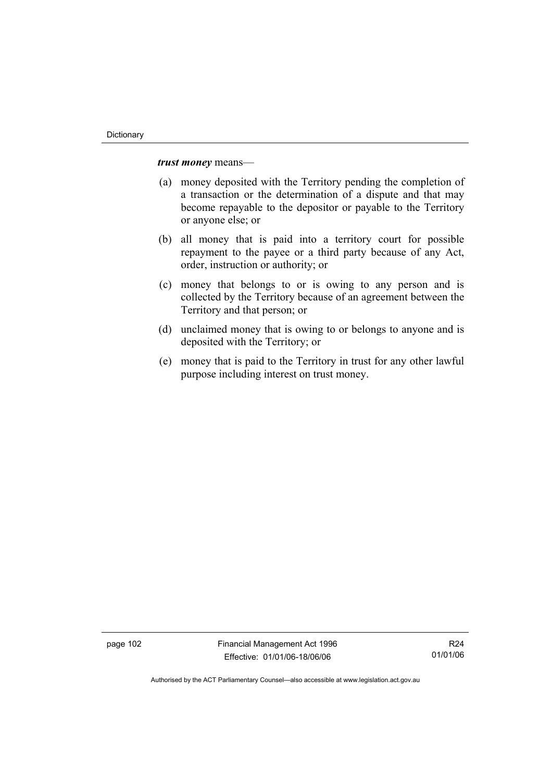*trust money* means—

- (a) money deposited with the Territory pending the completion of a transaction or the determination of a dispute and that may become repayable to the depositor or payable to the Territory or anyone else; or
- (b) all money that is paid into a territory court for possible repayment to the payee or a third party because of any Act, order, instruction or authority; or
- (c) money that belongs to or is owing to any person and is collected by the Territory because of an agreement between the Territory and that person; or
- (d) unclaimed money that is owing to or belongs to anyone and is deposited with the Territory; or
- (e) money that is paid to the Territory in trust for any other lawful purpose including interest on trust money.

page 102 Financial Management Act 1996 Effective: 01/01/06-18/06/06

R24 01/01/06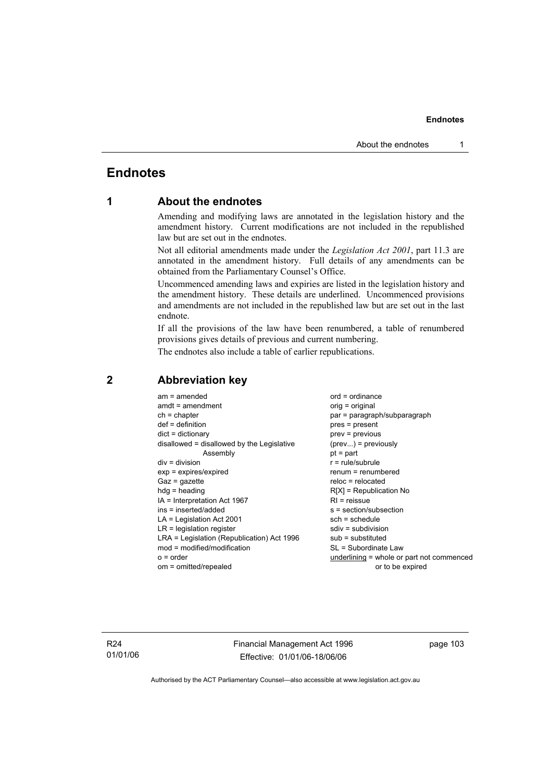# **Endnotes**

# **1 About the endnotes**

Amending and modifying laws are annotated in the legislation history and the amendment history. Current modifications are not included in the republished law but are set out in the endnotes.

Not all editorial amendments made under the *Legislation Act 2001*, part 11.3 are annotated in the amendment history. Full details of any amendments can be obtained from the Parliamentary Counsel's Office.

Uncommenced amending laws and expiries are listed in the legislation history and the amendment history. These details are underlined. Uncommenced provisions and amendments are not included in the republished law but are set out in the last endnote.

If all the provisions of the law have been renumbered, a table of renumbered provisions gives details of previous and current numbering.

The endnotes also include a table of earlier republications.

| $am = amended$                             | $ord = ordinance$                         |
|--------------------------------------------|-------------------------------------------|
| $amdt = amendment$                         | orig = original                           |
| $ch = chapter$                             | par = paragraph/subparagraph              |
| $def = definition$                         | $pres = present$                          |
| $dict = dictionary$                        | $prev = previous$                         |
| disallowed = disallowed by the Legislative | $(\text{prev}) = \text{previously}$       |
| Assembly                                   | $pt = part$                               |
| $div = division$                           | $r = rule/subrule$                        |
| $exp = expires/expired$                    | $renum = renumbered$                      |
| $Gaz = gazette$                            | $reloc = relocated$                       |
| $hda =$ heading                            | $R[X]$ = Republication No                 |
| IA = Interpretation Act 1967               | $RI =$ reissue                            |
| ins = inserted/added                       | $s = section/subsection$                  |
| $LA =$ Legislation Act 2001                | $sch = schedule$                          |
| $LR =$ legislation register                | $sdiv = subdivision$                      |
| LRA = Legislation (Republication) Act 1996 | $sub =$ substituted                       |
| $mod = modified/modification$              | SL = Subordinate Law                      |
| $o = order$                                | underlining = whole or part not commenced |
| om = omitted/repealed                      | or to be expired                          |
|                                            |                                           |

# **2 Abbreviation key**

R24 01/01/06 Financial Management Act 1996 Effective: 01/01/06-18/06/06

page 103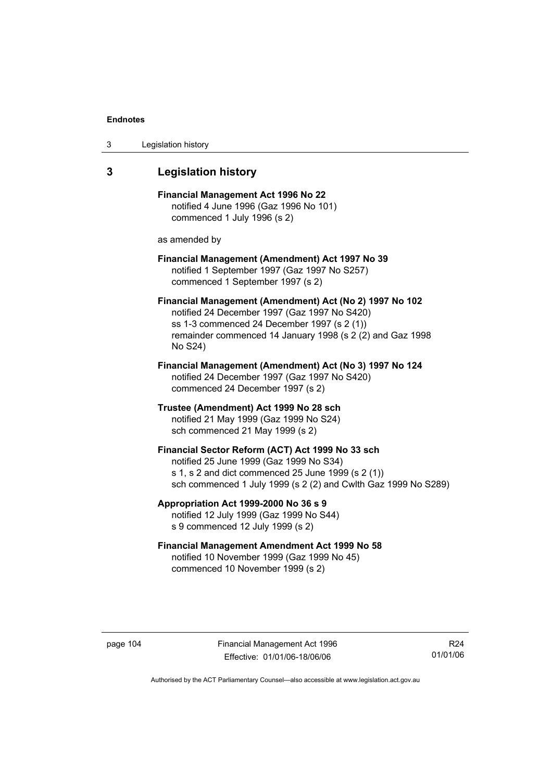| 3 | Legislation history |  |
|---|---------------------|--|
|---|---------------------|--|

# **3 Legislation history**

**Financial Management Act 1996 No 22**  notified 4 June 1996 (Gaz 1996 No 101) commenced 1 July 1996 (s 2)

as amended by

# **Financial Management (Amendment) Act 1997 No 39**  notified 1 September 1997 (Gaz 1997 No S257) commenced 1 September 1997 (s 2)

**Financial Management (Amendment) Act (No 2) 1997 No 102**  notified 24 December 1997 (Gaz 1997 No S420) ss 1-3 commenced 24 December 1997 (s 2 (1)) remainder commenced 14 January 1998 (s 2 (2) and Gaz 1998 No S24)

**Financial Management (Amendment) Act (No 3) 1997 No 124**  notified 24 December 1997 (Gaz 1997 No S420) commenced 24 December 1997 (s 2)

**Trustee (Amendment) Act 1999 No 28 sch**  notified 21 May 1999 (Gaz 1999 No S24) sch commenced 21 May 1999 (s 2)

### **Financial Sector Reform (ACT) Act 1999 No 33 sch**  notified 25 June 1999 (Gaz 1999 No S34) s 1, s 2 and dict commenced 25 June 1999 (s 2 (1)) sch commenced 1 July 1999 (s 2 (2) and Cwlth Gaz 1999 No S289)

**Appropriation Act 1999-2000 No 36 s 9**  notified 12 July 1999 (Gaz 1999 No S44) s 9 commenced 12 July 1999 (s 2)

# **Financial Management Amendment Act 1999 No 58**  notified 10 November 1999 (Gaz 1999 No 45) commenced 10 November 1999 (s 2)

page 104 Financial Management Act 1996 Effective: 01/01/06-18/06/06

R24 01/01/06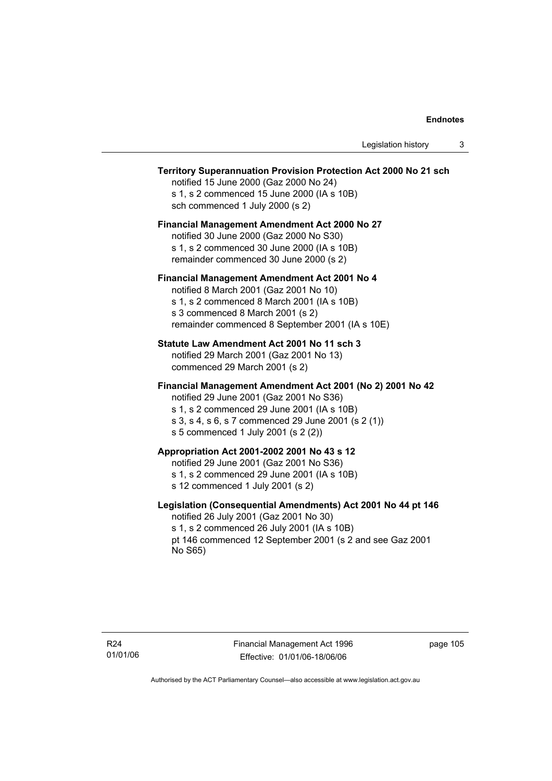# **Territory Superannuation Provision Protection Act 2000 No 21 sch**

notified 15 June 2000 (Gaz 2000 No 24) s 1, s 2 commenced 15 June 2000 (IA s 10B) sch commenced 1 July 2000 (s 2)

# **Financial Management Amendment Act 2000 No 27**

notified 30 June 2000 (Gaz 2000 No S30) s 1, s 2 commenced 30 June 2000 (IA s 10B) remainder commenced 30 June 2000 (s 2)

### **Financial Management Amendment Act 2001 No 4**

notified 8 March 2001 (Gaz 2001 No 10) s 1, s 2 commenced 8 March 2001 (IA s 10B) s 3 commenced 8 March 2001 (s 2) remainder commenced 8 September 2001 (IA s 10E)

### **Statute Law Amendment Act 2001 No 11 sch 3**

notified 29 March 2001 (Gaz 2001 No 13) commenced 29 March 2001 (s 2)

### **Financial Management Amendment Act 2001 (No 2) 2001 No 42**

notified 29 June 2001 (Gaz 2001 No S36)

- s 1, s 2 commenced 29 June 2001 (IA s 10B)
- s 3, s 4, s 6, s 7 commenced 29 June 2001 (s 2 (1))
- s 5 commenced 1 July 2001 (s 2 (2))

# **Appropriation Act 2001-2002 2001 No 43 s 12**

notified 29 June 2001 (Gaz 2001 No S36)

- s 1, s 2 commenced 29 June 2001 (IA s 10B)
- s 12 commenced 1 July 2001 (s 2)

### **Legislation (Consequential Amendments) Act 2001 No 44 pt 146**

notified 26 July 2001 (Gaz 2001 No 30) s 1, s 2 commenced 26 July 2001 (IA s 10B) pt 146 commenced 12 September 2001 (s 2 and see Gaz 2001 No S65)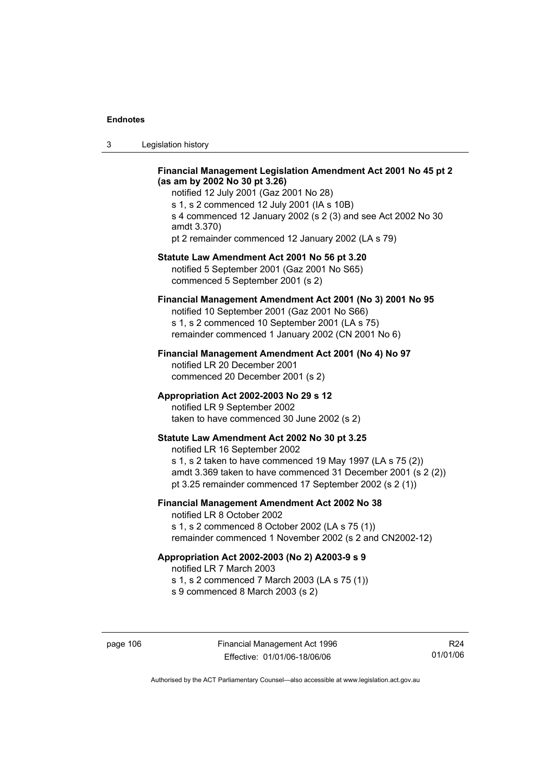| Legislation history<br>-3 |  |
|---------------------------|--|
|---------------------------|--|

### **Financial Management Legislation Amendment Act 2001 No 45 pt 2 (as am by 2002 No 30 pt 3.26)**

notified 12 July 2001 (Gaz 2001 No 28) s 1, s 2 commenced 12 July 2001 (IA s 10B) s 4 commenced 12 January 2002 (s 2 (3) and see Act 2002 No 30 amdt 3.370) pt 2 remainder commenced 12 January 2002 (LA s 79)

#### **Statute Law Amendment Act 2001 No 56 pt 3.20**

notified 5 September 2001 (Gaz 2001 No S65) commenced 5 September 2001 (s 2)

# **Financial Management Amendment Act 2001 (No 3) 2001 No 95**

notified 10 September 2001 (Gaz 2001 No S66) s 1, s 2 commenced 10 September 2001 (LA s 75) remainder commenced 1 January 2002 (CN 2001 No 6)

### **Financial Management Amendment Act 2001 (No 4) No 97**

notified LR 20 December 2001 commenced 20 December 2001 (s 2)

### **Appropriation Act 2002-2003 No 29 s 12**

notified LR 9 September 2002 taken to have commenced 30 June 2002 (s 2)

### **Statute Law Amendment Act 2002 No 30 pt 3.25**

notified LR 16 September 2002 s 1, s 2 taken to have commenced 19 May 1997 (LA s 75 (2)) amdt 3.369 taken to have commenced 31 December 2001 (s 2 (2)) pt 3.25 remainder commenced 17 September 2002 (s 2 (1))

# **Financial Management Amendment Act 2002 No 38**

notified LR 8 October 2002 s 1, s 2 commenced 8 October 2002 (LA s 75 (1)) remainder commenced 1 November 2002 (s 2 and CN2002-12)

#### **Appropriation Act 2002-2003 (No 2) A2003-9 s 9**

notified LR 7 March 2003

s 1, s 2 commenced 7 March 2003 (LA s 75 (1))

s 9 commenced 8 March 2003 (s 2)

R24 01/01/06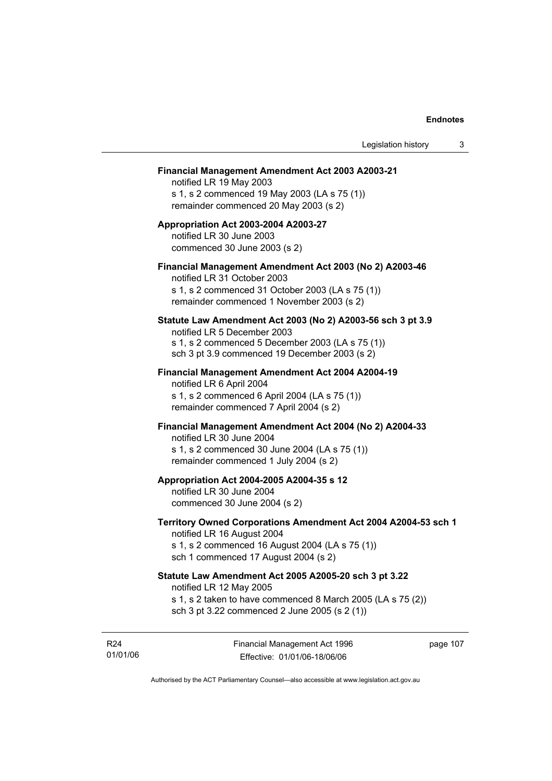#### **Financial Management Amendment Act 2003 A2003-21**

notified LR 19 May 2003 s 1, s 2 commenced 19 May 2003 (LA s 75 (1)) remainder commenced 20 May 2003 (s 2)

# **Appropriation Act 2003-2004 A2003-27**  notified LR 30 June 2003 commenced 30 June 2003 (s 2)

### **Financial Management Amendment Act 2003 (No 2) A2003-46**

notified LR 31 October 2003 s 1, s 2 commenced 31 October 2003 (LA s 75 (1)) remainder commenced 1 November 2003 (s 2)

### **Statute Law Amendment Act 2003 (No 2) A2003-56 sch 3 pt 3.9**

notified LR 5 December 2003 s 1, s 2 commenced 5 December 2003 (LA s 75 (1)) sch 3 pt 3.9 commenced 19 December 2003 (s 2)

# **Financial Management Amendment Act 2004 A2004-19**  notified LR 6 April 2004

s 1, s 2 commenced 6 April 2004 (LA s 75 (1)) remainder commenced 7 April 2004 (s 2)

#### **Financial Management Amendment Act 2004 (No 2) A2004-33**

notified LR 30 June 2004 s 1, s 2 commenced 30 June 2004 (LA s 75 (1)) remainder commenced 1 July 2004 (s 2)

### **Appropriation Act 2004-2005 A2004-35 s 12**

notified LR 30 June 2004 commenced 30 June 2004 (s 2)

### **Territory Owned Corporations Amendment Act 2004 A2004-53 sch 1**  notified LR 16 August 2004

s 1, s 2 commenced 16 August 2004 (LA s 75 (1)) sch 1 commenced 17 August 2004 (s 2)

# **Statute Law Amendment Act 2005 A2005-20 sch 3 pt 3.22**

notified LR 12 May 2005

- s 1, s 2 taken to have commenced 8 March 2005 (LA s 75 (2))
- sch 3 pt 3.22 commenced 2 June 2005 (s 2 (1))

R24 01/01/06 Financial Management Act 1996 Effective: 01/01/06-18/06/06

page 107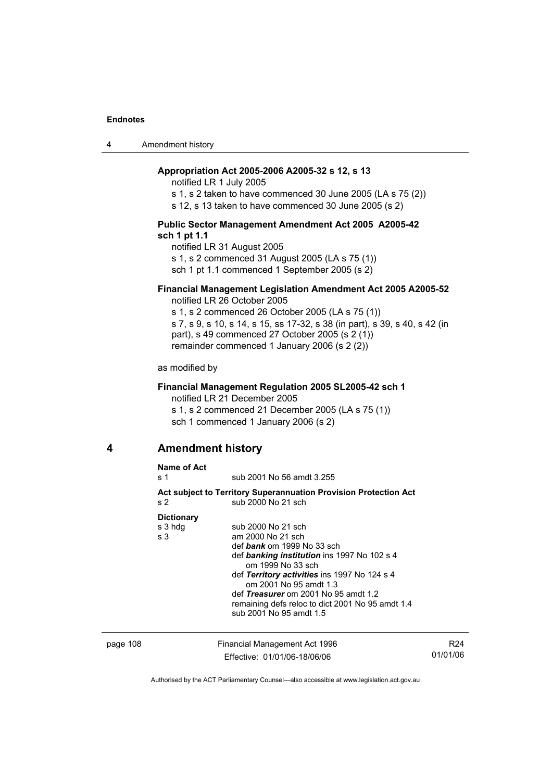4 Amendment history

# **Appropriation Act 2005-2006 A2005-32 s 12, s 13**

notified LR 1 July 2005

s 1, s 2 taken to have commenced 30 June 2005 (LA s 75 (2))

s 12, s 13 taken to have commenced 30 June 2005 (s 2)

### **Public Sector Management Amendment Act 2005 A2005-42 sch 1 pt 1.1**

notified LR 31 August 2005 s 1, s 2 commenced 31 August 2005 (LA s 75 (1)) sch 1 pt 1.1 commenced 1 September 2005 (s 2)

# **Financial Management Legislation Amendment Act 2005 A2005-52**

notified LR 26 October 2005

s 1, s 2 commenced 26 October 2005 (LA s 75 (1)) s 7, s 9, s 10, s 14, s 15, ss 17-32, s 38 (in part), s 39, s 40, s 42 (in part), s 49 commenced 27 October 2005 (s 2 (1)) remainder commenced 1 January 2006 (s 2 (2))

as modified by

### **Financial Management Regulation 2005 SL2005-42 sch 1**

notified LR 21 December 2005

s 1, s 2 commenced 21 December 2005 (LA s 75 (1))

sch 1 commenced 1 January 2006 (s 2)

# **4 Amendment history**

| Name of Act<br>s 1 | sub 2001 No 56 amdt 3.255                                                              |
|--------------------|----------------------------------------------------------------------------------------|
| s <sub>2</sub>     | Act subject to Territory Superannuation Provision Protection Act<br>sub 2000 No 21 sch |
| <b>Dictionary</b>  |                                                                                        |
| s 3 hdg            | sub 2000 No 21 sch                                                                     |
| s 3                | am 2000 No 21 sch                                                                      |
|                    | def <i>bank</i> om 1999 No 33 sch                                                      |
|                    | def banking institution ins 1997 No 102 s 4<br>om 1999 No 33 sch                       |
|                    | def Territory activities ins 1997 No 124 s 4<br>om 2001 No 95 amdt 1.3                 |
|                    | def Treasurer om 2001 No 95 amdt 1.2                                                   |
|                    | remaining defs reloc to dict 2001 No 95 amdt 1.4                                       |
|                    | sub 2001 No 95 amdt 1.5                                                                |

| page 108 | Financial Management Act 1996 | R24      |
|----------|-------------------------------|----------|
|          | Effective: 01/01/06-18/06/06  | 01/01/06 |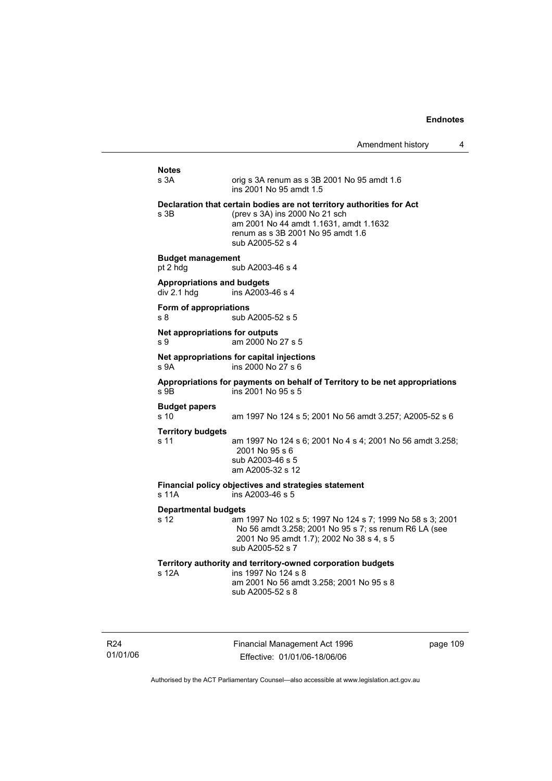| Amendment history |  |
|-------------------|--|
|-------------------|--|

# **Notes**  orig s 3A renum as s 3B 2001 No  $95$  amdt 1.6 ins 2001 No 95 amdt 1.5 **Declaration that certain bodies are not territory authorities for Act**  s 3B (prev s 3A) ins 2000 No 21 sch am 2001 No 44 amdt 1.1631, amdt 1.1632 renum as s 3B 2001 No 95 amdt 1.6 sub A2005-52 s 4 **Budget management**  pt 2 hdg sub A2003-46 s 4 **Appropriations and budgets**  div 2.1 hdg ins  $A2003-46$  s 4 **Form of appropriations**  s 8 sub A2005-52 s 5 **Net appropriations for outputs** s 9 am 2000 No 27 s 5 **Net appropriations for capital injections** s 9A ins 2000 No 27 s 6 **Appropriations for payments on behalf of Territory to be net appropriations**   $ins$  2001 No 95 s 5 **Budget papers**  s 10 am 1997 No 124 s 5; 2001 No 56 amdt 3.257; A2005-52 s 6 **Territory budgets**  s 11 am 1997 No 124 s 6; 2001 No 4 s 4; 2001 No 56 amdt 3.258; 2001 No 95 s 6 sub A2003-46 s 5 am A2005-32 s 12 **Financial policy objectives and strategies statement**  s 11A ins A2003-46 s 5 **Departmental budgets** s 12 am 1997 No 102 s 5; 1997 No 124 s 7; 1999 No 58 s 3; 2001 No 56 amdt 3.258; 2001 No 95 s 7; ss renum R6 LA (see 2001 No 95 amdt 1.7); 2002 No 38 s 4, s 5 sub A2005-52 s 7 **Territory authority and territory-owned corporation budgets**  ins 1997 No 124 s 8 am 2001 No 56 amdt 3.258; 2001 No 95 s 8 sub A2005-52 s 8

R24 01/01/06 Financial Management Act 1996 Effective: 01/01/06-18/06/06

page 109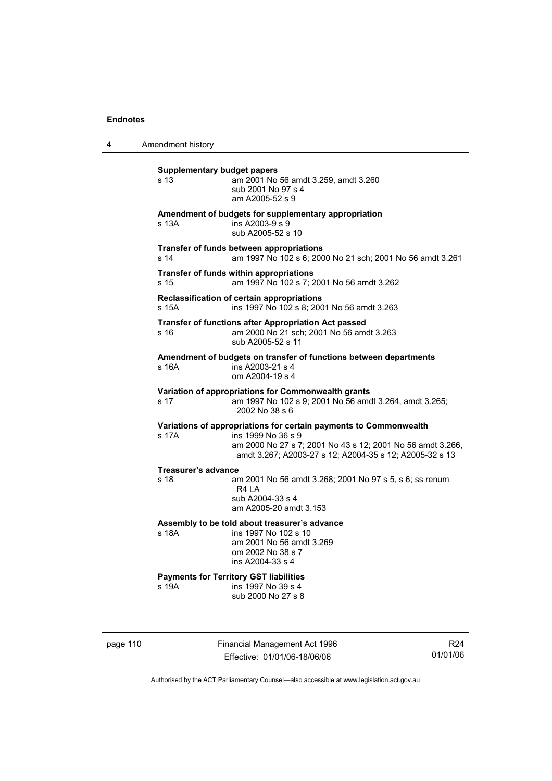4 Amendment history

| <b>Supplementary budget papers</b><br>s 13 | am 2001 No 56 amdt 3.259, amdt 3.260<br>sub 2001 No 97 s 4<br>am A2005-52 s 9                                                                                                                                    |
|--------------------------------------------|------------------------------------------------------------------------------------------------------------------------------------------------------------------------------------------------------------------|
| s 13A                                      | Amendment of budgets for supplementary appropriation<br>ins A2003-9 s 9<br>sub A2005-52 s 10                                                                                                                     |
| s 14                                       | Transfer of funds between appropriations<br>am 1997 No 102 s 6; 2000 No 21 sch; 2001 No 56 amdt 3.261                                                                                                            |
| s 15                                       | Transfer of funds within appropriations<br>am 1997 No 102 s 7; 2001 No 56 amdt 3.262                                                                                                                             |
| s 15A                                      | Reclassification of certain appropriations<br>ins 1997 No 102 s 8; 2001 No 56 amdt 3.263                                                                                                                         |
| s 16                                       | Transfer of functions after Appropriation Act passed<br>am 2000 No 21 sch; 2001 No 56 amdt 3.263<br>sub A2005-52 s 11                                                                                            |
| s 16A                                      | Amendment of budgets on transfer of functions between departments<br>ins A2003-21 s 4<br>om A2004-19 s 4                                                                                                         |
| s 17                                       | Variation of appropriations for Commonwealth grants<br>am 1997 No 102 s 9; 2001 No 56 amdt 3.264, amdt 3.265;<br>2002 No 38 s 6                                                                                  |
| s 17A                                      | Variations of appropriations for certain payments to Commonwealth<br>ins 1999 No 36 s 9<br>am 2000 No 27 s 7; 2001 No 43 s 12; 2001 No 56 amdt 3.266,<br>amdt 3.267; A2003-27 s 12; A2004-35 s 12; A2005-32 s 13 |
| <b>Treasurer's advance</b><br>s 18         | am 2001 No 56 amdt 3.268; 2001 No 97 s 5, s 6; ss renum<br>R4 LA<br>sub A2004-33 s 4<br>am A2005-20 amdt 3.153                                                                                                   |
| s 18A                                      | Assembly to be told about treasurer's advance<br>ins 1997 No 102 s 10<br>am 2001 No 56 amdt 3.269<br>om 2002 No 38 s 7<br>ins A2004-33 s 4                                                                       |
| s 19A                                      | <b>Payments for Territory GST liabilities</b><br>ins 1997 No 39 s 4<br>sub 2000 No 27 s 8                                                                                                                        |

page 110 Financial Management Act 1996 Effective: 01/01/06-18/06/06

R24 01/01/06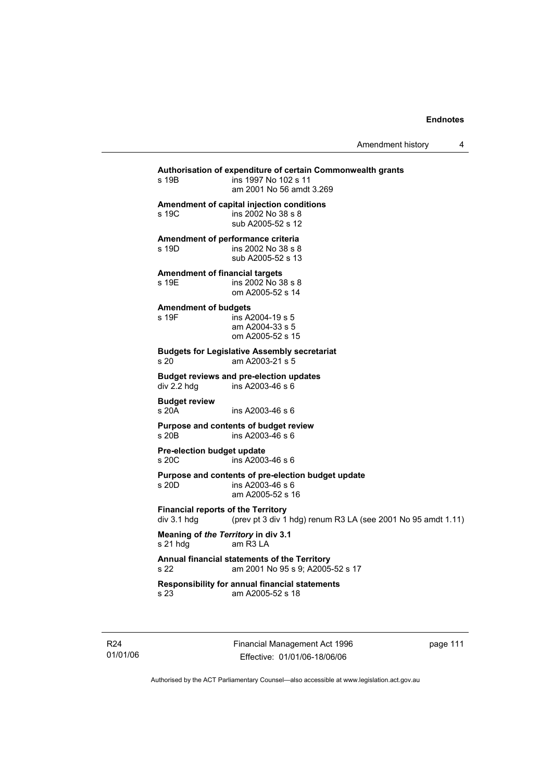| s 19B                                                    | Authorisation of expenditure of certain Commonwealth grants<br>ins 1997 No 102 s 11<br>am 2001 No 56 amdt 3.269 |
|----------------------------------------------------------|-----------------------------------------------------------------------------------------------------------------|
| s 19C                                                    | Amendment of capital injection conditions<br>ins 2002 No 38 s 8<br>sub A2005-52 s 12                            |
| <b>Amendment of performance criteria</b><br>s 19D        | ins 2002 No 38 s 8<br>sub A2005-52 s 13                                                                         |
| <b>Amendment of financial targets</b><br>s 19E           | ins 2002 No 38 s 8<br>om A2005-52 s 14                                                                          |
| <b>Amendment of budgets</b><br>s 19F                     | ins A2004-19 s 5<br>am A2004-33 s 5<br>om A2005-52 s 15                                                         |
| s 20                                                     | <b>Budgets for Legislative Assembly secretariat</b><br>am A2003-21 s 5                                          |
| div 2.2 hdg                                              | <b>Budget reviews and pre-election updates</b><br>ins A2003-46 s 6                                              |
| <b>Budget review</b><br>s 20A                            | ins A2003-46 s 6                                                                                                |
| s 20 <sub>B</sub>                                        | <b>Purpose and contents of budget review</b><br>ins A2003-46 s 6                                                |
| <b>Pre-election budget update</b><br>s 20C               | ins A2003-46 s 6                                                                                                |
| s 20D                                                    | Purpose and contents of pre-election budget update<br>ins A2003-46 s 6<br>am A2005-52 s 16                      |
| <b>Financial reports of the Territory</b><br>div 3.1 hdg | (prev pt 3 div 1 hdg) renum R3 LA (see 2001 No 95 amdt 1.11)                                                    |
| Meaning of the Territory in div 3.1<br>s 21 hdg          | am R3 LA                                                                                                        |
| s 22                                                     | Annual financial statements of the Territory<br>am 2001 No 95 s 9; A2005-52 s 17                                |
| s 23                                                     | Responsibility for annual financial statements<br>am A2005-52 s 18                                              |

R24 01/01/06 Financial Management Act 1996 Effective: 01/01/06-18/06/06

page 111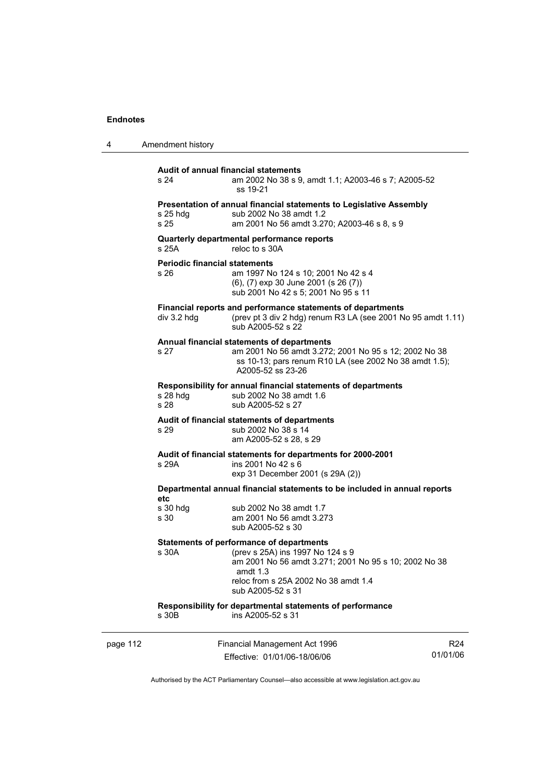| 4        | Amendment history                            |                                                                                                                                                                                                                  |                 |
|----------|----------------------------------------------|------------------------------------------------------------------------------------------------------------------------------------------------------------------------------------------------------------------|-----------------|
|          | s 24                                         | Audit of annual financial statements<br>am 2002 No 38 s 9, amdt 1.1; A2003-46 s 7; A2005-52<br>ss 19-21                                                                                                          |                 |
|          | $s$ 25 hdg<br>s 25                           | Presentation of annual financial statements to Legislative Assembly<br>sub 2002 No 38 amdt 1.2<br>am 2001 No 56 amdt 3.270; A2003-46 s 8, s 9                                                                    |                 |
|          | s 25A                                        | Quarterly departmental performance reports<br>reloc to s 30A                                                                                                                                                     |                 |
|          | <b>Periodic financial statements</b><br>s 26 | am 1997 No 124 s 10; 2001 No 42 s 4<br>(6), (7) exp 30 June 2001 (s 26 (7))<br>sub 2001 No 42 s 5; 2001 No 95 s 11                                                                                               |                 |
|          | $div$ 3.2 hdg                                | Financial reports and performance statements of departments<br>(prev pt 3 div 2 hdg) renum R3 LA (see 2001 No 95 amdt 1.11)<br>sub A2005-52 s 22                                                                 |                 |
|          | s 27                                         | Annual financial statements of departments<br>am 2001 No 56 amdt 3.272; 2001 No 95 s 12; 2002 No 38<br>ss 10-13; pars renum R10 LA (see 2002 No 38 amdt 1.5);<br>A2005-52 ss 23-26                               |                 |
|          | s 28 hdg<br>s 28                             | Responsibility for annual financial statements of departments<br>sub 2002 No 38 amdt 1.6<br>sub A2005-52 s 27                                                                                                    |                 |
|          | s 29                                         | Audit of financial statements of departments<br>sub 2002 No 38 s 14<br>am A2005-52 s 28, s 29                                                                                                                    |                 |
|          | s 29A                                        | Audit of financial statements for departments for 2000-2001<br>ins 2001 No 42 s 6<br>exp 31 December 2001 (s 29A (2))                                                                                            |                 |
|          |                                              | Departmental annual financial statements to be included in annual reports                                                                                                                                        |                 |
|          | etc<br>s 30 hdg<br>s 30                      | sub 2002 No 38 amdt 1.7<br>am 2001 No 56 amdt 3.273<br>sub A2005-52 s 30                                                                                                                                         |                 |
|          | s 30A                                        | Statements of performance of departments<br>(prev s 25A) ins 1997 No 124 s 9<br>am 2001 No 56 amdt 3.271; 2001 No 95 s 10; 2002 No 38<br>amdt $1.3$<br>reloc from s 25A 2002 No 38 amdt 1.4<br>sub A2005-52 s 31 |                 |
|          | s 30B                                        | Responsibility for departmental statements of performance<br>ins A2005-52 s 31                                                                                                                                   |                 |
| page 112 |                                              | Financial Management Act 1996                                                                                                                                                                                    | R <sub>24</sub> |

Authorised by the ACT Parliamentary Counsel—also accessible at www.legislation.act.gov.au

01/01/06

Effective: 01/01/06-18/06/06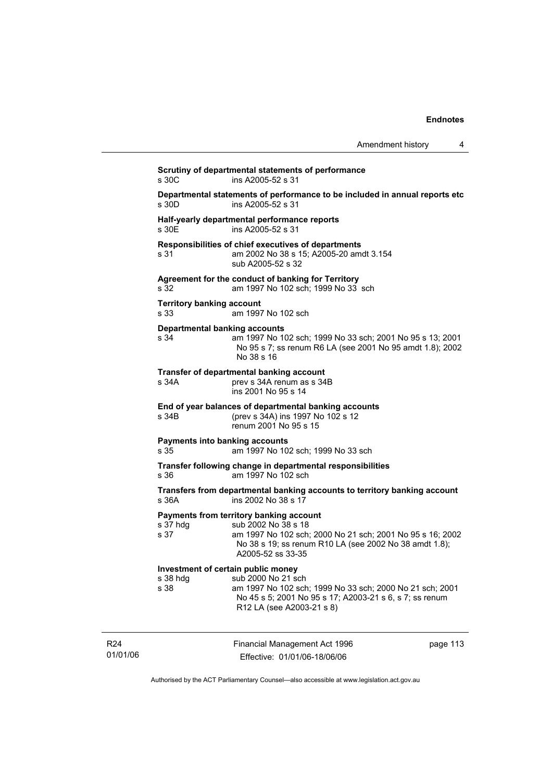| Amendment history |  |
|-------------------|--|
|-------------------|--|

|                                          | Departmental statements of performance to be included in annual reports etc                                                                                                                                |  |
|------------------------------------------|------------------------------------------------------------------------------------------------------------------------------------------------------------------------------------------------------------|--|
| s 30D                                    | ins A2005-52 s 31                                                                                                                                                                                          |  |
| s 30E                                    | Half-yearly departmental performance reports<br>ins A2005-52 s 31                                                                                                                                          |  |
| s 31                                     | Responsibilities of chief executives of departments<br>am 2002 No 38 s 15; A2005-20 amdt 3.154<br>sub A2005-52 s 32                                                                                        |  |
| s 32                                     | Agreement for the conduct of banking for Territory<br>am 1997 No 102 sch; 1999 No 33 sch                                                                                                                   |  |
| <b>Territory banking account</b><br>s 33 | am 1997 No 102 sch                                                                                                                                                                                         |  |
| s 34                                     | <b>Departmental banking accounts</b><br>am 1997 No 102 sch; 1999 No 33 sch; 2001 No 95 s 13; 2001<br>No 95 s 7; ss renum R6 LA (see 2001 No 95 amdt 1.8); 2002<br>No 38 s 16                               |  |
| s 34A                                    | Transfer of departmental banking account<br>prev s 34A renum as s 34B<br>ins 2001 No 95 s 14                                                                                                               |  |
| s 34B                                    | End of year balances of departmental banking accounts<br>(prev s 34A) ins 1997 No 102 s 12<br>renum 2001 No 95 s 15                                                                                        |  |
| s 35                                     | <b>Payments into banking accounts</b><br>am 1997 No 102 sch; 1999 No 33 sch                                                                                                                                |  |
| s 36                                     | Transfer following change in departmental responsibilities<br>am 1997 No 102 sch                                                                                                                           |  |
| s 36A                                    | Transfers from departmental banking accounts to territory banking account<br>ins 2002 No 38 s 17                                                                                                           |  |
| s 37 hdg<br>s 37                         | Payments from territory banking account<br>sub 2002 No 38 s 18<br>am 1997 No 102 sch; 2000 No 21 sch; 2001 No 95 s 16; 2002<br>No 38 s 19; ss renum R10 LA (see 2002 No 38 amdt 1.8);<br>A2005-52 ss 33-35 |  |
|                                          | Investment of certain public money                                                                                                                                                                         |  |
| s 38 hdg<br>s 38                         | sub 2000 No 21 sch<br>am 1997 No 102 sch; 1999 No 33 sch; 2000 No 21 sch; 2001<br>No 45 s 5; 2001 No 95 s 17; A2003-21 s 6, s 7; ss renum<br>R12 LA (see A2003-21 s 8)                                     |  |

R24 01/01/06

Effective: 01/01/06-18/06/06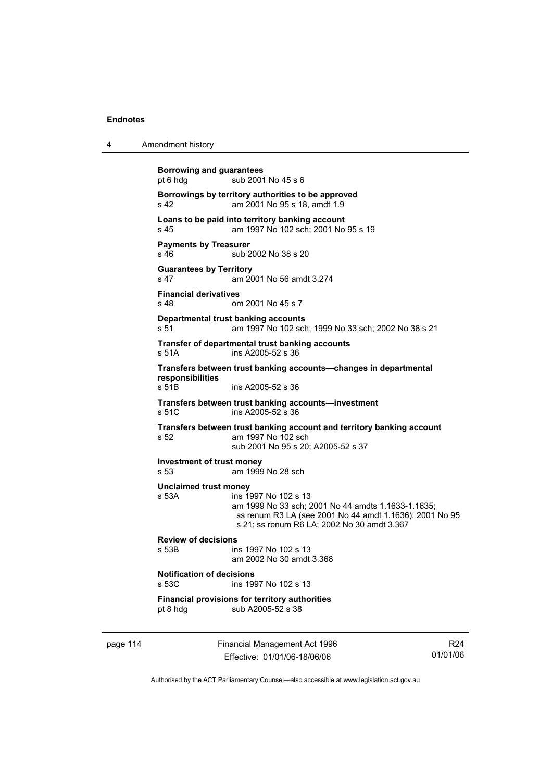| Amendment history<br>4 |  |
|------------------------|--|
|------------------------|--|

**Borrowing and guarantees**  pt 6 hdg sub 2001 No 45 s 6 **Borrowings by territory authorities to be approved**  s 42 am 2001 No 95 s 18, amdt 1.9 **Loans to be paid into territory banking account** s 45 am 1997 No 102 sch; 2001 No 95 s 19 **Payments by Treasurer**  s 46 sub 2002 No 38 s 20 **Guarantees by Territory**  s 47 am 2001 No 56 amdt 3.274 **Financial derivatives**  s 48 om 2001 No 45 s 7 **Departmental trust banking accounts** s 51 am 1997 No 102 sch; 1999 No 33 sch; 2002 No 38 s 21 **Transfer of departmental trust banking accounts**  s 51A ins A2005-52 s 36 **Transfers between trust banking accounts—changes in departmental responsibilities**  s 51B ins A2005-52 s 36 **Transfers between trust banking accounts—investment**  ins A2005-52 s 36 **Transfers between trust banking account and territory banking account**  s 52 am 1997 No 102 sch sub 2001 No 95 s 20; A2005-52 s 37 **Investment of trust money**  am 1999 No 28 sch **Unclaimed trust money**  s 53A ins 1997 No 102 s 13 am 1999 No 33 sch; 2001 No 44 amdts 1.1633-1.1635; ss renum R3 LA (see 2001 No 44 amdt 1.1636); 2001 No 95 s 21; ss renum R6 LA; 2002 No 30 amdt 3.367 **Review of decisions**  s 53B ins 1997 No 102 s 13 am 2002 No 30 amdt 3.368 **Notification of decisions**  s 53C ins 1997 No 102 s 13 **Financial provisions for territory authorities**  pt 8 hdg sub A2005-52 s 38

page 114 Financial Management Act 1996 Effective: 01/01/06-18/06/06

R24 01/01/06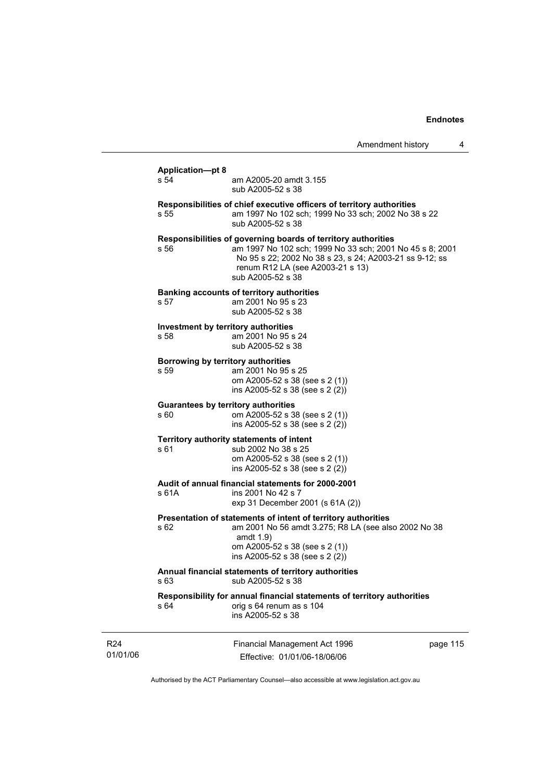|                                                    | Amendment history                                                                                                                                                                                                                             | 4        |
|----------------------------------------------------|-----------------------------------------------------------------------------------------------------------------------------------------------------------------------------------------------------------------------------------------------|----------|
| <b>Application-pt 8</b><br>s 54                    | am A2005-20 amdt 3.155<br>sub A2005-52 s 38                                                                                                                                                                                                   |          |
| s 55                                               | Responsibilities of chief executive officers of territory authorities<br>am 1997 No 102 sch; 1999 No 33 sch; 2002 No 38 s 22<br>sub A2005-52 s 38                                                                                             |          |
| s 56                                               | Responsibilities of governing boards of territory authorities<br>am 1997 No 102 sch; 1999 No 33 sch; 2001 No 45 s 8; 2001<br>No 95 s 22; 2002 No 38 s 23, s 24; A2003-21 ss 9-12; ss<br>renum R12 LA (see A2003-21 s 13)<br>sub A2005-52 s 38 |          |
| s 57                                               | <b>Banking accounts of territory authorities</b><br>am 2001 No 95 s 23<br>sub A2005-52 s 38                                                                                                                                                   |          |
| Investment by territory authorities<br>s 58        | am 2001 No 95 s 24<br>sub A2005-52 s 38                                                                                                                                                                                                       |          |
| Borrowing by territory authorities<br>s 59         | am 2001 No 95 s 25<br>om A2005-52 s 38 (see s 2 (1))<br>ins A2005-52 s 38 (see s 2 (2))                                                                                                                                                       |          |
| <b>Guarantees by territory authorities</b><br>s 60 | om A2005-52 s 38 (see s 2 (1))<br>ins A2005-52 s 38 (see s 2 (2))                                                                                                                                                                             |          |
| s 61                                               | Territory authority statements of intent<br>sub 2002 No 38 s 25<br>om A2005-52 s 38 (see s 2 (1))<br>ins A2005-52 s 38 (see s 2 (2))                                                                                                          |          |
| s 61A                                              | Audit of annual financial statements for 2000-2001<br>ins 2001 No 42 s 7<br>exp 31 December 2001 (s 61A (2))                                                                                                                                  |          |
| s 62                                               | Presentation of statements of intent of territory authorities<br>am 2001 No 56 amdt 3.275; R8 LA (see also 2002 No 38<br>amdt $1.9$ )<br>om A2005-52 s 38 (see s 2 (1))<br>ins A2005-52 s 38 (see s 2 (2))                                    |          |
| s 63                                               | Annual financial statements of territory authorities<br>sub A2005-52 s 38                                                                                                                                                                     |          |
| s 64                                               | Responsibility for annual financial statements of territory authorities<br>orig s 64 renum as s 104<br>ins A2005-52 s 38                                                                                                                      |          |
|                                                    | Financial Management Act 1996                                                                                                                                                                                                                 | page 115 |

R24 01/01/06

Effective: 01/01/06-18/06/06

page 115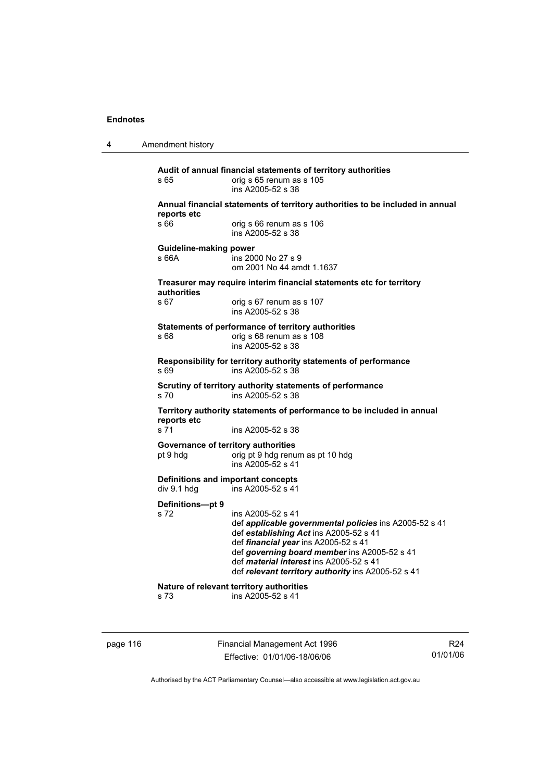4 Amendment history

**Audit of annual financial statements of territory authorities**  s 65 orig s 65 renum as s 105 ins A2005-52 s 38 **Annual financial statements of territory authorities to be included in annual reports etc**  s 66 **candidate** orig s 66 renum as s 106 ins A2005-52 s 38 **Guideline-making power**  s 66A ins 2000 No 27 s 9 om 2001 No 44 amdt 1.1637 **Treasurer may require interim financial statements etc for territory authorities** orig s 67 renum as s 107 ins A2005-52 s 38 **Statements of performance of territory authorities**  s 68 **candidate** orig s 68 renum as s 108 ins A2005-52 s 38 **Responsibility for territory authority statements of performance**  ins A2005-52 s 38 **Scrutiny of territory authority statements of performance**  s 70 ins A2005-52 s 38 **Territory authority statements of performance to be included in annual reports etc**  s 71 ins A2005-52 s 38 **Governance of territory authorities**  pt 9 hdg orig pt 9 hdg renum as pt 10 hdg ins A2005-52 s 41 **Definitions and important concepts**  div 9.1 hdg ins A2005-52 s 41 **Definitions—pt 9**  ins A2005-52 s 41 def *applicable governmental policies* ins A2005-52 s 41 def *establishing Act* ins A2005-52 s 41 def *financial year* ins A2005-52 s 41 def *governing board member* ins A2005-52 s 41 def *material interest* ins A2005-52 s 41 def *relevant territory authority* ins A2005-52 s 41 **Nature of relevant territory authorities**  s 73 ins A2005-52 s 41

page 116 Financial Management Act 1996 Effective: 01/01/06-18/06/06

R24 01/01/06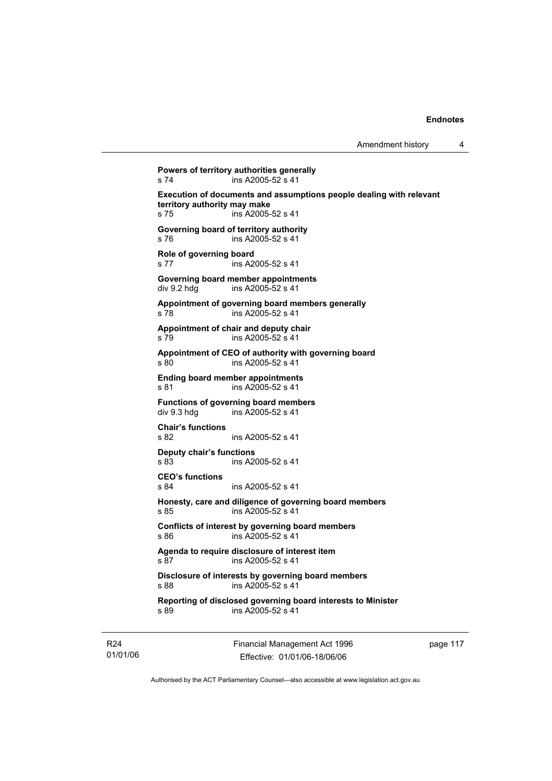```
Powers of territory authorities generally 
s 74 ins A2005-52 s 41
Execution of documents and assumptions people dealing with relevant 
territory authority may make 
s 75 ins A2005-52 s 41 
Governing board of territory authority 
s 76 ins A2005-52 s 41 
Role of governing board 
s 77 ins A2005-52 s 41 
Governing board member appointments 
div 9.2 hdg ins A2005-52 s 41
Appointment of governing board members generally 
s 78 ins A2005-52 s 41 
Appointment of chair and deputy chair 
s 79 ins A2005-52 s 41 
Appointment of CEO of authority with governing board 
s 80 ins A2005-52 s 41 
Ending board member appointments 
s 81 ins A2005-52 s 41
Functions of governing board members<br>div 9.3 hdq ins A2005-52 s 41
                ins A2005-52 s 41
Chair's functions 
s 82 ins A2005-52 s 41 
Deputy chair's functions 
                ins A2005-52 s 41
CEO's functions 
s 84 ins A2005-52 s 41 
Honesty, care and diligence of governing board members 
s 85 ins A2005-52 s 41
Conflicts of interest by governing board members 
s 86 ins A2005-52 s 41 
Agenda to require disclosure of interest item 
s 87 ins A2005-52 s 41 
Disclosure of interests by governing board members 
s 88 ins A2005-52 s 41 
Reporting of disclosed governing board interests to Minister 
s 89 ins A2005-52 s 41
```
R24 01/01/06 Financial Management Act 1996 Effective: 01/01/06-18/06/06

page 117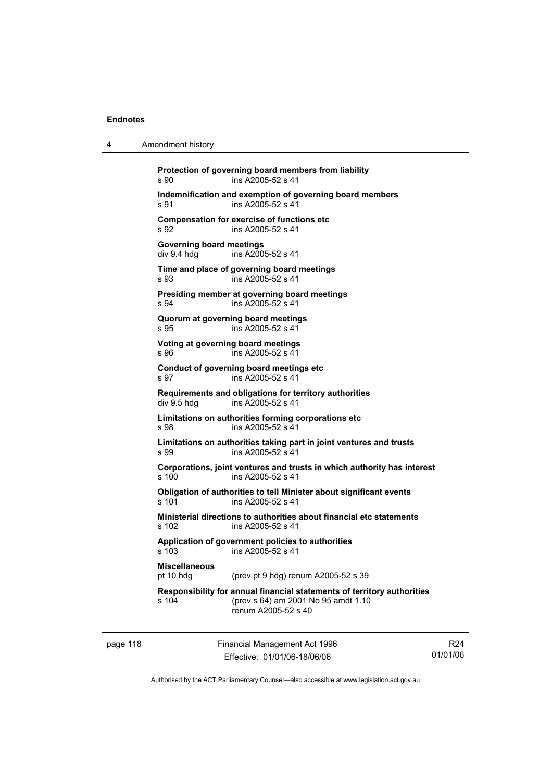4 Amendment history

|          |                                                | Protection of governing board members from liability                                                                                  |
|----------|------------------------------------------------|---------------------------------------------------------------------------------------------------------------------------------------|
|          | s 90                                           | ins A2005-52 s 41                                                                                                                     |
|          | s 91                                           | Indemnification and exemption of governing board members<br>ins A2005-52 s 41                                                         |
|          | s 92                                           | <b>Compensation for exercise of functions etc</b><br>ins A2005-52 s 41                                                                |
|          | <b>Governing board meetings</b><br>div 9.4 hdg | ins A2005-52 s 41                                                                                                                     |
|          | s 93                                           | Time and place of governing board meetings<br>ins A2005-52 s 41                                                                       |
|          | s 94                                           | Presiding member at governing board meetings<br>ins A2005-52 s 41                                                                     |
|          | Quorum at governing board meetings<br>s 95     | ins A2005-52 s 41                                                                                                                     |
|          | Voting at governing board meetings<br>s 96     | ins A2005-52 s 41                                                                                                                     |
|          | s 97                                           | Conduct of governing board meetings etc<br>ins A2005-52 s 41                                                                          |
|          | div 9.5 hdg                                    | Requirements and obligations for territory authorities<br>ins A2005-52 s 41                                                           |
|          | s 98                                           | Limitations on authorities forming corporations etc<br>ins A2005-52 s 41                                                              |
|          | s 99                                           | Limitations on authorities taking part in joint ventures and trusts<br>ins A2005-52 s 41                                              |
|          | s 100                                          | Corporations, joint ventures and trusts in which authority has interest<br>ins A2005-52 s 41                                          |
|          | s 101                                          | Obligation of authorities to tell Minister about significant events<br>ins A2005-52 s 41                                              |
|          | s 102                                          | Ministerial directions to authorities about financial etc statements<br>ins A2005-52 s 41                                             |
|          | $s$ 103                                        | Application of government policies to authorities<br>ins A2005-52 s 41                                                                |
|          | <b>Miscellaneous</b><br>pt 10 hdg              | (prev pt 9 hdg) renum A2005-52 s 39                                                                                                   |
|          | s 104                                          | Responsibility for annual financial statements of territory authorities<br>(prev s 64) am 2001 No 95 amdt 1.10<br>renum A2005-52 s 40 |
| page 118 |                                                | Financial Management Act 1996                                                                                                         |

Authorised by the ACT Parliamentary Counsel—also accessible at www.legislation.act.gov.au

R24 01/01/06

Effective: 01/01/06-18/06/06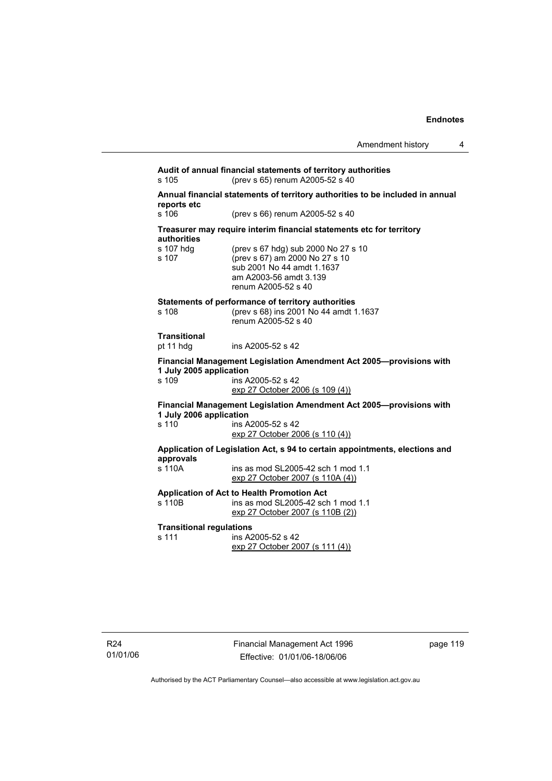| Amendment history |  |
|-------------------|--|
|-------------------|--|

**Audit of annual financial statements of territory authorities**  s 105 (prev s 65) renum A2005-52 s 40 **Annual financial statements of territory authorities to be included in annual reports etc**  (prev s 66) renum A2005-52 s 40 **Treasurer may require interim financial statements etc for territory authorities** s 107 hdg (prev s 67 hdg) sub 2000 No 27 s 10<br>s 107 (prev s 67) am 2000 No 27 s 10  $($  prev s 67) am 2000 No 27 s 10 sub 2001 No 44 amdt 1.1637 am A2003-56 amdt 3.139 renum A2005-52 s 40 **Statements of performance of territory authorities**  s 108 (prev s 68) ins 2001 No 44 amdt 1.1637 renum A2005-52 s 40 **Transitional**  pt 11 hdg ins A2005-52 s 42 **Financial Management Legislation Amendment Act 2005—provisions with 1 July 2005 application**  ins A2005-52 s 42 exp 27 October 2006 (s 109 (4)) **Financial Management Legislation Amendment Act 2005—provisions with 1 July 2006 application**  s 110 ins A2005-52 s 42 exp 27 October 2006 (s 110 (4)) **Application of Legislation Act, s 94 to certain appointments, elections and approvals**  s 110A ins as mod SL2005-42 sch 1 mod 1.1 exp 27 October 2007 (s 110A (4)) **Application of Act to Health Promotion Act**  ins as mod SL2005-42 sch 1 mod 1.1 exp 27 October 2007 (s 110B (2)) **Transitional regulations**  s 111 ins A2005-52 s 42 exp 27 October 2007 (s 111 (4))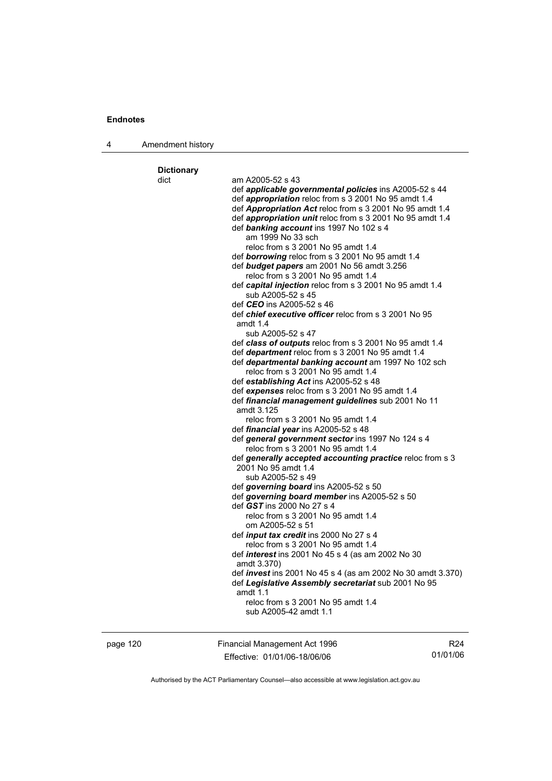| 4 | Amendment history |                                                                                                 |
|---|-------------------|-------------------------------------------------------------------------------------------------|
|   |                   |                                                                                                 |
|   | <b>Dictionary</b> |                                                                                                 |
|   | dict              | am A2005-52 s 43                                                                                |
|   |                   | def applicable governmental policies ins A2005-52 s 44                                          |
|   |                   | def appropriation reloc from s 3 2001 No 95 amdt 1.4                                            |
|   |                   | def Appropriation Act reloc from s 3 2001 No 95 amdt 1.4                                        |
|   |                   | def appropriation unit reloc from s 3 2001 No 95 amdt 1.4                                       |
|   |                   | def banking account ins 1997 No 102 s 4                                                         |
|   |                   | am 1999 No 33 sch                                                                               |
|   |                   | reloc from s 3 2001 No 95 amdt 1.4<br>def borrowing reloc from s 3 2001 No 95 amdt 1.4          |
|   |                   | def budget papers am 2001 No 56 amdt 3.256                                                      |
|   |                   | reloc from s 3 2001 No 95 amdt 1.4                                                              |
|   |                   | def capital injection reloc from s 3 2001 No 95 amdt 1.4                                        |
|   |                   | sub A2005-52 s 45                                                                               |
|   |                   | def <i>CEO</i> ins A2005-52 s 46                                                                |
|   |                   | def <i>chief executive officer</i> reloc from s 3 2001 No 95                                    |
|   |                   | amdt $1.4$                                                                                      |
|   |                   | sub A2005-52 s 47                                                                               |
|   |                   | def class of outputs reloc from s 3 2001 No 95 amdt 1.4                                         |
|   |                   | def department reloc from s 3 2001 No 95 amdt 1.4                                               |
|   |                   | def departmental banking account am 1997 No 102 sch                                             |
|   |                   | reloc from s 3 2001 No 95 amdt 1.4                                                              |
|   |                   | def establishing Act ins A2005-52 s 48                                                          |
|   |                   | def expenses reloc from s 3 2001 No 95 amdt 1.4                                                 |
|   |                   | def financial management guidelines sub 2001 No 11                                              |
|   |                   | amdt 3.125                                                                                      |
|   |                   | reloc from s 3 2001 No 95 amdt 1.4                                                              |
|   |                   | def financial year ins A2005-52 s 48                                                            |
|   |                   | def general government sector ins 1997 No 124 s 4                                               |
|   |                   | reloc from s 3 2001 No 95 amdt 1.4<br>def generally accepted accounting practice reloc from s 3 |
|   |                   | 2001 No 95 amdt 1.4                                                                             |
|   |                   | sub A2005-52 s 49                                                                               |
|   |                   | def governing board ins A2005-52 s 50                                                           |
|   |                   | def governing board member ins A2005-52 s 50                                                    |
|   |                   | def GST ins 2000 No 27 s 4                                                                      |
|   |                   | reloc from s 3 2001 No 95 amdt 1.4                                                              |
|   |                   | om A2005-52 s 51                                                                                |
|   |                   | def <i>input tax credit</i> ins 2000 No 27 s 4                                                  |
|   |                   | reloc from s 3 2001 No 95 amdt 1.4                                                              |
|   |                   | def <i>interest</i> ins 2001 No 45 s 4 (as am 2002 No 30                                        |
|   |                   | amdt 3.370)                                                                                     |
|   |                   | def <i>invest</i> ins 2001 No 45 s 4 (as am 2002 No 30 amdt 3.370)                              |
|   |                   | def Legislative Assembly secretariat sub 2001 No 95                                             |
|   |                   | amdt $1.1$                                                                                      |
|   |                   | reloc from s 3 2001 No 95 amdt 1.4                                                              |
|   |                   | sub A2005-42 amdt 1.1                                                                           |

page 120 Financial Management Act 1996 Effective: 01/01/06-18/06/06

R24 01/01/06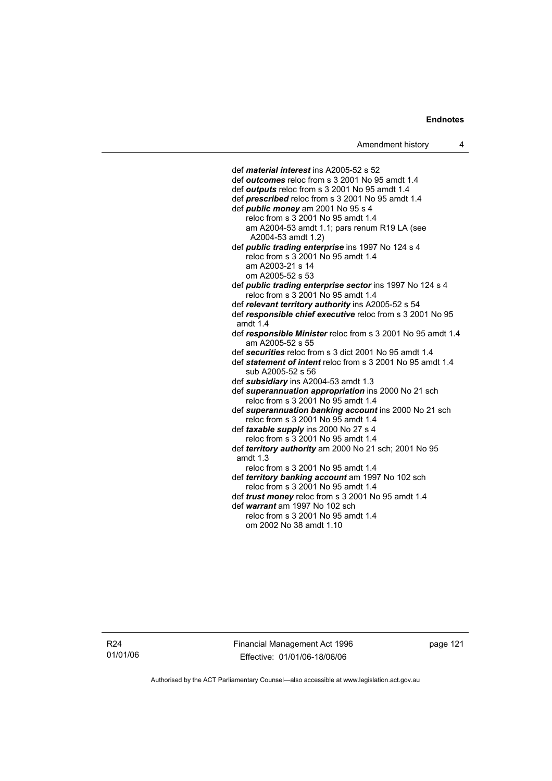def *material interest* ins A2005-52 s 52 def *outcomes* reloc from s 3 2001 No 95 amdt 1.4 def *outputs* reloc from s 3 2001 No 95 amdt 1.4 def *prescribed* reloc from s 3 2001 No 95 amdt 1.4 def *public money* am 2001 No 95 s 4 reloc from s 3 2001 No 95 amdt 1.4 am A2004-53 amdt 1.1; pars renum R19 LA (see A2004-53 amdt 1.2) def *public trading enterprise* ins 1997 No 124 s 4 reloc from s 3 2001 No 95 amdt 1.4 am A2003-21 s 14 om A2005-52 s 53 def *public trading enterprise sector* ins 1997 No 124 s 4 reloc from s 3 2001 No 95 amdt 1.4 def *relevant territory authority* ins A2005-52 s 54 def *responsible chief executive* reloc from s 3 2001 No 95 amdt 1.4 def *responsible Minister* reloc from s 3 2001 No 95 amdt 1.4 am A2005-52 s 55 def *securities* reloc from s 3 dict 2001 No 95 amdt 1.4 def *statement of intent* reloc from s 3 2001 No 95 amdt 1.4 sub A2005-52 s 56 def *subsidiary* ins A2004-53 amdt 1.3 def *superannuation appropriation* ins 2000 No 21 sch reloc from s 3 2001 No 95 amdt 1.4 def *superannuation banking account* ins 2000 No 21 sch reloc from s 3 2001 No 95 amdt 1.4 def *taxable supply* ins 2000 No 27 s 4 reloc from s 3 2001 No 95 amdt 1.4 def *territory authority* am 2000 No 21 sch; 2001 No 95 amdt 1.3 reloc from s 3 2001 No 95 amdt 1.4 def *territory banking account* am 1997 No 102 sch reloc from s 3 2001 No 95 amdt 1.4 def *trust money* reloc from s 3 2001 No 95 amdt 1.4 def *warrant* am 1997 No 102 sch reloc from s 3 2001 No 95 amdt 1.4 om 2002 No 38 amdt 1.10

R24 01/01/06 Financial Management Act 1996 Effective: 01/01/06-18/06/06

page 121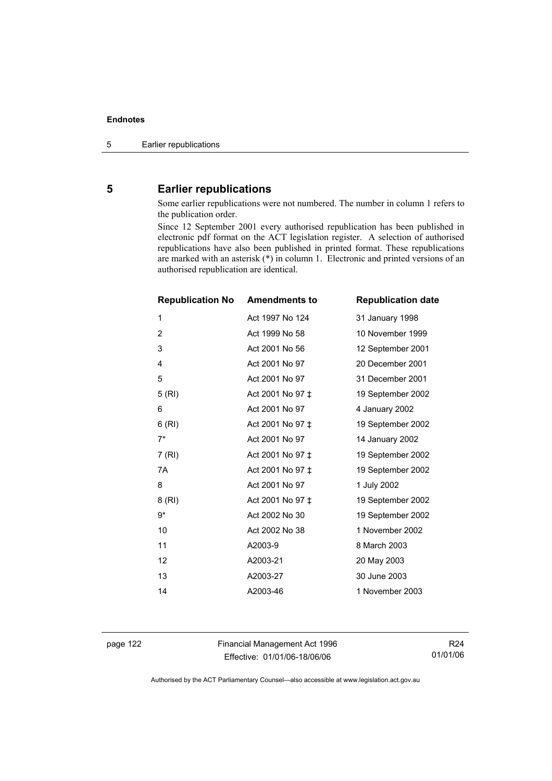# **5 Earlier republications**

Some earlier republications were not numbered. The number in column 1 refers to the publication order.

Since 12 September 2001 every authorised republication has been published in electronic pdf format on the ACT legislation register. A selection of authorised republications have also been published in printed format. These republications are marked with an asterisk (\*) in column 1. Electronic and printed versions of an authorised republication are identical.

| <b>Republication No</b> | <b>Amendments to</b> | <b>Republication date</b> |
|-------------------------|----------------------|---------------------------|
| 1                       | Act 1997 No 124      | 31 January 1998           |
| $\overline{2}$          | Act 1999 No 58       | 10 November 1999          |
| 3                       | Act 2001 No 56       | 12 September 2001         |
| 4                       | Act 2001 No 97       | 20 December 2001          |
| 5                       | Act 2001 No 97       | 31 December 2001          |
| 5(RI)                   | Act 2001 No 97 ‡     | 19 September 2002         |
| 6                       | Act 2001 No 97       | 4 January 2002            |
| 6(RI)                   | Act 2001 No 97 ±     | 19 September 2002         |
| $7^*$                   | Act 2001 No 97       | 14 January 2002           |
| 7(RI)                   | Act 2001 No 97 ‡     | 19 September 2002         |
| 7A                      | Act 2001 No 97 ‡     | 19 September 2002         |
| 8                       | Act 2001 No 97       | 1 July 2002               |
| 8(RI)                   | Act 2001 No 97 ±     | 19 September 2002         |
| 9*                      | Act 2002 No 30       | 19 September 2002         |
| 10                      | Act 2002 No 38       | 1 November 2002           |
| 11                      | A2003-9              | 8 March 2003              |
| 12                      | A2003-21             | 20 May 2003               |
| 13                      | A2003-27             | 30 June 2003              |
| 14                      | A2003-46             | 1 November 2003           |

page 122 Financial Management Act 1996 Effective: 01/01/06-18/06/06

R24 01/01/06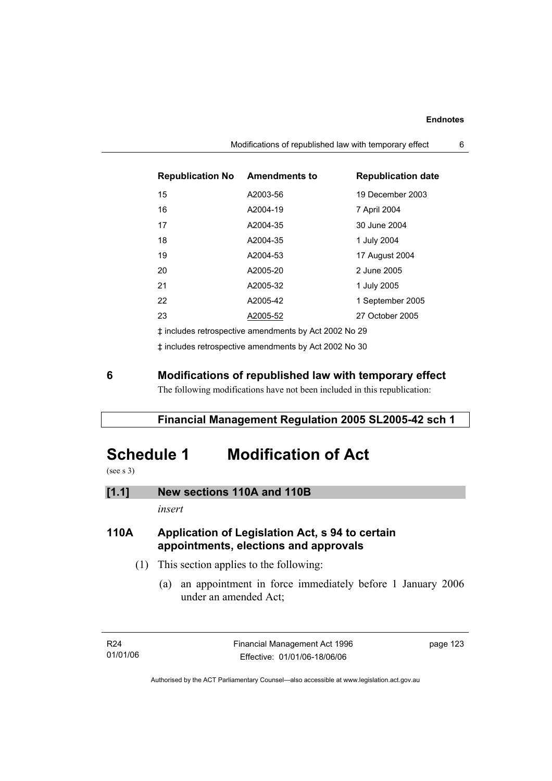| <b>Republication No</b>                               | <b>Amendments to</b> | <b>Republication date</b> |  |
|-------------------------------------------------------|----------------------|---------------------------|--|
| 15                                                    | A2003-56             | 19 December 2003          |  |
| 16                                                    | A2004-19             | 7 April 2004              |  |
| 17                                                    | A2004-35             | 30 June 2004              |  |
| 18                                                    | A2004-35             | 1 July 2004               |  |
| 19                                                    | A2004-53             | 17 August 2004            |  |
| 20                                                    | A2005-20             | 2 June 2005               |  |
| 21                                                    | A2005-32             | 1 July 2005               |  |
| 22                                                    | A2005-42             | 1 September 2005          |  |
| 23                                                    | A2005-52             | 27 October 2005           |  |
| t includes retrospective amendments by Act 2002 No 29 |                      |                           |  |

‡ includes retrospective amendments by Act 2002 No 30

# **6 Modifications of republished law with temporary effect**

The following modifications have not been included in this republication:

# **Financial Management Regulation 2005 SL2005-42 sch 1**

# **Schedule 1 Modification of Act**

(see s 3)

# **[1.1] New sections 110A and 110B**

*insert* 

# **110A Application of Legislation Act, s 94 to certain appointments, elections and approvals**

- (1) This section applies to the following:
	- (a) an appointment in force immediately before 1 January 2006 under an amended Act;